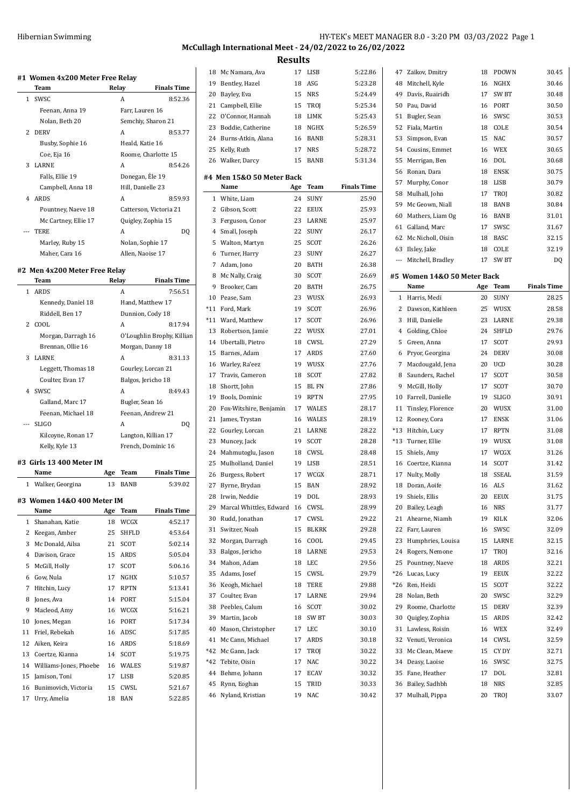# **McCullagh International Meet - 24/02/2022 to 26/02/2022 Results**

 $\frac{1}{1}$ 

|     | #1 Women 4x200 Meter Free Relay<br>Team | Relay                                          |                       | <b>Finals Time</b>            |
|-----|-----------------------------------------|------------------------------------------------|-----------------------|-------------------------------|
| 1   | SWSC                                    |                                                | A                     | 8:52.36                       |
|     | Feenan, Anna 19                         |                                                | Farr, Lauren 16       |                               |
|     | Nolan, Beth 20                          |                                                |                       | Semchiy, Sharon 21            |
| 2   | <b>DERV</b>                             |                                                | A                     | 8:53.77                       |
|     | Busby, Sophie 16                        |                                                | Heald, Katie 16       |                               |
|     | Coe, Eja 16                             |                                                |                       | Roome, Charlotte 15           |
| 3   | LARNE                                   |                                                | A                     | 8:54.26                       |
|     | Falls, Ellie 19                         |                                                | Donegan, Éle 19       |                               |
|     | Campbell, Anna 18                       |                                                | Hill, Danielle 23     |                               |
| 4   | <b>ARDS</b>                             |                                                | A                     | 8:59.93                       |
|     | Pountney, Naeve 18                      |                                                |                       | Catterson, Victoria 21        |
|     | Mc Cartney, Ellie 17                    |                                                |                       | Quigley, Zophia 15            |
|     | TERE                                    |                                                | A                     | DQ                            |
|     | Marley, Ruby 15                         |                                                | Nolan, Sophie 17      |                               |
|     | Maher, Cara 16                          |                                                | Allen, Naoise 17      |                               |
|     |                                         |                                                |                       |                               |
|     | #2 Men 4x200 Meter Free Relay           |                                                |                       |                               |
| 1   | Team                                    | Relay                                          |                       | <b>Finals Time</b><br>7:56.51 |
|     | <b>ARDS</b>                             |                                                | A                     |                               |
|     | Kennedy, Daniel 18<br>Riddell, Ben 17   |                                                |                       | Hand, Matthew 17              |
| 2   | COOL                                    |                                                | Dunnion, Cody 18<br>A | 8:17.94                       |
|     |                                         |                                                |                       |                               |
|     | Morgan, Darragh 16                      | O'Loughlin Brophy, Killian<br>Morgan, Danny 18 |                       |                               |
| 3   | Brennan, Ollie 16<br>LARNE              |                                                | A                     | 8:31.13                       |
|     |                                         |                                                |                       |                               |
|     | Leggett, Thomas 18                      |                                                |                       | Gourley, Lorcan 21            |
|     | Coulter, Evan 17                        |                                                | Balgos, Jericho 18    |                               |
| 4   | SWSC                                    |                                                | A                     | 8:49.43                       |
|     | Galland, Marc 17                        |                                                | Bugler, Sean 16       |                               |
|     | Feenan, Michael 18                      |                                                |                       | Feenan, Andrew 21             |
| --- | <b>SLIGO</b>                            |                                                | A                     | DQ                            |
|     | Kilcoyne, Ronan 17                      |                                                |                       | Langton, Killian 17           |
|     | Kelly, Kyle 13                          |                                                |                       | French, Dominic 16            |
|     | #3 Girls 13 400 Meter IM                |                                                |                       |                               |
|     | Name                                    | Age                                            | Team                  |                               |
|     |                                         |                                                |                       | Finals Time                   |
|     | 1 Walker, Georgina                      | 13                                             | <b>BANB</b>           | 5:39.02                       |
|     | #3 Women 14&0 400 Meter IM              |                                                |                       |                               |
|     | Name                                    | Age                                            | Team                  | <b>Finals Time</b>            |
| 1   | Shanahan, Katie                         | 18                                             | WCGX                  | 4:52.17                       |
| 2   | Keegan, Amber                           | 25                                             | SHFLD                 | 4:53.64                       |
| 3   | Mc Donald, Ailsa                        | 21                                             | SCOT                  | 5:02.14                       |
| 4   | Davison, Grace                          | 15                                             | ARDS                  | 5:05.04                       |
| 5   | McGill, Holly                           | 17                                             | <b>SCOT</b>           | 5:06.16                       |
| 6   | Gow, Nula                               | 17                                             | NGHX                  | 5:10.57                       |
| 7   | Hitchin, Lucy                           | 17                                             | RPTN                  | 5:13.41                       |
| 8   | Jones, Ava                              | 14                                             | PORT                  | 5:15.04                       |
| 9   | Macleod, Amy                            | 16                                             | WCGX                  | 5:16.21                       |
| 10  | Jones, Megan                            | 16                                             | PORT                  | 5:17.34                       |
| 11  | Friel, Rebekah                          | 16                                             | ADSC                  | 5:17.85                       |
| 12  | Aiken, Keira                            | 16                                             | ARDS                  | 5:18.69                       |
| 13  | Coertze, Kianna                         | 14                                             | SCOT                  | 5:19.75                       |
| 14  | Williams-Jones, Phoebe                  | 16                                             | WALES                 | 5:19.87                       |
| 15  | Jamison, Toni                           | 17                                             | LISB                  | 5:20.85                       |
| 16  | Bunimovich, Victoria                    | 15                                             | CWSL                  | 5:21.67                       |

| 18             | Mc Namara, Ava            | 17  | LISB        | 5:22.86            |
|----------------|---------------------------|-----|-------------|--------------------|
| 19             | Bentley, Hazel            | 18  | ASG         | 5:23.28            |
| 20             | Bayley, Eva               | 15  | <b>NRS</b>  | 5:24.49            |
| 21             | Campbell, Ellie           | 15  | TROJ        | 5:25.34            |
| 22             | O'Connor, Hannah          | 18  | LIMK        | 5:25.43            |
| 23             | Boddie, Catherine         | 18  | NGHX        | 5:26.59            |
|                | 24 Burns-Atkin, Alana     | 16  | BANB        | 5:28.31            |
| 25             | Kelly, Ruth               | 17  | <b>NRS</b>  | 5:28.72            |
|                | 26 Walker, Darcy          | 15  | BANB        | 5:31.34            |
|                |                           |     |             |                    |
|                | #4 Men 15&0 50 Meter Back |     |             |                    |
|                | Name                      | Age | Team        | <b>Finals Time</b> |
| 1              | White, Liam               | 24  | SUNY        | 25.90              |
|                | 2 Gibson, Scott           | 22  | EEUX        | 25.93              |
| 3              | Ferguson, Conor           | 23  | LARNE       | 25.97              |
| $\overline{4}$ | Small, Joseph             | 22  | <b>SUNY</b> | 26.17              |
| 5              | Walton, Martyn            | 25  | SCOT        | 26.26              |
| 6              | Turner, Harry             | 23  | SUNY        | 26.27              |
| 7              | Adam, Jono                | 20  | BATH        | 26.38              |
| 8              | Mc Nally, Craig           | 30  | SCOT        | 26.69              |
| 9              | Brooker, Cam              | 20  | BATH        | 26.75              |
| 10             | Pease, Sam                | 23  | WUSX        | 26.93              |
| *11            | Ford, Mark                | 19  | SCOT        | 26.96              |
|                | *11 Ward, Matthew         | 17  | SCOT        | 26.96              |
| 13             | Robertson, Jamie          | 22  | WUSX        | 27.01              |
| 14             | Ubertalli, Pietro         | 18  | CWSL        | 27.29              |
|                |                           |     |             |                    |
| 15             | Barnes, Adam              | 17  | ARDS        | 27.60              |
| 16             | Warley, Ra'eez            | 19  | WUSX        | 27.76              |
| 17             | Travis, Cameron           | 18  | SCOT        | 27.82              |
| 18             | Shortt, John              | 15  | BL FN       | 27.86              |
| 19             | Bools, Dominic            | 19  | RPTN        | 27.95              |
| 20             | Fox-Witshire, Benjamin    | 17  | WALES       | 28.17              |
| 21             | James, Trystan            | 16  | WALES       | 28.19              |
| 22             | Gourley, Lorcan           | 21  | LARNE       | 28.22              |
| 23             | Muncey, Jack              | 19  | SCOT        | 28.28              |
| 24             | Mahmutoglu, Jason         | 18  | CWSL        | 28.48              |
| 25             | Mulholland, Daniel        | 19  | LISB        | 28.51              |
| 26             | Burgess, Robert           | 17  | WCGX        | 28.71              |
|                | 27 Byrne, Brydan          | 15  | <b>BAN</b>  | 28.92              |
|                | 28 Irwin, Neddie          |     | 19 DOL      | 28.93              |
| 29             | Marcal Whittles, Edward   | 16  | CWSL        | 28.99              |
| 30             | Rudd, Jonathan            | 17  | CWSL        | 29.22              |
| 31             | Switzer, Noah             | 15  | BLKRK       | 29.28              |
| 32             | Morgan, Darragh           | 16  | COOL        | 29.45              |
| 33             | Balgos, Jericho           | 18  | LARNE       | 29.53              |
| 34             | Mahon, Adam               | 18  | LEC         | 29.56              |
| 35             | Adams, Josef              | 15  | CWSL        | 29.79              |
| 36             | Keogh, Michael            | 18  | TERE        | 29.88              |
| 37             | Coulter, Evan             | 17  | LARNE       | 29.94              |
|                | Peebles, Calum            | 16  | SCOT        |                    |
| 38             |                           |     |             | 30.02              |
| 39             | Martin, Jacob             | 18  | SW BT       | 30.03              |
| 40             | Mason, Christopher        | 17  | LEC         | 30.10              |
| 41             | Mc Cann, Michael          | 17  | ARDS        | 30.18              |
| *42            | Mc Gann, Jack             | 17  | TROJ        | 30.22              |
| *42            | Tebite, Oisin             | 17  | NAC         | 30.22              |
| 44             | Behme, Johann             | 17  | <b>ECAV</b> | 30.32              |
| 45             | Rynn, Eoghan              | 15  | TRID        | 30.33              |
| 46             | Nyland, Kristian          | 19  | NAC         | 30.42              |
|                |                           |     |             |                    |

| 47                          | Zaikov, Dmitry                    | 18  | PDOWN       | 30.45              |  |  |  |  |  |
|-----------------------------|-----------------------------------|-----|-------------|--------------------|--|--|--|--|--|
| 48                          | Mitchell, Kyle                    | 16  | <b>NGHX</b> | 30.46              |  |  |  |  |  |
| 49                          | Davis, Ruairidh                   | 17  | SW BT       | 30.48              |  |  |  |  |  |
| 50                          | Pau, David                        | 16  | PORT        | 30.50              |  |  |  |  |  |
| 51                          | Bugler, Sean                      | 16  | SWSC        | 30.53              |  |  |  |  |  |
| 52                          | Fiala, Martin                     | 18  | COLE        | 30.54              |  |  |  |  |  |
| 53                          | Simpson, Evan                     | 15  | <b>NAC</b>  | 30.57              |  |  |  |  |  |
| 54                          | Cousins, Emmet                    | 16  | WEX         | 30.65              |  |  |  |  |  |
| 55                          | Merrigan, Ben                     | 16  | DOL         | 30.68              |  |  |  |  |  |
| 56                          | Ronan, Dara                       | 18  | <b>ENSK</b> | 30.75              |  |  |  |  |  |
| 57                          | Murphy, Conor                     | 18  | LISB        | 30.79              |  |  |  |  |  |
| 58                          | Mulhall, John                     | 17  | TROJ        | 30.82              |  |  |  |  |  |
| 59                          | Mc Geown, Niall                   | 18  | BANB        | 30.84              |  |  |  |  |  |
| 60                          | Mathers, Liam Og                  | 16  | BANB        | 31.01              |  |  |  |  |  |
| 61                          | Galland, Marc                     | 17  | SWSC        | 31.67              |  |  |  |  |  |
| 62                          | Mc Nicholl, Oisin                 | 18  | BASC        | 32.15              |  |  |  |  |  |
| 63                          |                                   | 18  | COLE        | 32.19              |  |  |  |  |  |
| $\cdots$                    | Ilsley, Jake<br>Mitchell, Bradley | 17  | SW BT       |                    |  |  |  |  |  |
|                             |                                   |     |             | DQ                 |  |  |  |  |  |
| #5 Women 14&0 50 Meter Back |                                   |     |             |                    |  |  |  |  |  |
|                             | Name                              | Age | Team        | <b>Finals Time</b> |  |  |  |  |  |
| $\mathbf{1}$                | Harris, Medi                      | 20  | <b>SUNY</b> | 28.25              |  |  |  |  |  |
| 2                           | Dawson, Kathleen                  | 25  | <b>WUSX</b> | 28.58              |  |  |  |  |  |
| 3                           | Hill, Danielle                    | 23  | LARNE       | 29.38              |  |  |  |  |  |
| 4                           | Golding, Chloe                    | 24  | SHFLD       | 29.76              |  |  |  |  |  |
| 5                           | Green, Anna                       | 17  | <b>SCOT</b> | 29.93              |  |  |  |  |  |
| 6                           | Pryor, Georgina                   | 24  | <b>DERV</b> | 30.08              |  |  |  |  |  |
| 7                           | Macdougald, Jena                  | 20  | UCD         | 30.28              |  |  |  |  |  |
| 8                           | Saunders, Rachel                  | 17  | SCOT        | 30.58              |  |  |  |  |  |
| 9                           | McGill, Holly                     | 17  | SCOT        | 30.70              |  |  |  |  |  |
| 10                          | Farrell, Danielle                 | 19  | SLIGO       | 30.91              |  |  |  |  |  |
| 11                          | Tinsley, Florence                 | 20  | WUSX        | 31.00              |  |  |  |  |  |
| 12                          | Rooney, Cora                      | 17  | <b>ENSK</b> | 31.06              |  |  |  |  |  |
| $*13$                       | Hitchin, Lucy                     | 17  | RPTN        | 31.08              |  |  |  |  |  |
| $*13$                       | Turner, Ellie                     | 19  | WUSX        | 31.08              |  |  |  |  |  |
| 15                          | Shiels, Amy                       | 17  | WCGX        | 31.26              |  |  |  |  |  |
| 16                          | Coertze, Kianna                   | 14  | SCOT        | 31.42              |  |  |  |  |  |
| 17                          | Nulty, Molly                      | 18  | SSEAL       | 31.59              |  |  |  |  |  |
| 18                          | Doran, Aoife                      | 16  | <b>ALS</b>  | 31.62              |  |  |  |  |  |
| 19                          | Shiels, Ellis                     |     | 20 EEUX     | 31.75              |  |  |  |  |  |
| 20                          | Bailey, Leagh                     | 16  | NRS         | 31.77              |  |  |  |  |  |
| 21                          | Ahearne, Niamh                    | 19  | KILK        | 32.06              |  |  |  |  |  |
| 22                          | Farr, Lauren                      | 16  | SWSC        | 32.09              |  |  |  |  |  |
| 23                          | Humphries, Louisa                 | 15  | LARNE       | 32.15              |  |  |  |  |  |
| 24                          | Rogers, Nemone                    | 17  | TROJ        | 32.16              |  |  |  |  |  |
| 25                          | Pountney, Naeve                   | 18  | ARDS        | 32.21              |  |  |  |  |  |
| *26                         | Lucas, Lucy                       | 19  | <b>EEUX</b> | 32.22              |  |  |  |  |  |
| *26                         | Ren, Heidi                        | 15  | SCOT        | 32.22              |  |  |  |  |  |
| 28                          | Nolan, Beth                       | 20  | SWSC        | 32.29              |  |  |  |  |  |
| 29                          | Roome, Charlotte                  | 15  | <b>DERV</b> | 32.39              |  |  |  |  |  |
| 30                          | Quigley, Zophia                   | 15  | <b>ARDS</b> | 32.42              |  |  |  |  |  |
| 31                          | Lawless, Roisin                   | 16  | WEX         | 32.49              |  |  |  |  |  |
| 32                          | Venuti, Veronica                  | 14  | CWSL        | 32.59              |  |  |  |  |  |
| 33                          | Mc Clean, Maeve                   | 15  | CY DY       | 32.71              |  |  |  |  |  |
| 34                          | Deasy, Laoise                     | 16  | SWSC        | 32.75              |  |  |  |  |  |
| 35                          | Fane, Heather                     | 17  | DOL         | 32.81              |  |  |  |  |  |
| 36                          | Bailey, Sadhbh                    | 18  | NRS         | 32.85              |  |  |  |  |  |
| 37                          | Mulhall, Pippa                    | 20  | TROJ        | 33.07              |  |  |  |  |  |
|                             |                                   |     |             |                    |  |  |  |  |  |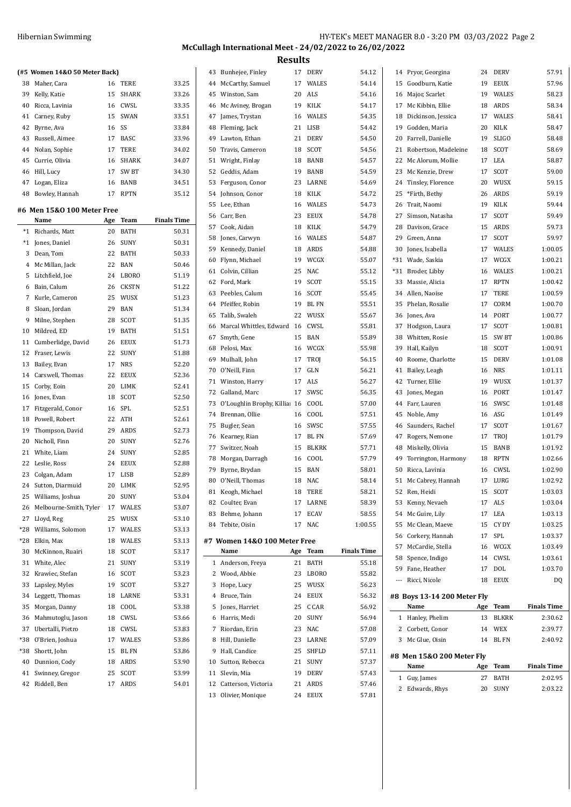|    | (#5 Women 14&0 50 Meter Back) |       |              |       |
|----|-------------------------------|-------|--------------|-------|
| 38 | Maher. Cara                   | 16    | <b>TERE</b>  | 33.25 |
| 39 | Kelly, Katie                  | 15    | <b>SHARK</b> | 33.26 |
| 40 | Ricca, Lavinia                | 16    | CWSL         | 33.35 |
|    | 41 Carney, Ruby               |       | 15 SWAN      | 33.51 |
|    | 42 Byrne, Ava                 | 16 SS |              | 33.84 |
| 43 | Russell, Aimee                | 17    | BASC.        | 33.96 |
|    | 44 Nolan, Sophie              | 17    | TERE         | 34.02 |
|    | 45 Currie, Olivia             | 16    | <b>SHARK</b> | 34.07 |
| 46 | Hill, Lucy                    | 17    | <b>SW BT</b> | 34.30 |
| 47 | Logan, Eliza                  | 16    | <b>BANB</b>  | 34.51 |
| 48 | Bowley, Hannah                | 17    | RPTN         | 35.12 |

### **#6 Men 15&O 100 Meter Free**

|                | Name                   | Age | Team         | <b>Finals Time</b> |
|----------------|------------------------|-----|--------------|--------------------|
| $*_{1}$        | Richards, Matt         | 20  | <b>BATH</b>  | 50.31              |
| $*_{1}$        | Jones, Daniel          | 26  | <b>SUNY</b>  | 50.31              |
| 3              | Dean, Tom              | 22  | <b>BATH</b>  | 50.33              |
| $\overline{4}$ | Mc Millan, Jack        | 22  | <b>BAN</b>   | 50.46              |
| 5              | Litchfield, Joe        | 24  | <b>LBORO</b> | 51.19              |
| 6              | Bain, Calum            | 26  | <b>CKSTN</b> | 51.22              |
| 7              | Kurle, Cameron         | 25  | WUSX         | 51.23              |
| 8              | Sloan, Jordan          | 29  | <b>BAN</b>   | 51.34              |
| 9              | Milne, Stephen         | 28  | <b>SCOT</b>  | 51.35              |
| 10             | Mildred, ED            | 19  | BATH         | 51.51              |
| 11             | Cumberlidge, David     | 26  | <b>EEUX</b>  | 51.73              |
| 12             | Fraser, Lewis          | 22  | <b>SUNY</b>  | 51.88              |
| 13             | Bailey, Evan           | 17  | <b>NRS</b>   | 52.20              |
| 14             | Carswell, Thomas       | 22  | <b>EEUX</b>  | 52.36              |
| 15             | Corby, Eoin            | 20  | LIMK         | 52.41              |
| 16             | Jones, Evan            | 18  | <b>SCOT</b>  | 52.50              |
| 17             | Fitzgerald, Conor      | 16  | SPL          | 52.51              |
| 18             | Powell, Robert         | 22  | <b>ATH</b>   | 52.61              |
| 19             | Thompson, David        | 29  | <b>ARDS</b>  | 52.73              |
| 20             | Nicholl, Finn          | 20  | <b>SUNY</b>  | 52.76              |
| 21             | White, Liam            | 24  | <b>SUNY</b>  | 52.85              |
| 22             | Leslie, Ross           | 24  | <b>EEUX</b>  | 52.88              |
| 23             | Colgan, Adam           | 17  | <b>LISB</b>  | 52.89              |
| 24             | Sutton, Diarmuid       | 20  | LIMK         | 52.95              |
| 25             | Williams, Joshua       | 20  | <b>SUNY</b>  | 53.04              |
| 26             | Melbourne-Smith, Tyler | 17  | <b>WALES</b> | 53.07              |
| 27             | Lloyd, Reg             | 25  | WUSX         | 53.10              |
| $*28$          | Williams, Solomon      | 17  | <b>WALES</b> | 53.13              |
| $*28$          | Elkin, Max             | 18  | <b>WALES</b> | 53.13              |
| 30             | McKinnon, Ruairi       | 18  | SCOT         | 53.17              |
| 31             | White, Alec            | 21  | <b>SUNY</b>  | 53.19              |
| 32             | Krawiec, Stefan        | 16  | SCOT         | 53.23              |
| 33             | Lapsley, Myles         | 19  | <b>SCOT</b>  | 53.27              |
| 34             | Leggett, Thomas        | 18  | LARNE        | 53.31              |
| 35             | Morgan, Danny          | 18  | COOL         | 53.38              |
| 36             | Mahmutoglu, Jason      | 18  | <b>CWSL</b>  | 53.66              |
| 37             | Ubertalli, Pietro      | 18  | <b>CWSL</b>  | 53.83              |
| *38            | O'Brien, Joshua        | 17  | <b>WALES</b> | 53.86              |
| *38            | Shortt, John           | 15  | <b>BLFN</b>  | 53.86              |
| 40             | Dunnion, Cody          | 18  | <b>ARDS</b>  | 53.90              |
| 41             | Swinney, Gregor        | 25  | SCOT         | 53.99              |
| 42             | Riddell, Ben           | 17  | <b>ARDS</b>  | 54.01              |

| 43 | Bunhejee, Finley             | 17  | <b>DERV</b>  | 54.12              | 14    | Pryor, Georgina             | 24  | <b>DERV</b>  | 57.91       |
|----|------------------------------|-----|--------------|--------------------|-------|-----------------------------|-----|--------------|-------------|
| 44 | McCarthy, Samuel             | 17  | <b>WALES</b> | 54.14              | 15    | Goodburn, Katie             | 19  | <b>EEUX</b>  | 57.96       |
| 45 | Winston, Sam                 | 20  | ALS          | 54.16              | 16    | Major, Scarlet              | 19  | <b>WALES</b> | 58.23       |
| 46 | Mc Aviney, Brogan            | 19  | KILK         | 54.17              | 17    | Mc Kibbin, Ellie            | 18  | ARDS         | 58.34       |
| 47 | James, Trystan               | 16  | <b>WALES</b> | 54.35              | 18    | Dickinson, Jessica          | 17  | WALES        | 58.41       |
| 48 | Fleming, Jack                | 21  | LISB         | 54.42              | 19    | Godden, Maria               | 20  | <b>KILK</b>  | 58.47       |
| 49 | Lawton, Ethan                | 21  | <b>DERV</b>  | 54.50              | 20    | Farrell, Danielle           | 19  | <b>SLIGO</b> | 58.48       |
| 50 | Travis, Cameron              | 18  | SCOT         | 54.56              | 21    | Robertson, Madeleine        | 18  | SCOT         | 58.69       |
| 51 | Wright, Finlay               | 18  | <b>BANB</b>  | 54.57              | 22    | Mc Alorum, Mollie           | 17  | LEA          | 58.87       |
| 52 | Geddis, Adam                 | 19  | <b>BANB</b>  | 54.59              | 23    | Mc Kenzie, Drew             | 17  | SCOT         | 59.00       |
|    |                              |     |              |                    |       |                             |     |              | 59.15       |
| 53 | Ferguson, Conor              | 23  | LARNE        | 54.69              | 24    | Tinsley, Florence           | 20  | WUSX         |             |
| 54 | Johnson, Conor               | 18  | KILK         | 54.72              | 25    | *Firth, Bethy               | 26  | <b>ARDS</b>  | 59.19       |
| 55 | Lee, Ethan                   | 16  | <b>WALES</b> | 54.73              | 26    | Trait, Naomi                | 19  | KILK         | 59.44       |
| 56 | Carr, Ben                    | 23  | <b>EEUX</b>  | 54.78              | 27    | Simson, Natasha             | 17  | <b>SCOT</b>  | 59.49       |
| 57 | Cook, Aidan                  | 18  | KILK         | 54.79              | 28    | Davison, Grace              | 15  | ARDS         | 59.73       |
| 58 | Jones, Carwyn                | 16  | <b>WALES</b> | 54.87              | 29    | Green, Anna                 | 17  | <b>SCOT</b>  | 59.97       |
| 59 | Kennedy, Daniel              | 18  | ARDS         | 54.88              | 30    | Jones, Isabella             | 17  | WALES        | 1:00.05     |
| 60 | Flynn, Michael               | 19  | WCGX         | 55.07              | $*31$ | Wade, Saskia                | 17  | WCGX         | 1:00.21     |
| 61 | Colvin, Cillian              | 25  | <b>NAC</b>   | 55.12              | $*31$ | Broder, Libby               | 16  | WALES        | 1:00.21     |
| 62 | Ford, Mark                   | 19  | SCOT         | 55.15              | 33    | Massie, Alicia              | 17  | <b>RPTN</b>  | 1:00.42     |
| 63 | Peebles, Calum               | 16  | SCOT         | 55.45              | 34    | Allen, Naoise               | 17  | TERE         | 1:00.59     |
| 64 | Pfeiffer, Robin              | 19  | <b>BL FN</b> | 55.51              | 35    | Phelan, Rosalie             | 17  | CORM         | 1:00.70     |
| 65 | Talib, Swaleh                | 22  | WUSX         | 55.67              | 36    | Jones, Ava                  | 14  | PORT         | 1:00.77     |
| 66 | Marcal Whittles, Edward 16   |     | CWSL         | 55.81              | 37    | Hodgson, Laura              | 17  | <b>SCOT</b>  | 1:00.81     |
| 67 | Smyth, Gene                  | 15  | <b>BAN</b>   | 55.89              | 38    | Whitten, Rosie              | 15  | SW BT        | 1:00.86     |
| 68 | Pelosi, Max                  | 16  | WCGX         | 55.98              | 39    | Hall, Kailyn                | 18  | SCOT         | 1:00.91     |
| 69 | Mulhall, John                | 17  | TROJ         | 56.15              | 40    | Roome, Charlotte            | 15  | <b>DERV</b>  | 1:01.08     |
| 70 | O'Neill, Finn                | 17  | GLN          | 56.21              | 41    | Bailey, Leagh               | 16  | <b>NRS</b>   | 1:01.11     |
| 71 | Winston, Harry               | 17  | ALS          | 56.27              | 42    | Turner, Ellie               | 19  | WUSX         | 1:01.37     |
| 72 | Galland, Marc                | 17  | SWSC         | 56.35              | 43    | Jones, Megan                | 16  | PORT         | 1:01.47     |
| 73 | O'Loughlin Brophy, Killia 16 |     | COOL         | 57.00              | 44    | Farr, Lauren                | 16  | SWSC         | 1:01.48     |
| 74 | Brennan, Ollie               | 16  | COOL         | 57.51              | 45    | Noble, Amy                  | 16  | ASG          | 1:01.49     |
| 75 | Bugler, Sean                 | 16  | SWSC         | 57.55              | 46    | Saunders, Rachel            | 17  | <b>SCOT</b>  | 1:01.67     |
| 76 | Kearney, Rian                | 17  | <b>BL FN</b> | 57.69              | 47    | Rogers, Nemone              | 17  | <b>TROI</b>  | 1:01.79     |
| 77 | Switzer, Noah                | 15  | <b>BLKRK</b> | 57.71              | 48    | Miskelly, Olivia            | 15  | <b>BANB</b>  | 1:01.92     |
| 78 | Morgan, Darragh              | 16  | COOL         | 57.79              | 49    | Torrington, Harmony         | 18  | <b>RPTN</b>  | 1:02.66     |
| 79 | Byrne, Brydan                | 15  | <b>BAN</b>   | 58.01              | 50    | Ricca, Lavinia              | 16  | CWSL         | 1:02.90     |
| 80 | O'Neill, Thomas              | 18  | <b>NAC</b>   | 58.14              | 51    | Mc Cabrey, Hannah           | 17  | LURG         | 1:02.92     |
| 81 | Keogh, Michael               | 18  | TERE         | 58.21              | 52    | Ren, Heidi                  | 15  | SCOT         | 1:03.03     |
|    | 82 Coulter, Evan             | 17  | LARNE        | 58.39              |       | 53 Kenny, Nevaeh            | 17  | ALS          | 1:03.04     |
| 83 | Behme, Johann                | 17  | <b>ECAV</b>  | 58.55              | 54    | Mc Guire, Lily              | 17  | LEA          | 1:03.13     |
| 84 | Tebite, Oisin                | 17  | NAC          | 1:00.55            | 55    | Mc Clean, Maeve             | 15  | CY DY        | 1:03.25     |
|    |                              |     |              |                    | 56    | Corkery, Hannah             | 17  | SPL          | 1:03.37     |
|    | #7 Women 14&0 100 Meter Free |     |              |                    | 57    | McCardie, Stella            | 16  | WCGX         | 1:03.49     |
|    | Name                         | Age | Team         | <b>Finals Time</b> | 58    | Spence, Indigo              | 14  | CWSL         | 1:03.61     |
|    | 1 Anderson, Freya            | 21  | <b>BATH</b>  | 55.18              | 59    | Fane, Heather               | 17  | DOL          | 1:03.70     |
|    | 2 Wood, Abbie                | 23  | LBORO        | 55.82              | ---   | Ricci, Nicole               | 18  | <b>EEUX</b>  | DQ          |
| 3  | Hope, Lucy                   | 25  | WUSX         | 56.23              |       |                             |     |              |             |
| 4  | Bruce, Tain                  | 24  | EEUX         | 56.32              |       | #8 Boys 13-14 200 Meter Fly |     |              |             |
|    | 5 Jones, Harriet             | 25  | C CAR        | 56.92              |       | Name                        | Age | Team         | Finals Time |
|    | 6 Harris, Medi               | 20  | SUNY         | 56.94              |       | 1 Hanley, Phelim            | 13  | BLKRK        | 2:30.62     |
| 7  | Riordan, Erin                | 23  | NAC          | 57.08              |       | 2 Corbett, Conor            | 14  | WEX          | 2:39.77     |
| 8  | Hill, Danielle               | 23  | LARNE        | 57.09              | 3     | Mc Glue, Oisin              | 14  | BL FN        | 2:40.92     |
| 9  | Hall, Candice                | 25  | SHFLD        | 57.11              |       | #8 Men 15&0 200 Meter Fly   |     |              |             |
| 10 | Sutton, Rebecca              | 21  | SUNY         | 57.37              |       | Name                        | Age | Team         | Finals Time |
| 11 | Slevin, Mia                  | 19  | DERV         | 57.43              |       | 1 Guy, James                | 27  | <b>BATH</b>  | 2:02.95     |
| 12 | Catterson, Victoria          | 21  | ARDS         | 57.46              |       | 2 Edwards, Rhys             | 20  | SUNY         | 2:03.22     |
|    | 13 Olivier, Monique          |     | 24 EEUX      | 57.81              |       |                             |     |              |             |
|    |                              |     |              |                    |       |                             |     |              |             |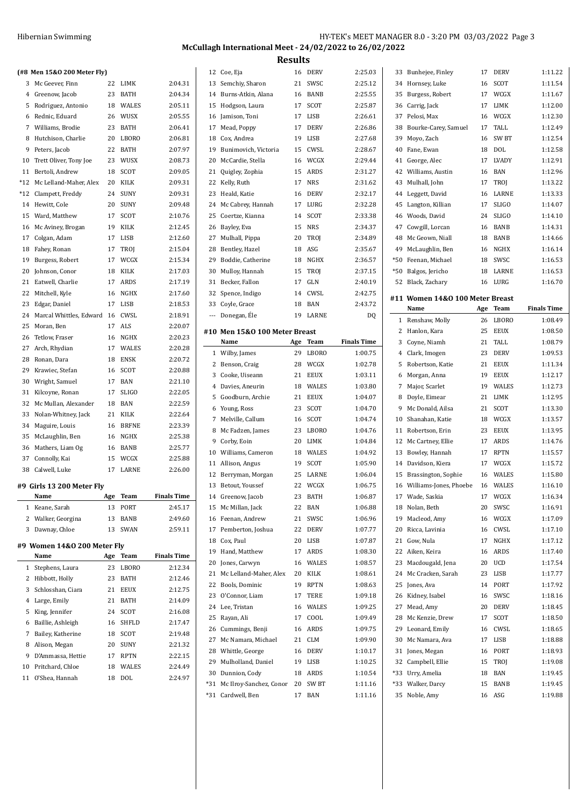| Hibernian Swimming | HY-TEK's MEET MANAGER 8.0 - 3:20 PM 03/03/2022 Page 3   |  |
|--------------------|---------------------------------------------------------|--|
|                    | McCullagh International Meet - 24/02/2022 to 26/02/2022 |  |

|  | (#8 Men 15&0 200 Meter Flv) |  |
|--|-----------------------------|--|

|       | (#8 Men 15&0 200 Meter Fly) |     |              |                    |
|-------|-----------------------------|-----|--------------|--------------------|
| 3     | Mc Geever, Finn             | 22  | LIMK         | 2:04.31            |
| 4     | Greenow, Jacob              | 23  | BATH         | 2:04.34            |
| 5     | Rodriguez, Antonio          | 18  | WALES        | 2:05.11            |
| 6     | Rednic, Eduard              | 26  | WUSX         | 2:05.55            |
| 7     | Williams, Brodie            | 23  | <b>BATH</b>  | 2:06.41            |
| 8     | Hutchison, Charlie          | 20  | LBORO        | 2:06.81            |
| 9     | Peters, Jacob               | 22  | <b>BATH</b>  | 2:07.97            |
| 10    | Trett Oliver, Tony Joe      | 23  | <b>WUSX</b>  | 2:08.73            |
| 11    | Bertoli, Andrew             | 18  | <b>SCOT</b>  | 2:09.05            |
| *12   | Mc Lelland-Maher, Alex      | 20  | KILK         | 2:09.31            |
| $*12$ | Clampett, Freddy            | 24  | SUNY         | 2:09.31            |
| 14    | Hewitt, Cole                | 20  | <b>SUNY</b>  | 2:09.48            |
| 15    | Ward, Matthew               | 17  | SCOT         | 2:10.76            |
| 16    | Mc Aviney, Brogan           | 19  | KILK         | 2:12.45            |
| 17    | Colgan, Adam                | 17  | LISB         | 2:12.60            |
| 18    | Fahey, Ronan                | 17  | TROJ         | 2:15.04            |
| 19    | Burgess, Robert             | 17  | WCGX         | 2:15.34            |
| 20    | Johnson, Conor              | 18  | KILK         | 2:17.03            |
| 21    | Eatwell, Charlie            | 17  | ARDS         | 2:17.19            |
| 22    | Mitchell, Kyle              | 16  | NGHX         | 2:17.60            |
| 23    | Edgar, Daniel               | 17  | LISB         | 2:18.53            |
| 24    | Marcal Whittles, Edward     | 16  | CWSL         | 2:18.91            |
| 25    | Moran, Ben                  | 17  | ALS          | 2:20.07            |
| 26    | Tetlow, Fraser              | 16  | <b>NGHX</b>  | 2:20.23            |
| 27    | Arch, Rhydian               | 17  | WALES        | 2:20.28            |
| 28    | Ronan, Dara                 | 18  | <b>ENSK</b>  | 2:20.72            |
| 29    | Krawiec, Stefan             | 16  | SCOT         | 2:20.88            |
| 30    | Wright, Samuel              | 17  | BAN          | 2:21.10            |
| 31    | Kilcoyne, Ronan             | 17  | <b>SLIGO</b> | 2:22.05            |
| 32    | Mc Mullan, Alexander        | 18  | BAN          | 2:22.59            |
| 33    | Nolan-Whitney, Jack         | 21  | KILK         | 2:22.64            |
| 34    | Maguire, Louis              | 16  | <b>BRFNE</b> | 2:23.39            |
| 35    | McLaughlin, Ben             | 16  | NGHX         | 2:25.38            |
| 36    | Mathers, Liam Og            | 16  | BANB         | 2:25.77            |
| 37    | Connolly, Kai               | 15  | WCGX         | 2:25.88            |
| 38    | Calwell, Luke               | 17  | LARNE        | 2:26.00            |
|       |                             |     |              |                    |
|       | #9 Girls 13 200 Meter Fly   |     |              |                    |
|       | Name                        | Age | Team         | <b>Finals Time</b> |
| 1     | Keane, Sarah                | 13  | PORT         | 2:45.17            |
| 2     | Walker, Georgina            | 13  | BANB         | 2:49.60            |
| 3     | Dawnay, Chloe               | 13  | SWAN         | 2:59.11            |
|       | #9 Women 14&0 200 Meter Fly |     |              |                    |
|       | Name                        | Age | Team         | <b>Finals Time</b> |
| 1     | Stephens, Laura             | 23  | LBORO        | 2:12.34            |
| 2     | Hibbott, Holly              | 23  | <b>BATH</b>  | 2:12.46            |
| 3     | Schlosshan, Ciara           | 21  | <b>EEUX</b>  | 2:12.75            |
| 4     | Large, Emily                | 21  | <b>BATH</b>  | 2:14.09            |
| 5     | King, Jennifer              | 24  | <b>SCOT</b>  | 2:16.08            |
| 6     | Baillie, Ashleigh           | 16  | SHFLD        | 2:17.47            |
| 7     | Bailey, Katherine           | 18  | SCOT         | 2:19.48            |
| 8     | Alison, Megan               | 20  | SUNY         | 2:21.32            |
| 9     | D'Ammassa, Hettie           | 17  | <b>RPTN</b>  | 2:22.15            |
| 10    | Pritchard, Chloe            | 18  | WALES        | 2:24.49            |
| 11    | O'Shea, Hannah              | 18  | DOL          | 2:24.97            |
|       |                             |     |              |                    |

| 12     | Coe, Eja                      | 16  | <b>DERV</b>  | 2:25.03            | 3              |  |  |  |  |
|--------|-------------------------------|-----|--------------|--------------------|----------------|--|--|--|--|
| 13     | Semchiy, Sharon               | 21  | SWSC         | 2:25.12            | 3              |  |  |  |  |
|        | 14 Burns-Atkin, Alana         | 16  | BANB         | 2:25.55            | 3              |  |  |  |  |
| 15     | Hodgson, Laura                | 17  | SCOT         | 2:25.87            | 3              |  |  |  |  |
| 16     | Jamison, Toni                 | 17  | LISB         | 2:26.61            | 3              |  |  |  |  |
| 17     | Mead, Poppy                   | 17  | <b>DERV</b>  | 2:26.86            | 3              |  |  |  |  |
|        | 18 Cox, Andrea                | 19  | LISB         | 2:27.68            | 3              |  |  |  |  |
| 19     | Bunimovich, Victoria          | 15  | CWSL         | 2:28.67            | 4              |  |  |  |  |
|        | 20 McCardie, Stella           | 16  | WCGX         | 2:29.44            | $\overline{4}$ |  |  |  |  |
| 21     | Quigley, Zophia               | 15  | ARDS         | 2:31.27            | $\overline{4}$ |  |  |  |  |
| 22     | Kelly, Ruth                   | 17  | <b>NRS</b>   | 2:31.62            | 4              |  |  |  |  |
| 23     | Heald, Katie                  | 16  | <b>DERV</b>  | 2:32.17            | 4              |  |  |  |  |
| 24     | Mc Cabrey, Hannah             | 17  | LURG         | 2:32.28            | 4              |  |  |  |  |
| 25     | Coertze, Kianna               | 14  | SCOT         | 2:33.38            | 4              |  |  |  |  |
| 26     | Bayley, Eva                   | 15  | <b>NRS</b>   | 2:34.37            | 4              |  |  |  |  |
| 27     | Mulhall, Pippa                | 20  | TROJ         | 2:34.89            | 4              |  |  |  |  |
| 28     | Bentley, Hazel                | 18  | ASG          | 2:35.67            | 4              |  |  |  |  |
| 29     | Boddie, Catherine             | 18  | NGHX         | 2:36.57            | *5             |  |  |  |  |
| 30     | Mulloy, Hannah                | 15  | TROJ         | 2:37.15            | *5             |  |  |  |  |
| 31     | Becker, Fallon                | 17  | GLN          | 2:40.19            | 5              |  |  |  |  |
| 32     | Spence, Indigo                | 14  | CWSL         | 2:42.75            |                |  |  |  |  |
| 33     | Coyle, Grace                  | 18  | BAN          | 2:43.72            | #1             |  |  |  |  |
| $\sim$ | Donegan, Éle                  | 19  | LARNE        | DQ                 |                |  |  |  |  |
|        |                               |     |              |                    |                |  |  |  |  |
|        | #10 Men 15&0 100 Meter Breast |     |              |                    |                |  |  |  |  |
|        | Name                          | Age | Team         | <b>Finals Time</b> |                |  |  |  |  |
|        | 1 Wilby, James                | 29  | LBORO        | 1:00.75            |                |  |  |  |  |
| 2      | Benson, Craig                 | 28  | WCGX         | 1:02.78            |                |  |  |  |  |
| 3      | Cooke, Uiseann                | 21  | <b>EEUX</b>  | 1:03.11            |                |  |  |  |  |
|        | 4 Davies, Aneurin             | 18  | WALES        | 1:03.80            |                |  |  |  |  |
| 5      | Goodburn, Archie              | 21  | EEUX         | 1:04.07            |                |  |  |  |  |
| 6      | Young, Ross                   | 23  | SCOT         | 1:04.70            |                |  |  |  |  |
| 7      | Melville, Callum              | 16  | SCOT         | 1:04.74            | 1              |  |  |  |  |
| 8      | Mc Fadzen, James              | 23  | LBORO        | 1:04.76            | 1              |  |  |  |  |
|        | 9 Corby, Eoin                 | 20  | LIMK         | 1:04.84            | 1              |  |  |  |  |
|        | 10 Williams, Cameron          | 18  | <b>WALES</b> | 1:04.92            | 1              |  |  |  |  |
| 11     | Allison, Angus                | 19  | SCOT         | 1:05.90            | 1              |  |  |  |  |
|        | 12 Berryman, Morgan           | 25  | LARNE        | 1:06.04            | 1              |  |  |  |  |
| 13     | Betout, Youssef               | 22  | WCGX         | 1:06.75            | 1              |  |  |  |  |
|        | 14 Greenow, Jacob             | 23  | BATH         | 1:06.87            | 1              |  |  |  |  |
| 15     | Mc Millan, Jack               | 22  | BAN          | 1:06.88            | 1              |  |  |  |  |
| 16     | Feenan, Andrew                | 21  | SWSC         | 1:06.96            | 1              |  |  |  |  |
| 17     | Pemberton, Joshua             | 22  | DERV         | 1:07.77            | 2              |  |  |  |  |
| 18     | Cox, Paul                     | 20  | LISB         | 1:07.87            | 2              |  |  |  |  |
| 19     | Hand, Matthew                 | 17  | ARDS         | 1:08.30            | 2              |  |  |  |  |
| 20     | Jones, Carwyn                 | 16  | WALES        | 1:08.57            | 2              |  |  |  |  |
| 21     | Mc Lelland-Maher, Alex        | 20  | KILK         | 1:08.61            | 2              |  |  |  |  |
| 22     | Bools, Dominic                | 19  | RPTN         | 1:08.63            | 2              |  |  |  |  |
| 23     | O'Connor, Liam                | 17  | TERE         | 1:09.18            | 2              |  |  |  |  |
| 24     | Lee, Tristan                  | 16  | <b>WALES</b> | 1:09.25            | 2              |  |  |  |  |
| 25     | Rayan, Ali                    | 17  | COOL         | 1:09.49            | 2              |  |  |  |  |
| 26     |                               |     |              |                    |                |  |  |  |  |
| 27     | Cummings, Benji               | 16  | ARDS         | 1:09.75            | 2              |  |  |  |  |
|        | Mc Namara, Michael            | 21  | CLM          | 1:09.90            | 3              |  |  |  |  |
|        | 28 Whittle, George            | 16  | DERV         | 1:10.17            | 3              |  |  |  |  |
| 29     | Mulholland, Daniel            | 19  | LISB         | 1:10.25            | 3              |  |  |  |  |
|        | 30 Dunnion, Cody              | 18  | ARDS         | 1:10.54            | *3             |  |  |  |  |
| $*31$  | Mc Ilroy-Sanchez, Conor       | 20  | SW BT        | 1:11.16            | *3             |  |  |  |  |
| *31    | Cardwell, Ben                 | 17  | BAN          | 1:11.16            | 3              |  |  |  |  |

| 33    | Bunhejee, Finley                | 17  | DERV        | 1:11.22            |
|-------|---------------------------------|-----|-------------|--------------------|
| 34    | Hornsey, Luke                   | 16  | SCOT        | 1:11.54            |
| 35    | Burgess, Robert                 | 17  | WCGX        | 1:11.67            |
| 36    | Carrig, Jack                    | 17  | LIMK        | 1:12.00            |
| 37    | Pelosi, Max                     | 16  | WCGX        | 1:12.30            |
| 38    | Bourke-Carey, Samuel            | 17  | TALL        | 1:12.49            |
| 39    | Moyo, Zach                      | 16  | SW BT       | 1:12.54            |
| 40    | Fane, Ewan                      | 18  | DOL         | 1:12.58            |
| 41    | George, Alec                    | 17  | LVADY       | 1:12.91            |
| 42    | Williams, Austin                | 16  | BAN         | 1:12.96            |
| 43    | Mulhall, John                   | 17  | TROJ        | 1:13.22            |
| 44    | Leggett, David                  | 16  | LARNE       | 1:13.33            |
| 45    | Langton, Killian                | 17  | SLIGO       | 1:14.07            |
| 46    | Woods, David                    | 24  | SLIGO       | 1:14.10            |
| 47    | Cowgill, Lorcan                 | 16  | BANB        | 1:14.31            |
|       |                                 |     |             |                    |
| 48    | Mc Geown, Niall                 | 18  | BANB        | 1:14.66            |
| 49    | McLaughlin, Ben                 | 16  | NGHX        | 1:16.14            |
| $*50$ | Feenan, Michael                 | 18  | SWSC        | 1:16.53            |
| $*50$ | Balgos, Jericho                 | 18  | LARNE       | 1:16.53            |
| 52    | Black, Zachary                  | 16  | LURG        | 1:16.70            |
|       | #11 Women 14&0 100 Meter Breast |     |             |                    |
|       | Name                            | Age | Team        | <b>Finals Time</b> |
| 1     | Renshaw, Molly                  | 26  | LBORO       | 1:08.49            |
| 2     | Hanlon, Kara                    | 25  | EEUX        | 1:08.50            |
| 3     | Coyne, Niamh                    | 21  | TALL        | 1:08.79            |
| 4     | Clark, Imogen                   | 23  | DERV        | 1:09.53            |
| 5     | Robertson, Katie                | 21  | EEUX        | 1:11.34            |
| 6     | Morgan, Anna                    | 19  | EEUX        | 1:12.17            |
| 7     | Major, Scarlet                  | 19  | WALES       | 1:12.73            |
| 8     | Doyle, Eimear                   | 21  | LIMK        | 1:12.95            |
| 9     | Mc Donald, Ailsa                | 21  | SCOT        | 1:13.30            |
| 10    | Shanahan, Katie                 | 18  | WCGX        | 1:13.57            |
| 11    | Robertson, Erin                 | 23  | EEUX        | 1:13.95            |
| 12    | Mc Cartney, Ellie               | 17  | ARDS        | 1:14.76            |
| 13    | Bowley, Hannah                  | 17  | RPTN        | 1:15.57            |
| 14    | Davidson, Kiera                 | 17  | WCGX        | 1:15.72            |
| 15    | Brassington, Sophie             | 16  | WALES       | 1:15.80            |
| 16    | Williams-Jones, Phoebe          | 16  | WALES       |                    |
|       | 17 Wade, Saskia                 | 17  | WCGX        | 1:16.10<br>1:16.34 |
|       |                                 |     |             |                    |
| 18    | Nolan, Beth                     | 20  | SWSC        | 1:16.91            |
| 19    | Macleod, Amy                    | 16  | WCGX        | 1:17.09            |
| 20    | Ricca, Lavinia                  | 16  | CWSL        | 1:17.10            |
| 21    | Gow, Nula                       | 17  | NGHX        | 1:17.12            |
| 22    | Aiken, Keira                    | 16  | <b>ARDS</b> | 1:17.40            |
| 23    | Macdougald, Jena                | 20  | <b>UCD</b>  | 1:17.54            |
| 24    | Mc Cracken, Sarah               | 23  | LISB        | 1:17.77            |
| 25    | Jones, Ava                      | 14  | PORT        | 1:17.92            |
| 26    | Kidney, Isabel                  | 16  | SWSC        | 1:18.16            |
| 27    | Mead, Amy                       | 20  | DERV        | 1:18.45            |
| 28    | Mc Kenzie, Drew                 | 17  | SCOT        | 1:18.50            |
| 29    | Leonard, Emily                  | 16  | CWSL        | 1:18.65            |
| 30    | Mc Namara, Ava                  | 17  | LISB        | 1:18.88            |
| 31    | Jones, Megan                    | 16  | PORT        | 1:18.93            |
| 32    | Campbell, Ellie                 | 15  | TROJ        | 1:19.08            |
| *33   | Urry, Amelia                    | 18  | BAN         | 1:19.45            |
| *33   | Walker, Darcy                   | 15  | BANB        | 1:19.45            |
| 35    | Noble, Amy                      | 16  | ASG         | 1:19.88            |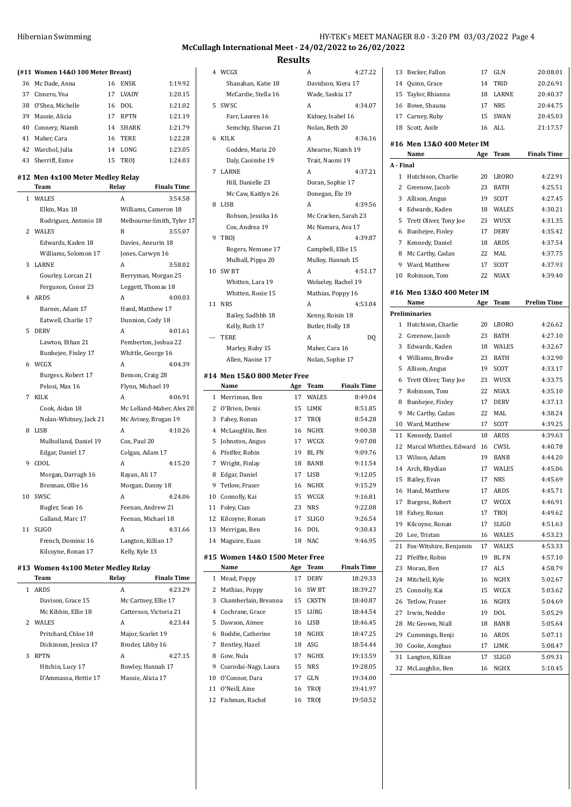| Hibernian Swimming | HY-TEK's MEET MANAGER 8.0 - 3:20 PM 03/03/2022 Page 4 |  |  |  |
|--------------------|-------------------------------------------------------|--|--|--|
|--------------------|-------------------------------------------------------|--|--|--|

 Bentley, Hazel 18 ASG 18:54.44 Gow, Nula 17 NGHX 19:13.59 Csarodai-Nagy, Laura 15 NRS 19:28.05 O'Connor, Dara 17 GLN 19:34.00 O'Neill, Aine 16 TROJ 19:41.97 Fishman, Rachel 16 TROJ 19:50.52

**McCullagh International Meet - 24/02/2022 to 26/02/2022**

**Results**

|    | (#11 Women 14&0 100 Meter Breast)  |         |                      |                           |    | 4 WCGX                               |    | A                  | 4:27.22              |
|----|------------------------------------|---------|----------------------|---------------------------|----|--------------------------------------|----|--------------------|----------------------|
|    | 36 Mc Dade, Anna                   | 16 ENSK |                      | 1:19.92                   |    | Shanahan, Katie 18                   |    |                    | Davidson, Kiera 17   |
| 37 | Cisnero, Yna                       | 17      | LVADY                | 1:20.15                   |    | McCardie, Stella 16                  |    | Wade, Saskia 17    |                      |
| 38 | O'Shea, Michelle                   | 16      | DOL                  | 1:21.02                   |    | 5 SWSC                               |    | A                  | 4:34.07              |
| 39 | Massie, Alicia                     | 17      | RPTN                 | 1:21.19                   |    | Farr, Lauren 16                      |    | Kidney, Isabel 16  |                      |
| 40 | Connery, Niamh                     | 14      | SHARK                | 1:21.79                   |    | Semchiy, Sharon 21                   |    | Nolan, Beth 20     |                      |
| 41 | Maher, Cara                        | 16      | <b>TERE</b>          | 1:22.28                   |    | 6 KILK                               |    | A                  | 4:36.16              |
|    | 42 Warchol, Julia                  | 14 LONG |                      | 1:23.05                   |    | Godden, Maria 20                     |    |                    | Ahearne, Niamh 19    |
| 43 | Sherriff, Esme                     | 15 TROJ |                      | 1:24.03                   |    | Daly, Caoimhe 19                     |    | Trait, Naomi 19    |                      |
|    |                                    |         |                      |                           |    | 7 LARNE                              |    | A                  | 4:37.21              |
|    | #12 Men 4x100 Meter Medley Relay   |         |                      |                           |    | Hill, Danielle 23                    |    | Doran, Sophie 17   |                      |
|    | Team                               | Relay   |                      | <b>Finals Time</b>        |    | Mc Caw, Kaitlyn 26                   |    | Donegan, Éle 19    |                      |
|    | 1 WALES                            | A       |                      | 3:54.58                   |    | 8 LISB                               |    | A                  | 4:39.56              |
|    | Elkin, Max 18                      |         |                      | Williams, Cameron 18      |    | Robson, Jessika 16                   |    |                    | Mc Cracken, Sarah 23 |
|    | Rodriguez, Antonio 18              |         |                      | Melbourne-Smith, Tyler 17 |    | Cox, Andrea 19                       |    |                    | Mc Namara, Ava 17    |
|    | 2 WALES                            | B       |                      | 3:55.07                   |    | 9 TROJ                               |    | A                  | 4:39.87              |
|    | Edwards, Kaden 18                  |         | Davies, Aneurin 18   |                           |    | Rogers, Nemone 17                    |    | Campbell, Ellie 15 |                      |
|    | Williams, Solomon 17               |         | Jones, Carwyn 16     |                           |    | Mulhall, Pippa 20                    |    |                    | Mulloy, Hannah 15    |
|    | 3 LARNE                            | A       |                      | 3:58.02                   |    | 10 SW BT                             |    | A                  | 4:51.17              |
|    | Gourley, Lorcan 21                 |         |                      | Berryman, Morgan 25       |    | Whitten, Lara 19                     |    |                    | Wolseley, Rachel 19  |
|    | Ferguson, Conor 23                 |         | Leggett, Thomas 18   |                           |    | Whitten, Rosie 15                    |    | Mathias, Poppy 16  |                      |
|    | 4 ARDS                             | A       |                      | 4:00.03                   |    | 11 NRS                               |    | A                  | 4:53.04              |
|    | Barnes, Adam 17                    |         | Hand, Matthew 17     |                           |    |                                      |    | Kenny, Roisin 18   |                      |
|    | Eatwell, Charlie 17                |         | Dunnion, Cody 18     |                           |    | Bailey, Sadhbh 18                    |    |                    |                      |
|    | 5 DERV                             | A       |                      | 4:01.61                   |    | Kelly, Ruth 17<br>--- TERE           |    | Butler, Holly 18   |                      |
|    | Lawton, Ethan 21                   |         |                      | Pemberton, Joshua 22      |    |                                      |    | A                  | DQ                   |
|    | Bunhejee, Finley 17                |         | Whittle, George 16   |                           |    | Marley, Ruby 15                      |    | Maher, Cara 16     |                      |
|    | 6 WCGX                             | A       |                      | 4:04.39                   |    | Allen, Naoise 17                     |    | Nolan, Sophie 17   |                      |
|    | Burgess, Robert 17                 |         | Benson, Craig 28     |                           |    | #14 Men 15&0 800 Meter Free          |    |                    |                      |
|    | Pelosi, Max 16                     |         | Flynn, Michael 19    |                           |    | Name                                 |    | Age Team           | <b>Finals Time</b>   |
|    | 7 KILK                             | A       |                      | 4:06.91                   |    | 1 Merriman, Ben                      | 17 | WALES              | 8:49.04              |
|    | Cook, Aidan 18                     |         |                      | Mc Lelland-Maher, Alex 20 |    | 2 O'Brien, Denis                     | 15 | LIMK               | 8:51.85              |
|    | Nolan-Whitney, Jack 21             |         |                      | Mc Aviney, Brogan 19      | 3  | Fahey, Ronan                         | 17 | TROJ               | 8:54.28              |
|    | 8 LISB                             | A       |                      | 4:10.26                   | 4  | McLaughlin, Ben                      |    | 16 NGHX            | 9:00.38              |
|    | Mulholland, Daniel 19              |         | Cox, Paul 20         |                           | 5  | Johnston, Angus                      |    | 17 WCGX            | 9:07.08              |
|    | Edgar, Daniel 17                   |         | Colgan, Adam 17      |                           | 6  | Pfeiffer, Robin                      | 19 | BL FN              | 9:09.76              |
|    | 9 COOL                             | A       |                      | 4:15.20                   | 7  | Wright, Finlay                       |    | 18 BANB            | 9:11.54              |
|    | Morgan, Darragh 16                 |         | Rayan, Ali 17        |                           | 8  | Edgar, Daniel                        |    | 17 LISB            | 9:12.05              |
|    | Brennan, Ollie 16                  |         | Morgan, Danny 18     |                           |    | 9 Tetlow, Fraser                     |    | 16 NGHX            | 9:15.29              |
|    | 10 SWSC                            |         |                      | 4:24.06                   |    | 10 Connolly, Kai                     |    | 15 WCGX            | 9:16.81              |
|    | Bugler, Sean 16                    |         | Feenan, Andrew 21    |                           |    | 11 Foley, Cian                       |    | 23 NRS             | 9:22.08              |
|    |                                    |         |                      |                           |    |                                      |    |                    | 9:26.54              |
|    | Galland, Marc 17                   |         | Feenan, Michael 18   |                           | 12 | Kilcovne, Ronan                      | 17 | <b>SLIGO</b>       |                      |
|    | 11 SLIGO                           | A       |                      | 4:31.66                   | 13 | Merrigan, Ben                        | 16 | DOL                | 9:30.43              |
|    | French, Dominic 16                 |         | Langton, Killian 17  |                           | 14 | Maguire, Euan                        |    | 18 NAC             | 9:46.95              |
|    | Kilcoyne, Ronan 17                 |         | Kelly, Kyle 13       |                           |    |                                      |    |                    |                      |
|    |                                    |         |                      |                           |    | #15 Women 14&0 1500 Meter Free       |    |                    |                      |
|    | #13 Women 4x100 Meter Medley Relay |         |                      |                           |    | Name                                 |    | Age Team           | <b>Finals Time</b>   |
|    | Team                               | Relay   |                      | <b>Finals Time</b>        |    | 1 Mead, Poppy                        |    | 17 DERV            | 18:29.33             |
|    | 1 ARDS                             | A       |                      | 4:23.29                   |    | 2 Mathias, Poppy                     | 16 | SW BT              | 18:39.27             |
|    | Davison, Grace 15                  |         | Mc Cartney, Ellie 17 |                           | 3  | Chamberlain, Breanna                 | 15 | CKSTN              | 18:40.87             |
|    | Mc Kibbin, Ellie 18                |         |                      | Catterson, Victoria 21    | 4  | Cochrane, Grace                      |    | 15 LURG            | 18:44.54             |
|    | 2 WALES<br>Pritchard, Chloe 18     | A       | Major, Scarlet 19    | 4:23.44                   | 5  | Dawson, Aimee<br>6 Boddie, Catherine |    | 16 LISB<br>18 NGHX | 18:46.45<br>18:47.25 |

Dickinson, Jessica 17 Broder, Libby 16 3 RPTN A 4:27.15 Hitchin, Lucy 17 Bowley, Hannah 17 D'Ammassa, Hettie 17 Massie, Alicia 17

| 14        | Quinn, Grace              | 14  | TRID         | 20:26.91           |
|-----------|---------------------------|-----|--------------|--------------------|
| 15        | Taylor, Rhianna           | 18  | <b>LARNE</b> | 20:40.37           |
| 16        | Bowe, Shauna              | 17  | <b>NRS</b>   | 20:44.75           |
| 17        | Carney, Ruby              | 15  | SWAN         | 20:45.03           |
| 18        | Scott, Aoife              | 16  | ALL          | 21:17.57           |
|           | #16 Men 13&0 400 Meter IM |     |              |                    |
|           | Name                      | Age | Team         | <b>Finals Time</b> |
| A - Final |                           |     |              |                    |
| 1         | Hutchison, Charlie        | 20  | <b>LBORO</b> | 4:22.91            |
| 2         | Greenow, Jacob            | 23  | <b>BATH</b>  | 4:25.51            |
| 3         | Allison, Angus            | 19  | SCOT         | 4:27.45            |
| 4         | Edwards, Kaden            | 18  | WALES        | 4:30.21            |
| 5         | Trett Oliver, Tony Joe    | 23  | WUSX         | 4:31.35            |
| 6         | Bunhejee, Finley          | 17  | <b>DERV</b>  | 4:35.42            |
| 7         | Kennedy, Daniel           | 18  | ARDS         | 4:37.54            |
| 8         | Mc Carthy, Cadan          | 22  | MAL          | 4:37.75            |
| 9         | Ward, Matthew             | 17  | SCOT         | 4:37.93            |
| 10        | Robinson, Tom             | 22  | <b>NUAX</b>  | 4:39.40            |
|           |                           |     |              |                    |
|           | #16 Men 13&0 400 Meter IM |     |              |                    |
|           | Name                      | Age | <b>Team</b>  | <b>Prelim Time</b> |
|           | Preliminaries             |     |              |                    |
| 1         | Hutchison, Charlie        | 20  | <b>LBORO</b> | 4:26.62            |
| 2         | Greenow, Jacob            | 23  | <b>BATH</b>  | 4:27.10            |
| 3         | Edwards, Kaden            | 18  | <b>WALES</b> | 4:32.67            |
| 4         | Williams, Brodie          | 23  | BATH         | 4:32.90            |
| 5         | Allison, Angus            | 19  | SCOT         | 4:33.17            |
| 6         | Trett Oliver, Tony Joe    | 23  | WUSX         | 4:33.75            |
| 7         | Robinson, Tom             | 22  | NUAX         | 4:35.10            |
| 8         | Bunhejee, Finley          | 17  | <b>DERV</b>  | 4:37.13            |
| 9         | Mc Carthy, Cadan          | 22  | MAL          | 4:38.24            |
| 10        | Ward, Matthew             | 17  | SCOT         | 4:39.25            |
| 11        | Kennedy, Daniel           | 18  | ARDS         | 4:39.63            |
| 12        | Marcal Whittles, Edward   | 16  | CWSL         | 4:40.78            |
| 13        | Wilson, Adam              | 19  | BANB         | 4:44.20            |
| 14        | Arch, Rhydian             | 17  | WALES        | 4:45.06            |
| 15        | Bailey, Evan              | 17  | <b>NRS</b>   | 4:45.69            |
| 16        | Hand, Matthew             | 17  | ARDS         | 4:45.71            |
| 17        | Burgess, Robert           | 17  | WCGX         | 4:46.91            |
| 18        | Fahey, Ronan              | 17  | TROJ         | 4:49.62            |
| 19        | Kilcoyne, Ronan           | 17  | SLIGO        | 4:51.63            |
| 20        | Lee, Tristan              | 16  | WALES        | 4:53.23            |
| 21        | Fox-Witshire, Benjamin    | 17  | WALES        | 4:53.33            |
| 22        | Pfeiffer, Robin           | 19  | BL FN        | 4:57.10            |
| 23        | Moran, Ben                | 17  | <b>ALS</b>   | 4:58.79            |
| 24        | Mitchell, Kyle            | 16  | NGHX         | 5:02.67            |
| 25        | Connolly, Kai             | 15  | WCGX         | 5:03.62            |
| 26        | Tetlow, Fraser            | 16  | NGHX         | 5:04.69            |
| 27        | Irwin, Neddie             | 19  | DOL          | 5:05.29            |
| 28        | Mc Geown, Niall           | 18  | BANB         | 5:05.64            |
| 29        | Cummings, Benji           | 16  | ARDS         | 5:07.11            |
| 30        | Cooke, Aonghus            | 17  | LIMK         | 5:08.47            |
| 31        | Langton, Killian          | 17  | SLIGO        | 5:09.31            |
| 32        | McLaughlin, Ben           | 16  | NGHX         | 5:10.45            |
|           |                           |     |              |                    |

13 Becker, Fallon 17 GLN 20:08.01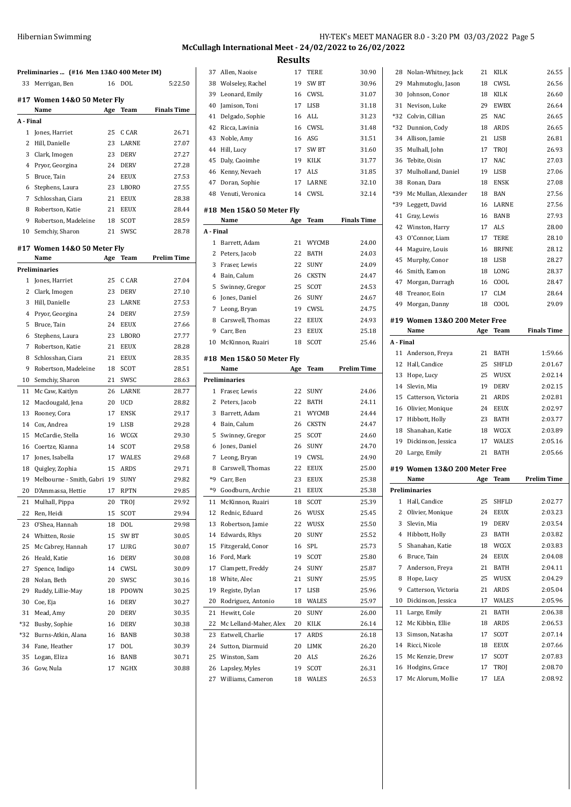## HY-TEK's MEET MANAGER 8.0 - 3:20 PM 03/03/2022 Page 5 **McCullagh International Meet - 24/02/2022 to 26/02/2022**

**Results** Allen, Naoise 17 TERE 30.90

|           | Preliminaries  (#16 Men 13&0 400 Meter IM) |     |              |                    |
|-----------|--------------------------------------------|-----|--------------|--------------------|
| 33        | Merrigan, Ben                              | 16  | DOL          | 5:22.50            |
|           | #17 Women 14&0 50 Meter Fly                |     |              |                    |
|           | Name                                       | Age | Team         | <b>Finals Time</b> |
| A - Final |                                            |     |              |                    |
| 1         | Jones, Harriet                             | 25  | C CAR        | 26.71              |
| 2         | Hill, Danielle                             | 23  | LARNE        | 27.07              |
| 3         | Clark, Imogen                              | 23  | <b>DERV</b>  | 27.27              |
| 4         | Pryor, Georgina                            | 24  | <b>DERV</b>  | 27.28              |
| 5         | Bruce, Tain                                | 24  | EEUX         | 27.53              |
| 6         | Stephens, Laura                            | 23  | LBORO        | 27.55              |
| 7         | Schlosshan, Ciara                          | 21  | <b>EEUX</b>  | 28.38              |
| 8         | Robertson, Katie                           | 21  | EEUX         | 28.44              |
| 9         | Robertson, Madeleine                       | 18  | <b>SCOT</b>  | 28.59              |
| 10        | Semchiy, Sharon                            | 21  | SWSC         | 28.78              |
|           |                                            |     |              |                    |
|           | #17 Women 14&0 50 Meter Fly<br>Name        |     |              | <b>Prelim Time</b> |
|           | <b>Preliminaries</b>                       | Age | Team         |                    |
| 1         | Jones, Harriet                             | 25  | C CAR        | 27.04              |
| 2         | Clark, Imogen                              | 23  | <b>DERV</b>  | 27.10              |
| 3         | Hill, Danielle                             | 23  | LARNE        | 27.53              |
| 4         | Pryor, Georgina                            | 24  | <b>DERV</b>  | 27.59              |
| 5         | Bruce, Tain                                | 24  | <b>EEUX</b>  | 27.66              |
| 6         | Stephens, Laura                            | 23  | LBORO        | 27.77              |
| 7         | Robertson, Katie                           | 21  | EEUX         | 28.28              |
| 8         | Schlosshan, Ciara                          | 21  | <b>EEUX</b>  | 28.35              |
| 9         | Robertson, Madeleine                       | 18  | <b>SCOT</b>  | 28.51              |
| 10        | Semchiy, Sharon                            | 21  | SWSC         | 28.63              |
| 11        | Mc Caw, Kaitlyn                            | 26  | LARNE        | 28.77              |
| 12        | Macdougald, Jena                           | 20  | <b>UCD</b>   | 28.82              |
| 13        | Rooney, Cora                               | 17  | <b>ENSK</b>  | 29.17              |
| 14        | Cox, Andrea                                | 19  | LISB         | 29.28              |
| 15        | McCardie, Stella                           | 16  | WCGX         | 29.30              |
| 16        | Coertze, Kianna                            | 14  | SCOT         | 29.58              |
| 17        | Jones, Isabella                            | 17  | <b>WALES</b> | 29.68              |
| 18        | Quigley, Zophia                            | 15  | ARDS         | 29.71              |
| 19        | Melbourne - Smith, Gabri 19                |     | <b>SUNY</b>  | 29.82              |
| 20        | D'Ammassa, Hettie                          | 17  | RPTN         | 29.85              |
| 21        | Mulhall, Pippa                             | 20  | TROJ         | 29.92              |
| 22        | Ren, Heidi                                 | 15  | SCOT         | 29.94              |
| 23        | O'Shea, Hannah                             | 18  | DOL          | 29.98              |
| 24        | Whitten, Rosie                             | 15  | SW BT        | 30.05              |
| 25        | Mc Cabrey, Hannah                          | 17  | LURG         | 30.07              |
| 26        | Heald, Katie                               | 16  | DERV         | 30.08              |
| 27        | Spence, Indigo                             | 14  | CWSL         | 30.09              |
| 28        | Nolan, Beth                                | 20  | SWSC         | 30.16              |
| 29        | Ruddy, Lillie-May                          | 18  | PDOWN        | 30.25              |
| 30        | Coe, Eja                                   | 16  | DERV         | 30.27              |
| 31        | Mead, Amy                                  | 20  | DERV         | 30.35              |
| *32       | Busby, Sophie                              | 16  | DERV         | 30.38              |
| *32       | Burns-Atkin, Alana                         | 16  | BANB         | 30.38              |
| 34        | Fane, Heather                              | 17  | DOL          | 30.39              |
| 35        | Logan, Eliza                               | 16  | BANB         | 30.71              |
| 36        | Gow, Nula                                  | 17  | NGHX         | 30.88              |

| 38        | Wolseley, Rachel                    | 19       | SW <sub>BT</sub> | 30.96              |
|-----------|-------------------------------------|----------|------------------|--------------------|
| 39        | Leonard, Emily                      | 16       | CWSL             | 31.07              |
| 40        | Jamison, Toni                       | 17       | LISB             | 31.18              |
| 41        | Delgado, Sophie                     | 16       | ALL              | 31.23              |
| 42        | Ricca, Lavinia                      | 16       | CWSL             | 31.48              |
| 43        | Noble, Amy                          | 16       | ASG              | 31.51              |
| 44        | Hill, Lucy                          | 17       | SW BT            | 31.60              |
| 45        | Daly, Caoimhe                       | 19       | KILK             | 31.77              |
| 46        | Kenny, Nevaeh                       | 17       | ALS              | 31.85              |
|           | 47 Doran, Sophie                    | 17       | LARNE            | 32.10              |
| 48        | Venuti, Veronica                    | 14       | CWSL             | 32.14              |
|           | #18 Men 15&0 50 Meter Fly           |          |                  |                    |
| A - Final | Name                                | Age      | Team             | <b>Finals Time</b> |
|           |                                     |          |                  |                    |
| 1         | Barrett, Adam                       | 21       | WYCMB            | 24.00              |
| 2         | Peters, Jacob                       | 22       | BATH             | 24.03              |
| 3         | Fraser, Lewis                       | 22       | SUNY             | 24.09              |
| 4         | Bain, Calum                         | 26       | <b>CKSTN</b>     | 24.47              |
| 5         | Swinney, Gregor                     | 25       | SCOT             | 24.53              |
| 6         | Jones, Daniel                       | 26       | SUNY             | 24.67              |
| 7         | Leong, Bryan                        | 19       | CWSL             | 24.75              |
| 8         | Carswell, Thomas                    | 22       | EEUX             | 24.93              |
| 9         | Carr, Ben                           | 23       | EEUX             | 25.18              |
|           | 10 McKinnon, Ruairi                 | 18       | SCOT             | 25.46              |
|           | #18 Men 15&0 50 Meter Fly           |          |                  |                    |
|           | Name                                | Age      | Team             | <b>Prelim Time</b> |
|           | <b>Preliminaries</b>                |          |                  |                    |
| 1         | Fraser, Lewis                       | 22       | SUNY             | 24.06              |
| 2         | Peters, Jacob                       | 22       | BATH             | 24.11              |
| 3         | Barrett, Adam                       | 21       | WYCMB            | 24.44              |
| 4         | Bain, Calum                         | 26       | <b>CKSTN</b>     | 24.47              |
| 5         | Swinney, Gregor                     | 25       | SCOT             | 24.60              |
| 6         | Jones, Daniel                       | 26       | SUNY             | 24.70              |
| 7         | Leong, Bryan                        | 19       | CWSL             | 24.90              |
| 8         | Carswell, Thomas                    | 22       | EEUX             | 25.00              |
| *9        | Carr, Ben                           | 23       | EEUX             | 25.38              |
| *9        | Goodburn, Archie                    | 21       | EEUX             | 25.38              |
| 11        | McKinnon, Ruairi                    | 18       | SCOT             | 25.39              |
| 12        | Rednic, Eduard                      | 26       | WUSX             | 25.45              |
| 13        | Robertson, Jamie                    | 22       | WUSX             | 25.50              |
| 14        | Edwards, Rhys                       | 20       | SUNY             | 25.52              |
| 15        | Fitzgerald, Conor                   | 16       | SPL              | 25.73              |
| 16        | Ford, Mark                          | 19       | SCOT             | 25.80              |
| 17        | Clampett, Freddy                    | 24       | SUNY             | 25.87              |
| 18        | White, Alec                         | 21       | SUNY             | 25.95              |
| 19        | Registe, Dylan                      | 17       | LISB             | 25.96              |
| 20        | Rodriguez, Antonio                  | 18       | WALES            | 25.97              |
|           | Hewitt, Cole                        | 20       |                  |                    |
| 21<br>22  |                                     | 20       | SUNY             | 26.00              |
|           | Mc Lelland-Maher, Alex              |          | KILK             | 26.14              |
| 23        | Eatwell, Charlie                    | 17       | ARDS             | 26.18              |
| 24        |                                     |          |                  |                    |
| 25        | Sutton, Diarmuid                    | 20       | LIMK             | 26.20              |
|           | Winston, Sam                        | 20       | ALS              | 26.26              |
| 26<br>27  | Lapsley, Myles<br>Williams, Cameron | 19<br>18 | SCOT<br>WALES    | 26.31<br>26.53     |

| 28             | Nolan-Whitney, Jack                   | 21       | KILK         | 26.55              |
|----------------|---------------------------------------|----------|--------------|--------------------|
| 29             | Mahmutoglu, Jason                     | 18       | CWSL         | 26.56              |
| 30             | Johnson. Conor                        | 18       | <b>KILK</b>  | 26.60              |
| 31             | Nevison, Luke                         | 29       | <b>EWBX</b>  | 26.64              |
| *32            | Colvin, Cillian                       | 25       | NAC          | 26.65              |
| *32            | Dunnion, Cody                         | 18       | <b>ARDS</b>  | 26.65              |
| 34             | Allison, Jamie                        | 21       | LISB         | 26.81              |
| 35             | Mulhall, John                         | 17       | TROJ         | 26.93              |
| 36             | Tebite, Oisin                         | 17       | NAC          | 27.03              |
| 37             | Mulholland, Daniel                    | 19       | <b>LISB</b>  | 27.06              |
| 38             | Ronan, Dara                           | 18       | ENSK         | 27.08              |
| *39            | Mc Mullan, Alexander                  | 18       | BAN          | 27.56              |
| *39            | Leggett, David                        | 16       | LARNE        | 27.56              |
| 41             | Gray, Lewis                           | 16       | BANB         | 27.93              |
| 42             | Winston, Harry                        | 17       | ALS          | 28.00              |
| 43             | O'Connor, Liam                        | 17       | TERE         | 28.10              |
| 44             | Maguire, Louis                        | 16       | <b>BRFNE</b> | 28.12              |
| 45             | Murphy, Conor                         | 18       | LISB         | 28.27              |
| 46             | Smith, Eamon                          | 18       | LONG         | 28.37              |
| 47             | Morgan, Darragh                       | 16       | COOL         | 28.47              |
| 48             | Treanor, Eoin                         | 17       | CLM          | 28.64              |
| 49             | Morgan, Danny                         | 18       | COOL         | 29.09              |
|                | #19 Women 13&0 200 Meter Free         |          |              |                    |
|                | Name                                  | Age      | Team         | <b>Finals Time</b> |
| A Final        |                                       |          |              |                    |
| 11             | Anderson, Freya                       | 21       | BATH         | 1:59.66            |
| 12             | Hall, Candice                         | 25       | SHFLD        | 2:01.67            |
| 13             | Hope, Lucy                            | 25       | WUSX         | 2:02.14            |
|                |                                       |          |              |                    |
| 14             | Slevin, Mia                           | 19       | DERV         | 2:02.15            |
| 15             | Catterson, Victoria                   | 21       | ARDS         | 2:02.81            |
| 16             | Olivier, Monique                      | 24       | EEUX         | 2:02.97            |
| 17             | Hibbott, Holly                        | 23       | BATH         | 2:03.77            |
| 18             | Shanahan, Katie                       | 18       | WCGX         | 2:03.89            |
| 19             | Dickinson, Jessica                    | 17       | WALES        | 2:05.16            |
| 20             | Large, Emily                          | 21       | BATH         | 2:05.66            |
|                |                                       |          |              |                    |
|                | #19 Women 13&0 200 Meter Free<br>Name | Age      | Team         | <b>Prelim Time</b> |
|                | <b>Preliminaries</b>                  |          |              |                    |
| 1              | Hall, Candice                         | 25       | SHFLD        | 2:02.77            |
| 2              | Olivier, Monique                      | 24       | EEUX         | 2:03.23            |
| 3              | Slevin, Mia                           | 19       | DERV         | 2:03.54            |
| $\overline{4}$ | Hibbott, Holly                        | 23       | BATH         | 2:03.82            |
| 5              | Shanahan, Katie                       | 18       | WCGX         | 2:03.83            |
| 6              | Bruce, Tain                           | 24       | EEUX         | 2:04.08            |
| 7              | Anderson, Freya                       | 21       | BATH         | 2:04.11            |
| 8              | Hope, Lucy                            | 25       | WUSX         | 2:04.29            |
| 9              | Catterson, Victoria                   | 21       | ARDS         | 2:05.04            |
| 10             | Dickinson, Jessica                    | 17       | WALES        | 2:05.96            |
| 11             | Large, Emily                          | 21       | <b>BATH</b>  | 2:06.38            |
| 12             | Mc Kibbin, Ellie                      | 18       | ARDS         | 2:06.53            |
| 13             | Simson, Natasha                       | 17       | SCOT         | 2:07.14            |
| 14             | Ricci, Nicole                         | 18       | EEUX         | 2:07.66            |
| 15             | Mc Kenzie, Drew                       | 17       | SCOT         | 2:07.83            |
| 16<br>17       | Hodgins, Grace<br>Mc Alorum, Mollie   | 17<br>17 | TROJ<br>LEA  | 2:08.70<br>2:08.92 |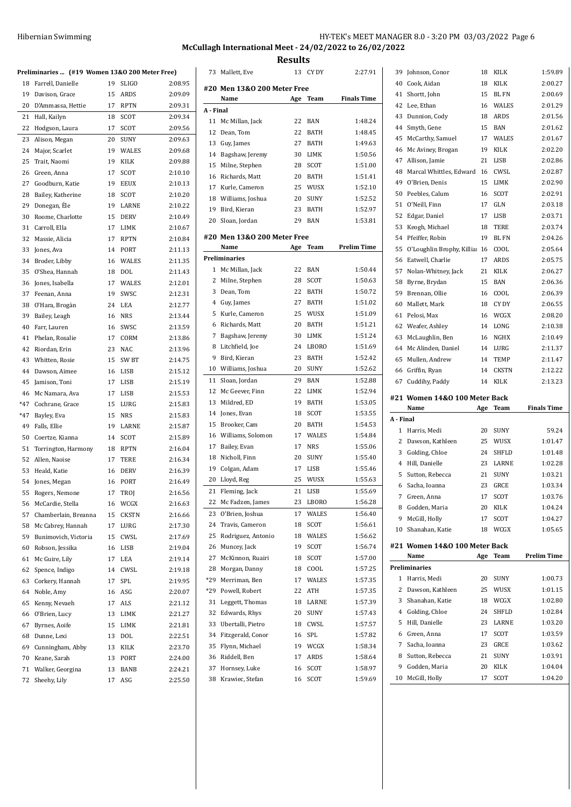# **McCullagh International Meet - 24/02/2022 to 26/02/2022**

**Results**

|       |                                                |    |              | M       |
|-------|------------------------------------------------|----|--------------|---------|
|       | Preliminaries  (#19 Women 13&0 200 Meter Free) |    |              |         |
| 18    | Farrell, Danielle                              | 19 | <b>SLIGO</b> | 2:08.95 |
| 19    | Davison, Grace                                 | 15 | ARDS         | 2:09.09 |
| 20    | D'Ammassa, Hettie                              | 17 | RPTN         | 2:09.31 |
| 21    | Hall, Kailyn                                   | 18 | SCOT         | 2:09.34 |
| 22    | Hodgson, Laura                                 | 17 | SCOT         | 2:09.56 |
| 23    | Alison, Megan                                  | 20 | SUNY         | 2:09.63 |
| 24    | Major, Scarlet                                 | 19 | WALES        | 2:09.68 |
| 25    | Trait, Naomi                                   | 19 | KILK         | 2:09.88 |
|       | 26 Green, Anna                                 | 17 | SCOT         | 2:10.10 |
|       | 27 Goodburn, Katie                             | 19 | EEUX         | 2:10.13 |
| 28    | Bailey, Katherine                              | 18 | SCOT         | 2:10.20 |
| 29    | Donegan, Éle                                   | 19 | LARNE        | 2:10.22 |
| 30    | Roome, Charlotte                               | 15 | <b>DERV</b>  | 2:10.49 |
| 31    | Carroll, Ella                                  | 17 | LIMK         | 2:10.67 |
|       | 32 Massie, Alicia                              | 17 | <b>RPTN</b>  | 2:10.84 |
| 33    | Jones, Ava                                     | 14 | PORT         | 2:11.13 |
| 34    | Broder, Libby                                  | 16 | WALES        | 2:11.35 |
| 35    | O'Shea, Hannah                                 | 18 | DOL          | 2:11.43 |
| 36    | Jones, Isabella                                | 17 | WALES        | 2:12.01 |
| 37    | Feenan, Anna                                   | 19 | SWSC         | 2:12.31 |
| 38    | O'Hara, Brogán                                 | 24 | LEA          | 2:12.77 |
| 39    | Bailey, Leagh                                  | 16 | <b>NRS</b>   | 2:13.44 |
| 40    | Farr, Lauren                                   | 16 | SWSC         | 2:13.59 |
| 41    | Phelan, Rosalie                                | 17 | CORM         | 2:13.86 |
| 42    | Riordan, Erin                                  | 23 | <b>NAC</b>   | 2:13.96 |
| 43    | Whitten, Rosie                                 | 15 | SW BT        | 2:14.75 |
| 44    | Dawson, Aimee                                  | 16 | LISB         | 2:15.12 |
| 45    | Jamison, Toni                                  | 17 | LISB         | 2:15.19 |
| 46    | Mc Namara, Ava                                 | 17 | LISB         | 2:15.53 |
|       | *47 Cochrane, Grace                            | 15 | LURG         | 2:15.83 |
| $*47$ | Bayley, Eva                                    | 15 | <b>NRS</b>   | 2:15.83 |
| 49    | Falls, Ellie                                   | 19 | LARNE        | 2:15.87 |
|       | 50 Coertze, Kianna                             | 14 | <b>SCOT</b>  | 2:15.89 |
| 51    | Torrington, Harmony                            | 18 | RPTN         | 2:16.04 |
| 52    | Allen, Naoise                                  | 17 | TERE         | 2:16.34 |
| 53    | Heald, Katie                                   | 16 | <b>DERV</b>  | 2:16.39 |
| 54    | Jones, Megan                                   | 16 | PORT         | 2:16.49 |
| 55    | Rogers, Nemone                                 | 17 | TROJ         | 2:16.56 |
| 56    | McCardie, Stella                               | 16 | WCGX         | 2:16.63 |
| 57    | Chamberlain, Breanna                           | 15 | <b>CKSTN</b> | 2:16.66 |
| 58    | Mc Cabrey, Hannah                              | 17 | LURG         | 2:17.30 |
| 59    | Bunimovich, Victoria                           | 15 | CWSL         | 2:17.69 |
| 60    | Robson, Jessika                                | 16 | LISB         | 2:19.04 |
| 61    | Mc Guire, Lily                                 | 17 | LEA          | 2:19.14 |
| 62    | Spence, Indigo                                 | 14 | CWSL         | 2:19.18 |
| 63    | Corkery, Hannah                                | 17 | SPL          | 2:19.95 |
| 64    | Noble, Amy                                     | 16 | ASG          | 2:20.07 |
| 65    | Kenny, Nevaeh                                  | 17 | ALS          | 2:21.12 |
| 66    | O'Brien, Lucy                                  | 13 | LIMK         | 2:21.27 |
| 67    | Byrnes, Aoife                                  | 15 | LIMK         | 2:21.81 |
| 68    | Dunne, Lexi                                    | 13 | DOL          | 2:22.51 |
| 69    | Cunningham, Abby                               | 13 | KILK         | 2:23.70 |
| 70    | Keane, Sarah                                   | 13 | PORT         | 2:24.00 |
| 71    | Walker, Georgina                               | 13 | BANB         | 2:24.21 |

Sheehy, Lily 17 ASG 2:25.50

| 73        | Mallett, Eve                      | 13  | CY DY        | 2:27.91            |
|-----------|-----------------------------------|-----|--------------|--------------------|
|           | #20 Men 13&0 200 Meter Free       |     |              |                    |
|           | Name                              | Age | Team         | <b>Finals Time</b> |
| A - Final |                                   |     |              |                    |
| 11        | Mc Millan, Jack                   | 22  | BAN          | 1:48.24            |
| 12        | Dean, Tom                         | 22  | BATH         | 1:48.45            |
| 13        | Guy, James                        | 27  | BATH         | 1:49.63            |
| 14        | Bagshaw, Jeremy                   | 30  | LIMK         | 1:50.56            |
| 15        | Milne, Stephen                    | 28  | SCOT         | 1:51.00            |
| 16        | Richards, Matt                    | 20  | BATH         | 1:51.41            |
|           | 17 Kurle, Cameron                 | 25  | WUSX         | 1:52.10            |
| 18        | Williams, Joshua                  | 20  | SUNY         | 1:52.52            |
| 19        | Bird, Kieran                      | 23  | BATH         | 1:52.97            |
| 20        | Sloan, Jordan                     | 29  | <b>BAN</b>   | 1:53.81            |
|           | #20 Men 13&0 200 Meter Free       |     |              |                    |
|           | Name                              | Age | Team         | <b>Prelim Time</b> |
|           | Preliminaries                     |     |              |                    |
| 1         | Mc Millan, Jack                   | 22  | BAN          | 1:50.44            |
| 2         | Milne, Stephen                    | 28  | SCOT         | 1:50.63            |
| 3         | Dean, Tom                         | 22  | BATH         | 1:50.72            |
|           | 4 Guy, James                      | 27  | <b>BATH</b>  | 1:51.02            |
| 5         | Kurle, Cameron                    | 25  | WUSX         | 1:51.09            |
| 6         | Richards, Matt                    | 20  | <b>BATH</b>  | 1:51.21            |
| 7         | Bagshaw, Jeremy                   | 30  | LIMK         | 1:51.24            |
| 8         | Litchfield, Joe                   | 24  | LBORO        | 1:51.69            |
| 9         | Bird, Kieran                      | 23  | BATH         | 1:52.42            |
| 10        | Williams, Joshua                  | 20  | SUNY         | 1:52.62            |
| 11        | Sloan, Jordan                     | 29  | BAN          | 1:52.88            |
| 12        | Mc Geever, Finn                   | 22  | LIMK         | 1:52.94            |
| 13        | Mildred, ED                       | 19  | BATH         | 1:53.05            |
| 14        | Jones, Evan                       | 18  | SCOT         | 1:53.55            |
| 15        | Brooker, Cam                      | 20  | BATH         | 1:54.53            |
| 16        | Williams, Solomon                 | 17  | <b>WALES</b> | 1:54.84            |
| 17        | Bailey, Evan                      | 17  | <b>NRS</b>   | 1:55.06            |
| 18        | Nicholl, Finn                     | 20  | SUNY         | 1:55.40            |
|           |                                   | 17  | LISB         | 1:55.46            |
| 19        | Colgan, Adam                      |     |              |                    |
| 20        | Lloyd, Reg                        | 25  | WUSX         | 1:55.63            |
| 21        | Fleming, Jack<br>Mc Fadzen, James | 21  | LISB         | 1:55.69            |
| 22        |                                   | 23  | LBORO        | 1:56.28            |
| 23        | O'Brien, Joshua                   | 17  | WALES        | 1:56.40            |
| 24        | Travis, Cameron                   | 18  | SCOT         | 1:56.61            |
| 25        | Rodriguez, Antonio                | 18  | WALES        | 1:56.62            |
| 26        | Muncey, Jack                      | 19  | SCOT         | 1:56.74            |
| 27        | McKinnon, Ruairi                  | 18  | SCOT         | 1:57.00            |
| 28        | Morgan, Danny                     | 18  | COOL         | 1:57.25            |
| *29       | Merriman, Ben                     | 17  | <b>WALES</b> | 1:57.35            |
| *29       | Powell, Robert                    | 22  | ATH          | 1:57.35            |
| 31        | Leggett, Thomas                   | 18  | LARNE        | 1:57.39            |
| 32        | Edwards, Rhys                     | 20  | SUNY         | 1:57.43            |
| 33        | Ubertalli, Pietro                 | 18  | CWSL         | 1:57.57            |
| 34        | Fitzgerald, Conor                 | 16  | SPL          | 1:57.82            |
| 35        | Flynn, Michael                    | 19  | WCGX         | 1:58.34            |
| 36        | Riddell, Ben                      | 17  | ARDS         | 1:58.64            |
| 37        | Hornsey, Luke                     | 16  | SCOT         | 1:58.97            |
| 38        | Krawiec, Stefan                   | 16  | SCOT         | 1:59.69            |

| 39             | Johnson, Conor                 | 18       | KILK         | 1:59.89            |
|----------------|--------------------------------|----------|--------------|--------------------|
| 40             | Cook, Aidan                    | 18       | KILK         | 2:00.27            |
| 41             | Shortt, John                   | 15       | <b>BL FN</b> | 2:00.69            |
| 42             | Lee, Ethan                     | 16       | WALES        | 2:01.29            |
| 43             | Dunnion, Cody                  | 18       | <b>ARDS</b>  | 2:01.56            |
| 44             | Smyth, Gene                    | 15       | BAN          | 2:01.62            |
| 45             | McCarthy, Samuel               | 17       | WALES        | 2:01.67            |
| 46             | Mc Aviney, Brogan              | 19       | KILK         | 2:02.20            |
| 47             | Allison, Jamie                 | 21       | LISB         | 2:02.86            |
| 48             | Marcal Whittles, Edward        | 16       | CWSL         | 2:02.87            |
| 49             | O'Brien, Denis                 | 15       | LIMK         | 2:02.90            |
| 50             | Peebles, Calum                 | 16       | SCOT         | 2:02.91            |
| 51             | O'Neill, Finn                  | 17       | GLN          | 2:03.18            |
| 52             | Edgar, Daniel                  | 17       | LISB         | 2:03.71            |
| 53             | Keogh, Michael                 | 18       | TERE         | 2:03.74            |
| 54             | Pfeiffer, Robin                | 19       | BL FN        | 2:04.26            |
| 55             | O'Loughlin Brophy, Killia 16   |          | COOL         | 2:05.64            |
| 56             | Eatwell, Charlie               | 17       | ARDS         | 2:05.75            |
| 57             | Nolan-Whitney, Jack            | 21       | KILK         | 2:06.27            |
| 58             | Byrne, Brydan                  | 15       | BAN          | 2:06.36            |
| 59             |                                | 16       | COOL         | 2:06.39            |
| 60             | Brennan, Ollie                 |          |              |                    |
|                | Mallett, Mark                  | 18       | CY DY        | 2:06.55            |
| 61             | Pelosi, Max                    | 16       | WCGX         | 2:08.20            |
| 62             | Weafer, Ashley                 | 14       | LONG         | 2:10.38            |
| 63             | McLaughlin, Ben                | 16       | NGHX         | 2:10.49            |
| 64             | Mc Alinden, Daniel             | 14       | LURG         | 2:11.37            |
| 65             | Mullen, Andrew                 | 14       | TEMP         | 2:11.47            |
| 66             | Griffin, Ryan                  | 14       | CKSTN        | 2:12.22            |
|                |                                |          |              |                    |
| 67             | Cuddihy, Paddy                 | 14       | KILK         | 2:13.23            |
|                | #21 Women 14&0 100 Meter Back  |          |              |                    |
|                | Name                           | Age      | Team         | <b>Finals Time</b> |
| A - Final      |                                |          |              |                    |
| $\mathbf{1}$   | Harris, Medi                   | 20       | SUNY         | 59.24              |
| 2              | Dawson, Kathleen               | 25       | WUSX         | 1:01.47            |
| 3              | Golding, Chloe                 | 24       | SHFLD        | 1:01.48            |
| 4              | Hill, Danielle                 | 23       | LARNE        | 1:02.28            |
| 5              | Sutton, Rebecca                | 21       | SUNY         | 1:03.21            |
| 6              | Sacha, Ioanna                  | 23       | GRCE         | 1:03.34            |
|                | 7 Green, Anna                  |          | 17 SCOT      | 1:03.76            |
| 8              | Godden, Maria                  | 20       | KILK         | 1:04.24            |
| 9              | McGill, Holly                  | 17       | SCOT         | 1:04.27            |
| 10             | Shanahan, Katie                | 18       | WCGX         | 1:05.65            |
|                |                                |          |              |                    |
|                | #21 Women 14&0 100 Meter Back  |          |              |                    |
|                | Name                           | Age      | Team         | <b>Prelim Time</b> |
|                | Preliminaries                  |          |              |                    |
| 1              | Harris, Medi                   | 20       | SUNY         | 1:00.73            |
| $\overline{2}$ | Dawson, Kathleen               | 25       | WUSX         | 1:01.15            |
| 3              | Shanahan, Katie                | 18       | WCGX         | 1:02.80            |
| 4              | Golding, Chloe                 | 24       | SHFLD        | 1:02.84            |
| 5              | Hill, Danielle                 | 23       | LARNE        | 1:03.20            |
| 6              | Green, Anna                    | 17       | SCOT         | 1:03.59            |
| 7              | Sacha, Ioanna                  | 23       | GRCE         | 1:03.62            |
| 8              | Sutton, Rebecca                | 21       | SUNY         | 1:03.91            |
| 9<br>10        | Godden, Maria<br>McGill, Holly | 20<br>17 | KILK<br>SCOT | 1:04.04<br>1:04.20 |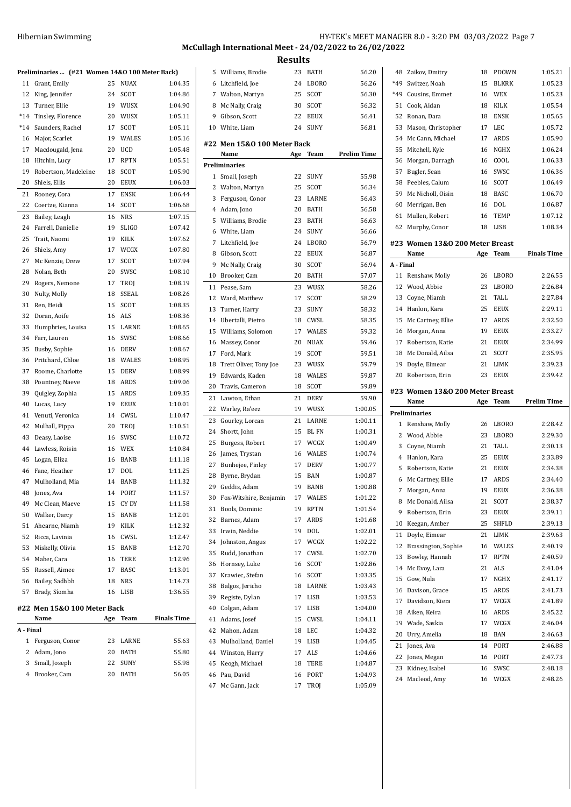| Hibernian Swimming | HY-TEK's MEET MANAGER 8.0 - 3:20 PM 03/03/2022 Page 7 |
|--------------------|-------------------------------------------------------|
|--------------------|-------------------------------------------------------|

# **McCullagh International Meet - 24/02/2022 to 26/02/2022**

**Results**

|           | Preliminaries  (#21 Women 14&0 100 Meter Back) |     |              |                    |
|-----------|------------------------------------------------|-----|--------------|--------------------|
| 11        | Grant, Emily                                   | 25  | <b>NUAX</b>  | 1:04.35            |
| 12        | King, Jennifer                                 | 24  | <b>SCOT</b>  | 1:04.86            |
| 13        | Turner, Ellie                                  | 19  | <b>WUSX</b>  | 1:04.90            |
| $*14$     | Tinsley, Florence                              | 20  | WUSX         | 1:05.11            |
| *14       | Saunders, Rachel                               | 17  | SCOT         | 1:05.11            |
| 16        | Major, Scarlet                                 | 19  | <b>WALES</b> | 1:05.16            |
| 17        | Macdougald, Jena                               | 20  | UCD          | 1:05.48            |
| 18        | Hitchin, Lucy                                  | 17  | <b>RPTN</b>  | 1:05.51            |
| 19        | Robertson, Madeleine                           | 18  | SCOT         | 1:05.90            |
| 20        | Shiels, Ellis                                  | 20  | EEUX         | 1:06.03            |
| 21        | Rooney, Cora                                   | 17  | ENSK         | 1:06.44            |
| 22        | Coertze, Kianna                                | 14  | SCOT         | 1:06.68            |
| 23        | Bailey, Leagh                                  | 16  | NRS          | 1:07.15            |
| 24        | Farrell, Danielle                              | 19  | <b>SLIGO</b> | 1:07.42            |
| 25        | Trait, Naomi                                   | 19  | KILK         | 1:07.62            |
| 26        | Shiels, Amy                                    | 17  | WCGX         | 1:07.80            |
| 27        | Mc Kenzie, Drew                                | 17  | SCOT         | 1:07.94            |
| 28        | Nolan, Beth                                    | 20  | SWSC         | 1:08.10            |
| 29        | Rogers, Nemone                                 | 17  | TROI         | 1:08.19            |
| 30        | Nulty, Molly                                   | 18  | <b>SSEAL</b> | 1:08.26            |
| 31        | Ren, Heidi                                     | 15  | SCOT         | 1:08.35            |
| 32        | Doran, Aoife                                   | 16  | ALS          | 1:08.36            |
| 33        | Humphries, Louisa                              | 15  | LARNE        | 1:08.65            |
| 34        | Farr, Lauren                                   | 16  | SWSC         | 1:08.66            |
| 35        | Busby, Sophie                                  | 16  | DERV         | 1:08.67            |
| 36        | Pritchard, Chloe                               | 18  | WALES        | 1:08.95            |
| 37        | Roome, Charlotte                               | 15  | DERV         | 1:08.99            |
| 38        | Pountney, Naeve                                | 18  | ARDS         | 1:09.06            |
| 39        | Quigley, Zophia                                | 15  | ARDS         | 1:09.35            |
| 40        | Lucas, Lucy                                    | 19  | EEUX         | 1:10.01            |
| 41        | Venuti, Veronica                               | 14  | CWSL         | 1:10.47            |
| 42        | Mulhall, Pippa                                 | 20  | TROJ         | 1:10.51            |
| 43        | Deasy, Laoise                                  | 16  | SWSC         | 1:10.72            |
| 44        | Lawless, Roisin                                | 16  | WEX          | 1:10.84            |
| 45        | Logan, Eliza                                   | 16  | BANB         | 1:11.18            |
| 46        | Fane, Heather                                  | 17  | DOL          | 1:11.25            |
| 47        | Mulholland, Mia                                | 14  | <b>BANB</b>  | 1:11.32            |
| 48        | Jones, Ava                                     | 14  | PORT         | 1:11.57            |
| 49        | Mc Clean, Maeve                                | 15  | CY DY        | 1:11.58            |
| 50        | Walker, Darcy                                  | 15  | BANB         | 1:12.01            |
| 51        | Ahearne, Niamh                                 | 19  | KILK         | 1:12.32            |
| 52        | Ricca, Lavinia                                 | 16  | CWSL         | 1:12.47            |
| 53        | Miskelly, Olivia                               | 15  | BANB         | 1:12.70            |
| 54        | Maher, Cara                                    | 16  | TERE         | 1:12.96            |
| 55        | Russell, Aimee                                 | 17  | <b>BASC</b>  | 1:13.01            |
| 56        | Bailey, Sadhbh                                 | 18  | NRS          | 1:14.73            |
| 57        | Brady, Síomha                                  | 16  | LISB         | 1:36.55            |
|           | #22 Men 15&0 100 Meter Back                    |     |              |                    |
|           | Name                                           | Age | Team         | <b>Finals Time</b> |
| A - Final |                                                |     |              |                    |
| 1         | Ferguson, Conor                                | 23  | LARNE        | 55.63              |
| 2         | Adam, Jono                                     | 20  | BATH         | 55.80              |
| 3         | Small, Joseph                                  | 22  | SUNY         | 55.98              |
| 4         | Brooker, Cam                                   | 20  | BATH         | 56.05              |
|           |                                                |     |              |                    |

| 5        | Williams, Brodie            | 23  | <b>BATH</b> | 56.20              |
|----------|-----------------------------|-----|-------------|--------------------|
| 6        | Litchfield, Joe             | 24  | LBORO       | 56.26              |
| 7        | Walton, Martyn              | 25  | SCOT        | 56.30              |
| 8        | Mc Nally, Craig             | 30  | SCOT        | 56.32              |
| 9        | Gibson, Scott               | 22  | EEUX        | 56.41              |
| 10       | White, Liam                 | 24  | SUNY        | 56.81              |
|          | #22 Men 15&0 100 Meter Back |     |             |                    |
|          | Name                        | Age | Team        | <b>Prelim Time</b> |
|          | <b>Preliminaries</b>        |     |             |                    |
| 1        | Small, Joseph               | 22  | SUNY        | 55.98              |
| 2        | Walton, Martyn              | 25  | SCOT        | 56.34              |
| 3        | Ferguson, Conor             | 23  | LARNE       | 56.43              |
| 4        | Adam, Jono                  | 20  | <b>BATH</b> | 56.58              |
| 5        | Williams, Brodie            | 23  | <b>BATH</b> | 56.63              |
| 6        | White, Liam                 | 24  | SUNY        | 56.66              |
| 7        | Litchfield, Joe             | 24  | LBORO       | 56.79              |
| 8        | Gibson, Scott               | 22  | EEUX        | 56.87              |
| 9        | Mc Nally, Craig             | 30  | SCOT        | 56.94              |
| 10       | Brooker, Cam                | 20  | BATH        | 57.07              |
| 11       | Pease, Sam                  | 23  | WUSX        | 58.26              |
| 12       | Ward, Matthew               | 17  | SCOT        | 58.29              |
| 13       | Turner, Harry               | 23  | SUNY        | 58.32              |
| 14       | Ubertalli, Pietro           | 18  | CWSL        | 58.35              |
| 15       | Williams, Solomon           | 17  | WALES       | 59.32              |
| 16       | Massey, Conor               | 20  | <b>NUAX</b> | 59.46              |
| 17       | Ford, Mark                  | 19  | SCOT        | 59.51              |
| 18       | Trett Oliver, Tony Joe      | 23  | WUSX        | 59.79              |
| 19       | Edwards, Kaden              | 18  | WALES       | 59.87              |
| 20       | Travis, Cameron             | 18  | SCOT        | 59.89              |
| 21       | Lawton, Ethan               | 21  | DERV        | 59.90              |
| 22       | Warley, Ra'eez              | 19  | WUSX        | 1:00.05            |
| 23       | Gourley, Lorcan             | 21  | LARNE       | 1:00.11            |
| 24       | Shortt, John                | 15  | BL FN       | 1:00.31            |
| 25       |                             | 17  | WCGX        | 1:00.49            |
|          | Burgess, Robert             |     |             | 1:00.74            |
| 26<br>27 | James, Trystan              | 16  | WALES       |                    |
|          | Bunhejee, Finley            | 17  | <b>DERV</b> | 1:00.77            |
| 28       | Byrne, Brydan               | 15  | BAN         | 1:00.87            |
| 29       | Geddis, Adam                | 19  | <b>BANB</b> | 1:00.88            |
|          | 30 Fox-Witshire, Benjamin   | 17  | WALES       | 1:01.22            |
| 31       | Bools, Dominic              | 19  | RPTN        | 1:01.54            |
| 32       | Barnes, Adam                | 17  | ARDS        | 1:01.68            |
| 33       | Irwin, Neddie               | 19  | DOL         | 1:02.01            |
| 34       | Johnston, Angus             | 17  | WCGX        | 1:02.22            |
| 35       | Rudd, Jonathan              | 17  | CWSL        | 1:02.70            |
| 36       | Hornsey, Luke               | 16  | SCOT        | 1:02.86            |
| 37       | Krawiec, Stefan             | 16  | SCOT        | 1:03.35            |
| 38       | Balgos, Jericho             | 18  | LARNE       | 1:03.43            |
| 39       | Registe, Dylan              | 17  | LISB        | 1:03.53            |
| 40       | Colgan, Adam                | 17  | LISB        | 1:04.00            |
| 41       | Adams, Josef                | 15  | CWSL        | 1:04.11            |
| 42       | Mahon, Adam                 | 18  | LEC         | 1:04.32            |
| 43       | Mulholland, Daniel          | 19  | LISB        | 1:04.45            |
| 44       | Winston, Harry              | 17  | ALS         | 1:04.66            |
| 45       | Keogh, Michael              | 18  | TERE        | 1:04.87            |
| 46       | Pau, David                  | 16  | PORT        | 1:04.93            |
| 47       | Mc Gann, Jack               | 17  | TROJ        | 1:05.09            |
|          |                             |     |             |                    |

| 48        | Zaikov, Dmitry                          | 18       | PDOWN         | 1:05.21            |
|-----------|-----------------------------------------|----------|---------------|--------------------|
| *49       | Switzer, Noah                           | 15       | <b>BLKRK</b>  | 1:05.23            |
| *49       | Cousins. Emmet                          | 16       | WEX           | 1:05.23            |
| 51        | Cook, Aidan                             | 18       | <b>KILK</b>   | 1:05.54            |
| 52        | Ronan, Dara                             | 18       | <b>ENSK</b>   | 1:05.65            |
| 53        | Mason, Christopher                      | 17       | LEC           | 1:05.72            |
| 54        | Mc Cann, Michael                        | 17       | <b>ARDS</b>   | 1:05.90            |
| 55        | Mitchell, Kyle                          | 16       | NGHX          | 1:06.24            |
| 56        | Morgan, Darragh                         | 16       | COOL          | 1:06.33            |
| 57        | Bugler, Sean                            | 16       | SWSC          | 1:06.36            |
| 58        | Peebles, Calum                          | 16       | SCOT          | 1:06.49            |
| 59        | Mc Nicholl, Oisin                       | 18       | <b>BASC</b>   | 1:06.70            |
| 60        | Merrigan, Ben                           | 16       | <b>DOL</b>    | 1:06.87            |
| 61        | Mullen, Robert                          | 16       | TEMP          | 1:07.12            |
| 62        | Murphy, Conor                           | 18       | LISB          | 1:08.34            |
|           |                                         |          |               |                    |
|           | #23 Women 13&0 200 Meter Breast         |          |               |                    |
|           | Name                                    | Age      | Team          | <b>Finals Time</b> |
| A - Final |                                         |          |               |                    |
| 11        | Renshaw, Molly                          | 26       | <b>LBORO</b>  | 2:26.55            |
| 12        | Wood, Abbie                             | 23       | LBORO         | 2:26.84            |
| 13        | Coyne, Niamh                            | 21       | TALL          | 2:27.84            |
| 14        | Hanlon, Kara                            | 25       | <b>EEUX</b>   | 2:29.11            |
| 15        | Mc Cartney, Ellie                       | 17       | ARDS          | 2:32.50            |
| 16        | Morgan, Anna                            | 19       | EEUX          | 2:33.27            |
| 17        | Robertson, Katie                        | 21       | <b>EEUX</b>   | 2:34.99            |
| 18        | Mc Donald, Ailsa                        | 21       | SCOT          | 2:35.95            |
| 19        | Doyle, Eimear                           | 21       | LIMK          | 2:39.23            |
| 20        | Robertson, Erin                         | 23       | <b>EEUX</b>   | 2:39.42            |
|           |                                         |          |               |                    |
|           |                                         |          |               |                    |
|           | #23 Women 13&0 200 Meter Breast<br>Name | Age      | Team          | <b>Prelim Time</b> |
|           | <b>Preliminaries</b>                    |          |               |                    |
| 1         | Renshaw, Molly                          | 26       | LBORO         | 2:28.42            |
| 2         | Wood, Abbie                             | 23       | LBORO         | 2:29.30            |
| 3         | Coyne, Niamh                            | 21       | TALL          | 2:30.13            |
| 4         | Hanlon, Kara                            | 25       | <b>EEUX</b>   | 2:33.89            |
| 5         | Robertson, Katie                        | 21       | <b>EEUX</b>   | 2:34.38            |
| 6         |                                         | 17       | ARDS          | 2:34.40            |
| 7         | Mc Cartney, Ellie                       | 19       | <b>EEUX</b>   | 2:36.38            |
|           | Morgan, Anna                            |          |               |                    |
| 8<br>9    | Mc Donald, Ailsa<br>Robertson, Erin     | 21<br>23 | SCOT          | 2:38.37<br>2:39.11 |
| 10        | Keegan, Amber                           | 25       | EEUX<br>SHFLD | 2:39.13            |
|           |                                         |          |               |                    |
| 11        | Doyle, Eimear                           | 21       | LIMK          | 2:39.63            |
| 12        | Brassington, Sophie                     | 16       | WALES         | 2:40.19            |
| 13<br>14  | Bowley, Hannah                          | 17       | RPTN          | 2:40.59            |
|           | Mc Evoy, Lara                           | 21       | ALS           | 2:41.04            |
| 15<br>16  | Gow, Nula<br>Davison, Grace             | 17       | NGHX          | 2:41.17            |
| 17        | Davidson, Kiera                         | 15<br>17 | ARDS<br>WCGX  | 2:41.73<br>2:41.89 |
|           |                                         |          |               | 2:45.22            |
| 18        | Aiken, Keira                            | 16       | ARDS          |                    |
| 19        | Wade, Saskia                            | 17       | WCGX          | 2:46.04            |
| 20        | Urry, Amelia                            | 18       | BAN           | 2:46.63            |
| 21        | Jones, Ava                              | 14       | PORT          | 2:46.88            |
| 22        | Jones, Megan                            | 16       | PORT          | 2:47.73            |
| 23<br>24  | Kidney, Isabel<br>Macleod, Amy          | 16<br>16 | SWSC<br>WCGX  | 2:48.18<br>2:48.26 |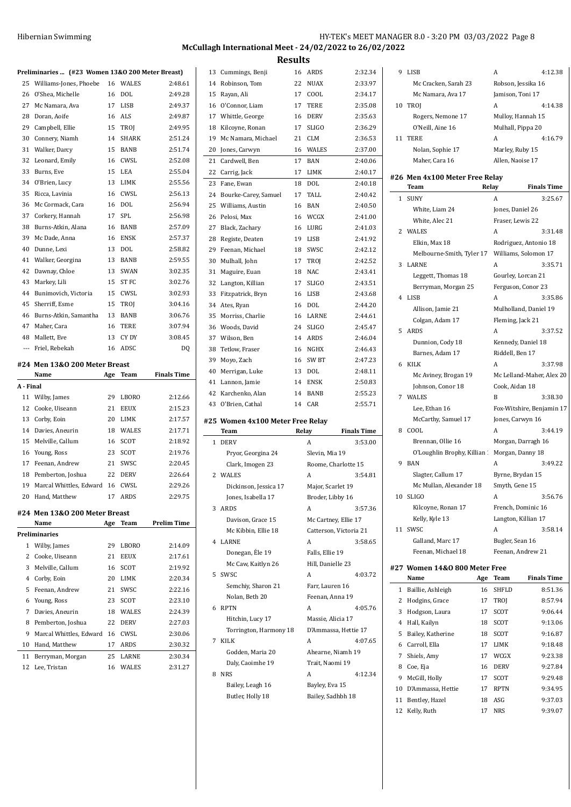# **McCullagh International Meet - 24/02/2022 to 26/02/2022**

**Results**

|                          | Preliminaries  (#23 Women 13&0 200 Meter Breast) |     |                |                    |
|--------------------------|--------------------------------------------------|-----|----------------|--------------------|
| 25                       | Williams-Jones, Phoebe                           | 16  | WALES          | 2:48.61            |
| 26                       | O'Shea, Michelle                                 | 16  | DOL            | 2:49.28            |
| 27                       | Mc Namara, Ava                                   | 17  | LISB           | 2:49.37            |
| 28                       | Doran, Aoife                                     | 16  | <b>ALS</b>     | 2:49.87            |
| 29                       | Campbell, Ellie                                  | 15  | TROJ           | 2:49.95            |
| 30                       | Connery, Niamh                                   | 14  | <b>SHARK</b>   | 2:51.24            |
| 31                       | Walker, Darcy                                    | 15  | BANB           | 2:51.74            |
| 32                       | Leonard, Emily                                   | 16  | CWSL           | 2:52.08            |
| 33                       | Burns, Eve                                       | 15  | <b>LEA</b>     | 2:55.04            |
| 34                       | O'Brien, Lucy                                    | 13  | LIMK           | 2:55.56            |
| 35                       | Ricca. Lavinia                                   | 16  | CWSL           | 2:56.13            |
| 36                       | Mc Cormack, Cara                                 | 16  | DOL            | 2:56.94            |
| 37                       | Corkery, Hannah                                  | 17  | <b>SPL</b>     | 2:56.98            |
| 38                       | Burns-Atkin, Alana                               | 16  | BANB           | 2:57.09            |
| 39                       | Mc Dade, Anna                                    | 16  | <b>ENSK</b>    | 2:57.37            |
| 40                       | Dunne, Lexi                                      | 13  | DOL            | 2:58.82            |
| 41                       | Walker, Georgina                                 | 13  | BANB           | 2:59.55            |
| 42                       | Dawnay, Chloe                                    | 13  | <b>SWAN</b>    | 3:02.35            |
| 43                       | Markey, Lili                                     | 15  | <b>ST FC</b>   | 3:02.76            |
| 44                       | Bunimovich, Victoria                             | 15  | CWSL           | 3:02.93            |
| 45                       | Sherriff, Esme                                   | 15  | <b>TROI</b>    | 3:04.16            |
| 46                       | Burns-Atkin, Samantha                            | 13  | <b>BANB</b>    | 3:06.76            |
| 47                       | Maher, Cara                                      | 16  | <b>TERE</b>    | 3:07.94            |
| 48                       | Mallett, Eve                                     | 13  | CY DY          | 3:08.45            |
| $\overline{\phantom{a}}$ | Friel, Rebekah                                   | 16  | ADSC           | DQ                 |
|                          |                                                  |     |                |                    |
|                          | #24 Men 13&0 200 Meter Breast                    |     |                |                    |
|                          |                                                  |     |                |                    |
| A - Final                | Name                                             | Age | Team           | <b>Finals Time</b> |
| 11                       |                                                  | 29  | <b>LBORO</b>   | 2:12.66            |
| 12                       | Wilby, James<br>Cooke, Uiseann                   | 21  | <b>EEUX</b>    | 2:15.23            |
| 13                       | Corby, Eoin                                      | 20  | LIMK           | 2:17.57            |
| 14                       | Davies, Aneurin                                  | 18  | WALES          | 2:17.71            |
| 15                       | Melville, Callum                                 | 16  | SCOT           | 2:18.92            |
| 16                       | Young, Ross                                      | 23  | SCOT           | 2:19.76            |
| 17                       | Feenan, Andrew                                   | 21  | SWSC           | 2:20.45            |
| 18                       | Pemberton, Joshua                                | 22  | <b>DERV</b>    | 2:26.64            |
| 19                       | Marcal Whittles, Edward                          | 16  | CWSL           | 2:29.26            |
| 20                       | Hand, Matthew                                    | 17  | ARDS           | 2:29.75            |
|                          |                                                  |     |                |                    |
|                          | #24 Men 13&0 200 Meter Breast                    |     | Team           |                    |
|                          | Name<br>Preliminaries                            | Age |                | <b>Prelim Time</b> |
| 1                        | Wilby, James                                     | 29  | LBORO          | 2:14.09            |
| 2                        | Cooke, Uiseann                                   | 21  | EEUX           | 2:17.61            |
| 3                        | Melville, Callum                                 | 16  | SCOT           | 2:19.92            |
| 4                        | Corby, Eoin                                      | 20  | LIMK           | 2:20.34            |
| 5                        | Feenan, Andrew                                   | 21  | SWSC           | 2:22.16            |
| 6                        | Young, Ross                                      | 23  | SCOT           | 2:23.10            |
| 7                        | Davies, Aneurin                                  | 18  | <b>WALES</b>   | 2:24.39            |
| 8                        | Pemberton, Joshua                                | 22  | <b>DERV</b>    | 2:27.03            |
| 9                        | Marcal Whittles, Edward                          | 16  | CWSL           | 2:30.06            |
| 10                       | Hand, Matthew                                    | 17  | ARDS           | 2:30.32            |
| 11                       | Berryman, Morgan                                 | 25  |                | 2:30.34            |
| 12                       | Lee, Tristan                                     | 16  | LARNE<br>WALES | 2:31.27            |

| 13           | Cummings, Benji                  | 16    | ARDS                   | 2:32.34            |
|--------------|----------------------------------|-------|------------------------|--------------------|
| 14           | Robinson, Tom                    | 22    | NUAX                   | 2:33.97            |
| 15           | Rayan, Ali                       | 17    | COOL                   | 2:34.17            |
| 16           | O'Connor, Liam                   | 17    | TERE                   | 2:35.08            |
| 17           | Whittle, George                  | 16    | <b>DERV</b>            | 2:35.63            |
| 18           | Kilcoyne, Ronan                  | 17    | SLIGO                  | 2:36.29            |
| 19           | Mc Namara, Michael               | 21    | <b>CLM</b>             | 2:36.53            |
| 20           | Jones, Carwyn                    | 16    | <b>WALES</b>           | 2:37.00            |
| 21           | Cardwell, Ben                    | 17    | BAN                    | 2:40.06            |
| 22           | Carrig, Jack                     | 17    | LIMK                   | 2:40.17            |
| 23           | Fane, Ewan                       | 18    | <b>DOL</b>             | 2:40.18            |
| 24           | Bourke-Carey, Samuel             | 17    | TALL                   | 2:40.42            |
| 25           | Williams, Austin                 | 16    | BAN                    | 2:40.50            |
| 26           | Pelosi, Max                      | 16    | WCGX                   | 2:41.00            |
| 27           | Black, Zachary                   | 16    | LURG                   | 2:41.03            |
| 28           | Registe, Deaten                  | 19    | LISB                   | 2:41.92            |
| 29           | Feenan, Michael                  | 18    | SWSC                   | 2:42.12            |
| 30           | Mulhall, John                    | 17    | TROI                   | 2:42.52            |
| 31           | Maguire, Euan                    | 18    | NAC                    | 2:43.41            |
| 32           | Langton, Killian                 | 17    | <b>SLIGO</b>           | 2:43.51            |
| 33           | Fitzpatrick, Bryn                | 16    | LISB                   | 2:43.68            |
| 34           | Ates, Ryan                       | 16    | DOL                    | 2:44.20            |
| 35           | Morriss, Charlie                 | 16    | LARNE                  | 2:44.61            |
| 36           | Woods, David                     | 24    | SLIGO                  | 2:45.47            |
| 37           | Wilson, Ben                      | 14    | ARDS                   | 2:46.04            |
| 38           | Tetlow, Fraser                   | 16    | NGHX                   | 2:46.43            |
| 39           | Moyo, Zach                       | 16    | SW BT                  | 2:47.23            |
| 40           | Merrigan, Luke                   | 13    | DOL                    | 2:48.11            |
| 41           | Lannon, Jamie                    | 14    | ENSK                   | 2:50.83            |
|              |                                  |       |                        |                    |
|              |                                  |       |                        |                    |
| 42           | Karchenko, Alan                  | 14    | <b>BANB</b>            | 2:55.23            |
| 43           | O'Brien, Cathal                  | 14    | CAR                    | 2:55.71            |
|              | #25 Women 4x100 Meter Free Relay |       |                        |                    |
|              | Team                             | Relay |                        | <b>Finals Time</b> |
| $\mathbf{1}$ | <b>DERV</b>                      |       | A                      | 3:53.00            |
|              | Pryor, Georgina 24               |       | Slevin, Mia 19         |                    |
|              | Clark, Imogen 23                 |       | Roome, Charlotte 15    |                    |
| 2            | <b>WALES</b>                     |       | A                      | 3:54.81            |
|              | Dickinson, Jessica 17            |       | Major, Scarlet 19      |                    |
|              | Jones, Isabella 17               |       | Broder, Libby 16       |                    |
| 3            | ARDS                             |       | A                      | 3:57.36            |
|              | Davison, Grace 15                |       | Mc Cartney, Ellie 17   |                    |
|              | Mc Kibbin, Ellie 18              |       | Catterson, Victoria 21 |                    |
| 4            | LARNE                            |       | A                      | 3:58.65            |
|              | Donegan, Éle 19                  |       | Falls, Ellie 19        |                    |
|              | Mc Caw, Kaitlyn 26               |       | Hill, Danielle 23      |                    |
| 5            | SWSC                             |       | A                      | 4:03.72            |
|              | Semchiy, Sharon 21               |       | Farr, Lauren 16        |                    |
|              | Nolan, Beth 20                   |       | Feenan, Anna 19        |                    |
| 6            | <b>RPTN</b>                      |       | A                      | 4:05.76            |
|              | Hitchin, Lucy 17                 |       | Massie, Alicia 17      |                    |
|              | Torrington, Harmony 18           |       | D'Ammassa, Hettie 17   |                    |
| 7            | <b>KILK</b>                      |       | A                      | 4:07.65            |
|              | Godden, Maria 20                 |       | Ahearne, Niamh 19      |                    |
|              | Daly, Caoimhe 19                 |       | Trait, Naomi 19        |                    |
| 8            | <b>NRS</b>                       |       | A                      | 4:12.34            |
|              | Bailey, Leagh 16                 |       | Bayley, Eva 15         |                    |
|              | Butler, Holly 18                 |       | Bailey, Sadhbh 18      |                    |

| 9  | LISB                           |       | A                   | 4:12.38                   |
|----|--------------------------------|-------|---------------------|---------------------------|
|    | Mc Cracken, Sarah 23           |       | Robson, Jessika 16  |                           |
|    | Mc Namara, Ava 17              |       | Jamison, Toni 17    |                           |
| 10 | TROJ                           |       | A                   | 4:14.38                   |
|    | Rogers, Nemone 17              |       | Mulloy, Hannah 15   |                           |
|    | O'Neill, Aine 16               |       | Mulhall, Pippa 20   |                           |
| 11 | <b>TERE</b>                    |       | A                   | 4:16.79                   |
|    | Nolan, Sophie 17               |       | Marley, Ruby 15     |                           |
|    | Maher, Cara 16                 |       | Allen, Naoise 17    |                           |
|    |                                |       |                     |                           |
|    | #26 Men 4x100 Meter Free Relay |       |                     |                           |
|    | Team                           | Relay |                     | <b>Finals Time</b>        |
| 1  | <b>SUNY</b>                    |       | A                   | 3:25.67                   |
|    | White, Liam 24                 |       | Jones, Daniel 26    |                           |
|    | White, Alec 21                 |       | Fraser, Lewis 22    |                           |
| 2  | WALES                          |       | A                   | 3:31.48                   |
|    | Elkin, Max 18                  |       |                     | Rodriguez, Antonio 18     |
|    | Melbourne-Smith, Tyler 17      |       |                     | Williams, Solomon 17      |
| 3  | LARNE                          |       | A                   | 3:35.71                   |
|    | Leggett, Thomas 18             |       | Gourley, Lorcan 21  |                           |
|    | Berryman, Morgan 25            |       | Ferguson, Conor 23  |                           |
| 4  | <b>LISB</b>                    |       | A                   | 3:35.86                   |
|    | Allison, Jamie 21              |       |                     | Mulholland, Daniel 19     |
|    | Colgan, Adam 17                |       | Fleming, Jack 21    |                           |
| 5  | ARDS                           |       | A                   | 3:37.52                   |
|    | Dunnion, Cody 18               |       | Kennedy, Daniel 18  |                           |
|    | Barnes, Adam 17                |       | Riddell, Ben 17     |                           |
| 6  | KILK                           |       | A                   | 3:37.98                   |
|    | Mc Aviney, Brogan 19           |       |                     | Mc Lelland-Maher, Alex 20 |
|    | Johnson, Conor 18              |       | Cook, Aidan 18      |                           |
|    | 7 WALES                        |       | B                   | 3:38.30                   |
|    | Lee, Ethan 16                  |       |                     | Fox-Witshire, Benjamin 17 |
|    | McCarthy, Samuel 17            |       | Jones, Carwyn 16    |                           |
| 8  | COOL                           |       | A                   | 3:44.19                   |
|    | Brennan, Ollie 16              |       |                     | Morgan, Darragh 16        |
|    | O'Loughlin Brophy, Killian     |       | Morgan, Danny 18    |                           |
| 9  | <b>BAN</b>                     |       | A                   | 3:49.22                   |
|    | Slagter, Callum 17             |       | Byrne, Brydan 15    |                           |
|    | Mc Mullan, Alexander 18        |       | Smyth, Gene 15      |                           |
| 10 | SLIGO                          |       |                     | 3:56.76                   |
|    | Kilcoyne, Ronan 17             |       | French, Dominic 16  |                           |
|    | Kelly, Kyle 13                 |       | Langton, Killian 17 |                           |
| 11 | SWSC                           |       | A                   | 3:58.14                   |
|    | Galland, Marc 17               |       | Bugler, Sean 16     |                           |
|    | Feenan, Michael 18             |       | Feenan, Andrew 21   |                           |
|    | #27 Women 14&0 800 Meter Free  |       |                     |                           |
|    | Name                           | Age   | Team                | <b>Finals Time</b>        |
| 1  | Baillie, Ashleigh              | 16    | SHFLD               | 8:51.36                   |
| 2  | Hodgins, Grace                 | 17    | TROJ                | 8:57.94                   |
| 3  | Hodgson, Laura                 | 17    | SCOT                | 9:06.44                   |
| 4  | Hall, Kailyn                   | 18    | SCOT                | 9:13.06                   |
| 5  | Bailey, Katherine              | 18    | SCOT                | 9:16.87                   |
| 6  | Carroll, Ella                  | 17    | LIMK                | 9:18.48                   |
| 7  | Shiels, Amy                    | 17    | WCGX                | 9:23.38                   |
| 8  | Coe, Eja                       | 16    | DERV                | 9:27.84                   |
| 9  | McGill, Holly                  | 17    | SCOT                | 9:29.48                   |
| 10 | D'Ammassa, Hettie              | 17    | RPTN                | 9:34.95                   |
|    | 11 Bentley, Hazel              | 18    | ASG                 | 9:37.03                   |

Kelly, Ruth 17 NRS 9:39.07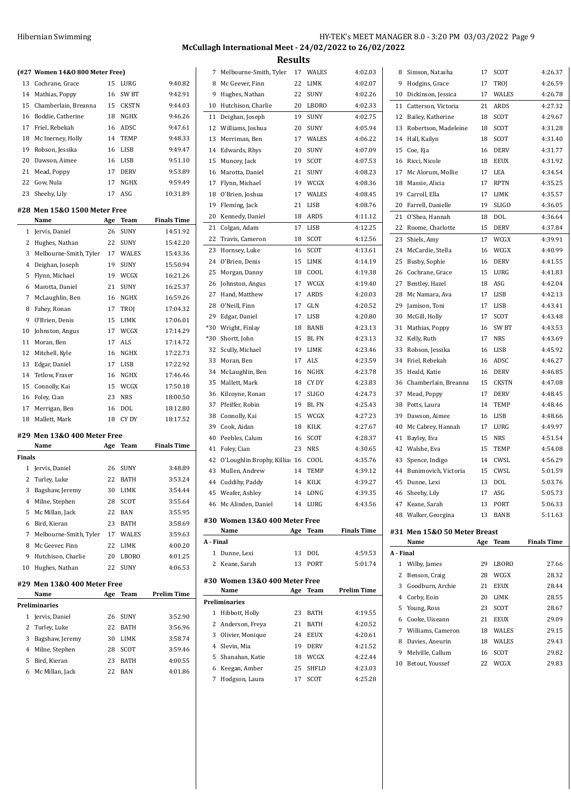## **McCullagh International Meet - 24/02/2022 to 26/02/2022**

|        |                                 |     |            |                    |           |                                 | Results |              |                    |           |                              |    |             |                    |
|--------|---------------------------------|-----|------------|--------------------|-----------|---------------------------------|---------|--------------|--------------------|-----------|------------------------------|----|-------------|--------------------|
|        | (#27 Women 14&0 800 Meter Free) |     |            |                    |           | 7 Melbourne-Smith, Tyler        |         | 17 WALES     | 4:02.03            |           | 8 Simson, Natasha            |    | 17 SCOT     | 4:26.37            |
|        | 13 Cochrane, Grace              |     | 15 LURG    | 9:40.82            |           | 8 Mc Geever, Finn               | 22      | LIMK         | 4:02.07            |           | 9 Hodgins, Grace             |    | 17 TROJ     | 4:26.59            |
|        | 14 Mathias, Poppy               |     | 16 SW BT   | 9:42.91            |           | 9 Hughes, Nathan                |         | 22 SUNY      | 4:02.26            |           | 10 Dickinson, Jessica        |    | 17 WALES    | 4:26.78            |
|        | 15 Chamberlain, Breanna         |     | 15 CKSTN   | 9:44.03            |           | 10 Hutchison, Charlie           |         | 20 LBORO     | 4:02.33            |           | 11 Catterson, Victoria       |    | 21 ARDS     | 4:27.32            |
|        | 16 Boddie, Catherine            |     | 18 NGHX    | 9:46.26            |           | 11 Deighan, Joseph              | 19      | SUNY         | 4:02.75            |           | 12 Bailey, Katherine         |    | 18 SCOT     | 4:29.67            |
|        | 17 Friel, Rebekah               |     | 16 ADSC    | 9:47.61            |           | 12 Williams, Joshua             | 20      | SUNY         | 4:05.94            |           | 13 Robertson, Madeleine      | 18 | SCOT        | 4:31.28            |
|        | 18 Mc Inerney, Holly            |     | 14 TEMP    | 9:48.33            |           | 13 Merriman, Ben                | 17      | WALES        | 4:06.22            |           | 14 Hall, Kailyn              | 18 | SCOT        | 4:31.40            |
|        | 19 Robson, Jessika              |     | 16 LISB    | 9:49.47            |           | 14 Edwards, Rhys                | 20      | SUNY         | 4:07.09            |           | 15 Coe, Eja                  | 16 | DERV        | 4:31.77            |
|        | 20 Dawson, Aimee                |     | 16 LISB    | 9:51.10            |           | 15 Muncey, Jack                 | 19      | SCOT         | 4:07.53            |           | 16 Ricci, Nicole             | 18 | <b>EEUX</b> | 4:31.92            |
|        | 21 Mead, Poppy                  |     | 17 DERV    | 9:53.89            |           | 16 Marotta, Daniel              |         | 21 SUNY      | 4:08.23            |           | 17 Mc Alorum, Mollie         |    | 17 LEA      | 4:34.54            |
|        | 22 Gow, Nula                    |     | 17 NGHX    | 9:59.49            |           | 17 Flynn, Michael               |         | 19 WCGX      | 4:08.36            |           | 18 Massie, Alicia            |    | 17 RPTN     | 4:35.25            |
|        | 23 Sheehy, Lily                 |     | 17 ASG     | 10:31.89           |           | 18 O'Brien, Joshua              |         | 17 WALES     | 4:08.45            |           | 19 Carroll, Ella             |    | 17 LIMK     | 4:35.57            |
|        |                                 |     |            |                    |           | 19 Fleming, Jack                |         | 21 LISB      | 4:08.76            |           | 20 Farrell, Danielle         |    | 19 SLIGO    | 4:36.05            |
|        | #28 Men 15&0 1500 Meter Free    |     |            |                    |           | 20 Kennedy, Daniel              |         | 18 ARDS      | 4:11.12            |           | 21 O'Shea, Hannah            |    | 18 DOL      | 4:36.64            |
|        | Name                            | Age | Team       | <b>Finals Time</b> |           |                                 |         |              |                    |           |                              |    |             |                    |
|        | 1 Jervis, Daniel                |     | 26 SUNY    | 14:51.92           |           | 21 Colgan, Adam                 |         | 17 LISB      | 4:12.25            |           | 22 Roome, Charlotte          |    | 15 DERV     | 4:37.84            |
|        | 2 Hughes, Nathan                |     | 22 SUNY    | 15:42.20           |           | 22 Travis, Cameron              |         | 18 SCOT      | 4:12.56            |           | 23 Shiels, Amy               |    | 17 WCGX     | 4:39.91            |
|        | 3 Melbourne-Smith, Tyler        |     | 17 WALES   | 15:43.36           |           | 23 Hornsey, Luke                |         | 16 SCOT      | 4:13.61            |           | 24 McCardie, Stella          | 16 | WCGX        | 4:40.99            |
|        | 4 Deighan, Joseph               |     | 19 SUNY    | 15:50.94           |           | 24 O'Brien, Denis               | 15      | LIMK         | 4:14.19            |           | 25 Busby, Sophie             | 16 | DERV        | 4:41.55            |
|        | 5 Flynn, Michael                |     | 19 WCGX    | 16:21.26           |           | 25 Morgan, Danny                | 18      | COOL         | 4:19.38            |           | 26 Cochrane, Grace           | 15 | LURG        | 4:41.83            |
|        | 6 Marotta, Daniel               |     | 21 SUNY    | 16:25.37           |           | 26 Johnston, Angus              | 17      | WCGX         | 4:19.40            | 27        | Bentley, Hazel               | 18 | ASG         | 4:42.04            |
|        | 7 McLaughlin, Ben               |     | 16 NGHX    | 16:59.26           |           | 27 Hand, Matthew                |         | 17 ARDS      | 4:20.03            | 28        | Mc Namara, Ava               | 17 | LISB        | 4:42.13            |
|        | 8 Fahey, Ronan                  |     | 17 TROJ    | 17:04.32           |           | 28 O'Neill, Finn                | 17      | GLN          | 4:20.52            | 29        | Jamison, Toni                | 17 | LISB        | 4:43.41            |
| 9      | O'Brien, Denis                  |     | 15 LIMK    | 17:06.01           |           | 29 Edgar, Daniel                | 17      | LISB         | 4:20.80            |           | 30 McGill, Holly             | 17 | SCOT        | 4:43.48            |
| 10     | Johnston, Angus                 | 17  | WCGX       | 17:14.29           |           | *30 Wright, Finlay              | 18      | BANB         | 4:23.13            |           | 31 Mathias, Poppy            | 16 | SW BT       | 4:43.53            |
|        | 11 Moran, Ben                   |     | 17 ALS     | 17:14.72           |           | *30 Shortt, John                | 15      | BL FN        | 4:23.13            |           | 32 Kelly, Ruth               |    | 17 NRS      | 4:43.69            |
|        | 12 Mitchell, Kyle               |     | 16 NGHX    | 17:22.73           |           | 32 Scully, Michael              | 19      | LIMK         | 4:23.46            |           | 33 Robson, Jessika           | 16 | LISB        | 4:45.92            |
|        | 13 Edgar, Daniel                | 17  | LISB       | 17:22.92           |           | 33 Moran, Ben                   |         | 17 ALS       | 4:23.59            |           | 34 Friel, Rebekah            | 16 | ADSC        | 4:46.27            |
| 14     | Tetlow, Fraser                  | 16  | NGHX       | 17:46.46           |           | 34 McLaughlin, Ben              | 16      | NGHX         | 4:23.78            |           | 35 Heald, Katie              | 16 | DERV        | 4:46.85            |
|        | 15 Connolly, Kai                | 15  | WCGX       | 17:50.18           |           | 35 Mallett, Mark                | 18      | CY DY        | 4:23.83            |           | 36 Chamberlain, Breanna      | 15 | CKSTN       | 4:47.08            |
|        | 16 Foley, Cian                  | 23  | <b>NRS</b> | 18:00.50           |           | 36 Kilcoyne, Ronan              | 17      | <b>SLIGO</b> | 4:24.73            |           | 37 Mead, Poppy               |    | 17 DERV     | 4:48.45            |
|        | 17 Merrigan, Ben                | 16  | DOL        | 18:12.80           |           | 37 Pfeiffer, Robin              | 19      | BL FN        | 4:25.43            |           | 38 Potts, Laura              | 14 | TEMP        | 4:48.46            |
|        | 18 Mallett, Mark                |     | 18 CY DY   | 18:17.52           |           | 38 Connolly, Kai                | 15      | WCGX         | 4:27.23            | 39        | Dawson, Aimee                | 16 | LISB        | 4:48.66            |
|        |                                 |     |            |                    | 39        | Cook, Aidan                     | 18      | KILK         | 4:27.67            | 40        | Mc Cabrey, Hannah            |    | 17 LURG     | 4:49.97            |
|        | #29 Men 13&0 400 Meter Free     |     |            |                    | 40        | Peebles, Calum                  | 16      | SCOT         | 4:28.37            |           | 41 Bayley, Eva               | 15 | NRS         | 4:51.54            |
|        | Name                            |     | Age Team   | <b>Finals Time</b> |           | 41 Foley, Cian                  |         | 23 NRS       | 4:30.65            |           | 42 Walshe, Eva               | 15 | TEMP        | 4:54.08            |
| Finals |                                 |     |            |                    |           | 42 O'Loughlin Brophy, Killia 16 |         | COOL         | 4:35.76            |           | 43 Spence, Indigo            |    | 14 CWSL     | 4:56.29            |
|        | 1 Jervis, Daniel                | 26  | SUNY       | 3:48.89            |           | 43 Mullen, Andrew               |         | 14 TEMP      | 4:39.12            |           | 44 Bunimovich, Victoria      | 15 | CWSL        | 5:01.59            |
|        | 2 Turley, Luke                  |     | 22 BATH    | 3:53.24            |           | 44 Cuddihy, Paddy               |         | 14 KILK      | 4:39.27            |           | 45 Dunne, Lexi               |    | 13 DOL      | 5:03.76            |
|        | 3 Bagshaw, Jeremy               |     | 30 LIMK    | 3:54.44            |           | 45 Weafer, Ashley               |         | 14 LONG      | 4:39.35            |           | 46 Sheehy, Lily              |    | 17 ASG      | 5:05.73            |
|        | 4 Milne, Stephen                |     | 28 SCOT    | 3:55.64            |           | 46 Mc Alinden, Daniel           |         | 14 LURG      | 4:43.56            |           | 47 Keane, Sarah              |    | 13 PORT     | 5:06.33            |
|        | 5 Mc Millan, Jack               |     | 22 BAN     | 3:55.95            |           |                                 |         |              |                    |           | 48 Walker, Georgina          |    | 13 BANB     | 5:11.63            |
|        | 6 Bird, Kieran                  |     | 23 BATH    | 3:58.69            |           | #30 Women 13&0 400 Meter Free   |         |              |                    |           |                              |    |             |                    |
|        | 7 Melbourne-Smith, Tyler        |     | 17 WALES   | 3:59.63            |           | Name                            |         | Age Team     | <b>Finals Time</b> |           | #31 Men 15&0 50 Meter Breast |    |             |                    |
|        | 8 Mc Geever, Finn               |     | 22 LIMK    | 4:00.20            | A - Final |                                 |         |              |                    |           | Name                         |    | Age Team    | <b>Finals Time</b> |
|        | 9 Hutchison, Charlie            |     | 20 LBORO   | 4:01.25            |           | 1 Dunne, Lexi                   |         | 13 DOL       | 4:59.53            | A - Final |                              |    |             |                    |
|        | 10 Hughes, Nathan               |     | 22 SUNY    | 4:06.53            |           | 2 Keane, Sarah                  |         | 13 PORT      | 5:01.74            |           | 1 Wilby, James               | 29 | LBORO       | 27.66              |
|        |                                 |     |            |                    |           | #30 Women 13&0 400 Meter Free   |         |              |                    |           | 2 Benson, Craig              |    | 28 WCGX     | 28.32              |
|        | #29 Men 13&0 400 Meter Free     |     |            |                    |           | Name                            |         | Age Team     | <b>Prelim Time</b> |           | 3 Goodburn, Archie           |    | 21 EEUX     | 28.44              |
|        | Name                            |     | Age Team   | <b>Prelim Time</b> |           | Preliminaries                   |         |              |                    |           | 4 Corby, Eoin                |    | 20 LIMK     | 28.55              |
|        | Preliminaries                   |     |            |                    |           | 1 Hibbott, Holly                |         | 23 BATH      | 4:19.55            |           | 5 Young, Ross                |    | 23 SCOT     | 28.67              |
|        | 1 Jervis, Daniel                |     | 26 SUNY    | 3:52.90            |           | 2 Anderson, Freya               |         | 21 BATH      | 4:20.52            |           | 6 Cooke, Uiseann             |    | 21 EEUX     | 29.09              |
|        | 2 Turley, Luke                  |     | 22 BATH    | 3:56.96            |           |                                 |         |              |                    |           | 7 Williams, Cameron          |    | 18 WALES    | 29.15              |
|        | 3 Bagshaw, Jeremy               |     | 30 LIMK    | 3:58.74            |           | 3 Olivier, Monique              |         | 24 EEUX      | 4:20.61            |           | 8 Davies, Aneurin            |    | 18 WALES    | 29.43              |
|        | 4 Milne, Stephen                |     | 28 SCOT    | 3:59.46            |           | 4 Slevin, Mia                   | 19      | <b>DERV</b>  | 4:21.52            |           | 9 Melville, Callum           |    | 16 SCOT     | 29.82              |
|        | 5 Bird, Kieran                  |     | 23 BATH    | 4:00.55            |           | 5 Shanahan, Katie               | 18      | WCGX         | 4:22.44            |           | 10 Betout, Youssef           |    | 22 WCGX     | 29.83              |
|        | 6 Mc Millan, Jack               |     | 22 BAN     | 4:01.86            |           | 6 Keegan, Amber                 |         | 25 SHFLD     | 4:23.03            |           |                              |    |             |                    |
|        |                                 |     |            |                    |           | 7 Hodgson, Laura                |         | 17 SCOT      | 4:25.28            |           |                              |    |             |                    |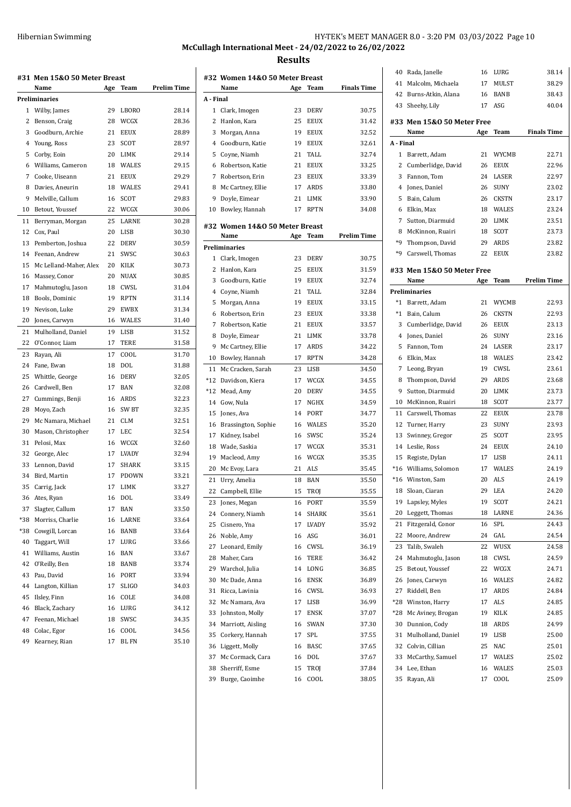**McCullagh International Meet - 24/02/2022 to 26/02/2022 Results**

|     | #31 Men 15&0 50 Meter Breast |     |              |                    |
|-----|------------------------------|-----|--------------|--------------------|
|     | Name                         | Age | Team         | <b>Prelim Time</b> |
|     | Preliminaries                |     |              |                    |
| 1   | Wilby, James                 | 29  | LBORO        | 28.14              |
| 2   | Benson, Craig                | 28  | WCGX         | 28.36              |
| 3   | Goodburn, Archie             | 21  | EEUX         | 28.89              |
|     | 4 Young, Ross                | 23  | <b>SCOT</b>  | 28.97              |
| 5   | Corby, Eoin                  | 20  | LIMK         | 29.14              |
| 6   | Williams, Cameron            | 18  | WALES        | 29.15              |
| 7   | Cooke, Uiseann               | 21  | <b>EEUX</b>  | 29.29              |
| 8   | Davies. Aneurin              | 18  | <b>WALES</b> | 29.41              |
| 9   | Melville, Callum             | 16  | SCOT         | 29.83              |
| 10  | Betout, Youssef              | 22  | WCGX         | 30.06              |
| 11  | Berryman, Morgan             | 25  | LARNE        | 30.28              |
| 12  | Cox, Paul                    | 20  | LISB         | 30.30              |
| 13  | Pemberton, Joshua            | 22  | DERV         | 30.59              |
| 14  | Feenan, Andrew               | 21  | SWSC         | 30.63              |
| 15  | Mc Lelland-Maher, Alex       | 20  | KILK         | 30.73              |
| 16  | Massey, Conor                | 20  | <b>NUAX</b>  | 30.85              |
| 17  | Mahmutoglu, Jason            | 18  | CWSL         | 31.04              |
| 18  | Bools, Dominic               | 19  | <b>RPTN</b>  | 31.14              |
| 19  | Nevison, Luke                | 29  | EWBX         | 31.34              |
| 20  | Jones, Carwyn                | 16  | WALES        | 31.40              |
| 21  | Mulholland, Daniel           | 19  | <b>LISB</b>  | 31.52              |
| 22  | O'Connor, Liam               | 17  | <b>TERE</b>  | 31.58              |
| 23  | Rayan, Ali                   | 17  | COOL         | 31.70              |
| 24  | Fane, Ewan                   | 18  | <b>DOL</b>   | 31.88              |
| 25  | Whittle, George              | 16  | <b>DERV</b>  | 32.05              |
| 26  | Cardwell, Ben                | 17  | <b>BAN</b>   | 32.08              |
| 27  | Cummings, Benji              | 16  | ARDS         | 32.23              |
| 28  | Moyo, Zach                   | 16  | SW BT        | 32.35              |
| 29  | Mc Namara, Michael           | 21  | <b>CLM</b>   | 32.51              |
| 30  | Mason, Christopher           | 17  | LEC          | 32.54              |
| 31  | Pelosi, Max                  | 16  | WCGX         | 32.60              |
| 32  | George, Alec                 | 17  | <b>LVADY</b> | 32.94              |
| 33  | Lennon, David                | 17  | <b>SHARK</b> | 33.15              |
| 34  | Bird, Martin                 | 17  | <b>PDOWN</b> | 33.21              |
| 35  | Carrig, Jack                 | 17  | LIMK         | 33.27              |
| 36  | Ates, Ryan                   | 16  | <b>DOL</b>   | 33.49              |
| 37  | Slagter, Callum              | 17  | BAN          | 33.50              |
| *38 | Morriss, Charlie             | 16  | LARNE        | 33.64              |
| *38 | Cowgill, Lorcan              | 16  | BANB         | 33.64              |
| 40  | Taggart, Will                | 17  | LURG         | 33.66              |
| 41  | Williams, Austin             | 16  | BAN          | 33.67              |
| 42  | O'Reilly, Ben                | 18  | BANB         | 33.74              |
| 43  | Pau, David                   | 16  | PORT         | 33.94              |
| 44  | Langton, Killian             | 17  | SLIGO        | 34.03              |
| 45  | Ilsley, Finn                 | 16  | COLE         | 34.08              |
| 46  | Black, Zachary               | 16  | LURG         | 34.12              |
| 47  | Feenan, Michael              | 18  | SWSC         | 34.35              |
| 48  | Colac, Egor                  | 16  | COOL         | 34.56              |
| 49  | Kearney, Rian                | 17  | BL FN        | 35.10              |

| #32 Women 14&0 50 Meter Breast |                                                                                                                                                                                                                                                                                                                                                |                                                                             |                                                                                                                                                                                           |
|--------------------------------|------------------------------------------------------------------------------------------------------------------------------------------------------------------------------------------------------------------------------------------------------------------------------------------------------------------------------------------------|-----------------------------------------------------------------------------|-------------------------------------------------------------------------------------------------------------------------------------------------------------------------------------------|
| Name                           | Age                                                                                                                                                                                                                                                                                                                                            | Team                                                                        | <b>Finals Time</b>                                                                                                                                                                        |
| A - Final                      |                                                                                                                                                                                                                                                                                                                                                |                                                                             |                                                                                                                                                                                           |
| Clark, Imogen                  | 23                                                                                                                                                                                                                                                                                                                                             | <b>DERV</b>                                                                 | 30.75                                                                                                                                                                                     |
| Hanlon, Kara                   | 25                                                                                                                                                                                                                                                                                                                                             | <b>EEUX</b>                                                                 | 31.42                                                                                                                                                                                     |
| Morgan, Anna                   | 19                                                                                                                                                                                                                                                                                                                                             | <b>EEUX</b>                                                                 | 32.52                                                                                                                                                                                     |
|                                | 19                                                                                                                                                                                                                                                                                                                                             | <b>EEUX</b>                                                                 | 32.61                                                                                                                                                                                     |
|                                | 21                                                                                                                                                                                                                                                                                                                                             | TALL                                                                        | 32.74                                                                                                                                                                                     |
|                                | 21                                                                                                                                                                                                                                                                                                                                             | <b>EEUX</b>                                                                 | 33.25                                                                                                                                                                                     |
| Robertson, Erin                | 23                                                                                                                                                                                                                                                                                                                                             | <b>EEUX</b>                                                                 | 33.39                                                                                                                                                                                     |
|                                |                                                                                                                                                                                                                                                                                                                                                |                                                                             | 33.80                                                                                                                                                                                     |
|                                |                                                                                                                                                                                                                                                                                                                                                |                                                                             | 33.90                                                                                                                                                                                     |
| Bowley, Hannah                 | 17                                                                                                                                                                                                                                                                                                                                             | <b>RPTN</b>                                                                 | 34.08                                                                                                                                                                                     |
|                                |                                                                                                                                                                                                                                                                                                                                                |                                                                             |                                                                                                                                                                                           |
|                                |                                                                                                                                                                                                                                                                                                                                                |                                                                             | Prelim Time                                                                                                                                                                               |
|                                |                                                                                                                                                                                                                                                                                                                                                |                                                                             |                                                                                                                                                                                           |
|                                |                                                                                                                                                                                                                                                                                                                                                |                                                                             | 30.75                                                                                                                                                                                     |
|                                |                                                                                                                                                                                                                                                                                                                                                |                                                                             | 31.59                                                                                                                                                                                     |
|                                |                                                                                                                                                                                                                                                                                                                                                |                                                                             | 32.74                                                                                                                                                                                     |
|                                |                                                                                                                                                                                                                                                                                                                                                |                                                                             | 32.84                                                                                                                                                                                     |
|                                |                                                                                                                                                                                                                                                                                                                                                |                                                                             |                                                                                                                                                                                           |
|                                |                                                                                                                                                                                                                                                                                                                                                |                                                                             | 33.15                                                                                                                                                                                     |
|                                |                                                                                                                                                                                                                                                                                                                                                |                                                                             | 33.38                                                                                                                                                                                     |
|                                |                                                                                                                                                                                                                                                                                                                                                |                                                                             | 33.57                                                                                                                                                                                     |
|                                |                                                                                                                                                                                                                                                                                                                                                |                                                                             | 33.78                                                                                                                                                                                     |
|                                |                                                                                                                                                                                                                                                                                                                                                |                                                                             | 34.22                                                                                                                                                                                     |
|                                |                                                                                                                                                                                                                                                                                                                                                |                                                                             | 34.28                                                                                                                                                                                     |
|                                | 23                                                                                                                                                                                                                                                                                                                                             |                                                                             | 34.50                                                                                                                                                                                     |
| Davidson, Kiera                | 17                                                                                                                                                                                                                                                                                                                                             |                                                                             | 34.55                                                                                                                                                                                     |
| Mead, Amy                      | 20                                                                                                                                                                                                                                                                                                                                             | DERV                                                                        | 34.55                                                                                                                                                                                     |
| Gow, Nula                      | 17                                                                                                                                                                                                                                                                                                                                             | NGHX                                                                        | 34.59                                                                                                                                                                                     |
| Jones, Ava                     | 14                                                                                                                                                                                                                                                                                                                                             | <b>PORT</b>                                                                 | 34.77                                                                                                                                                                                     |
| Brassington, Sophie            | 16                                                                                                                                                                                                                                                                                                                                             | <b>WALES</b>                                                                | 35.20                                                                                                                                                                                     |
| Kidney, Isabel                 | 16                                                                                                                                                                                                                                                                                                                                             | SWSC                                                                        | 35.24                                                                                                                                                                                     |
| Wade, Saskia                   | 17                                                                                                                                                                                                                                                                                                                                             | WCGX                                                                        | 35.31                                                                                                                                                                                     |
| Macleod, Amy                   | 16                                                                                                                                                                                                                                                                                                                                             | WCGX                                                                        | 35.35                                                                                                                                                                                     |
| Mc Evoy, Lara                  | 21                                                                                                                                                                                                                                                                                                                                             | <b>ALS</b>                                                                  | 35.45                                                                                                                                                                                     |
| Urry, Amelia                   | 18                                                                                                                                                                                                                                                                                                                                             | <b>BAN</b>                                                                  | 35.50                                                                                                                                                                                     |
| Campbell, Ellie                | 15                                                                                                                                                                                                                                                                                                                                             | TROJ                                                                        | 35.55                                                                                                                                                                                     |
| Jones, Megan                   | 16                                                                                                                                                                                                                                                                                                                                             | PORT                                                                        | 35.59                                                                                                                                                                                     |
| Connery, Niamh                 | 14                                                                                                                                                                                                                                                                                                                                             | <b>SHARK</b>                                                                | 35.61                                                                                                                                                                                     |
| Cisnero, Yna                   | 17                                                                                                                                                                                                                                                                                                                                             | <b>LVADY</b>                                                                | 35.92                                                                                                                                                                                     |
| Noble, Amy                     | 16                                                                                                                                                                                                                                                                                                                                             | ASG                                                                         | 36.01                                                                                                                                                                                     |
| Leonard, Emily                 | 16                                                                                                                                                                                                                                                                                                                                             | CWSL                                                                        | 36.19                                                                                                                                                                                     |
| Maher, Cara                    | 16                                                                                                                                                                                                                                                                                                                                             | TERE                                                                        | 36.42                                                                                                                                                                                     |
| Warchol, Julia                 | 14                                                                                                                                                                                                                                                                                                                                             | LONG                                                                        | 36.85                                                                                                                                                                                     |
| Mc Dade, Anna                  | 16                                                                                                                                                                                                                                                                                                                                             | <b>ENSK</b>                                                                 | 36.89                                                                                                                                                                                     |
| Ricca, Lavinia                 | 16                                                                                                                                                                                                                                                                                                                                             | CWSL                                                                        | 36.93                                                                                                                                                                                     |
| Mc Namara, Ava                 | 17                                                                                                                                                                                                                                                                                                                                             | LISB                                                                        | 36.99                                                                                                                                                                                     |
| Johnston, Molly                | 17                                                                                                                                                                                                                                                                                                                                             | <b>ENSK</b>                                                                 | 37.07                                                                                                                                                                                     |
| Marriott, Aisling              | 16                                                                                                                                                                                                                                                                                                                                             | SWAN                                                                        | 37.30                                                                                                                                                                                     |
| Corkery, Hannah                | 17                                                                                                                                                                                                                                                                                                                                             | SPL                                                                         | 37.55                                                                                                                                                                                     |
| Liggett, Molly                 | 16                                                                                                                                                                                                                                                                                                                                             | <b>BASC</b>                                                                 | 37.65                                                                                                                                                                                     |
|                                | 16                                                                                                                                                                                                                                                                                                                                             | DOL                                                                         | 37.67                                                                                                                                                                                     |
| Sherriff, Esme                 | 15                                                                                                                                                                                                                                                                                                                                             | TROJ                                                                        | 37.84                                                                                                                                                                                     |
| Burge, Caoimhe                 | 16                                                                                                                                                                                                                                                                                                                                             | COOL                                                                        | 38.05                                                                                                                                                                                     |
|                                | Goodburn, Katie<br>Coyne, Niamh<br>Robertson, Katie<br>Mc Cartney, Ellie<br>Doyle, Eimear<br>Name<br>Preliminaries<br>Clark, Imogen<br>Hanlon, Kara<br>Goodburn, Katie<br>Coyne, Niamh<br>Morgan, Anna<br>Robertson, Erin<br>Robertson, Katie<br>Doyle, Eimear<br>Mc Cartney, Ellie<br>Bowley, Hannah<br>Mc Cracken, Sarah<br>Mc Cormack, Cara | 17<br>21<br>Age<br>23<br>25<br>19<br>21<br>19<br>23<br>21<br>21<br>17<br>17 | ARDS<br>LIMK<br>#32 Women 14&0 50 Meter Breast<br>Team<br><b>DERV</b><br><b>EEUX</b><br><b>EEUX</b><br>TALL<br><b>EEUX</b><br>EEUX<br>EEUX<br>LIMK<br>ARDS<br><b>RPTN</b><br>LISB<br>WCGX |

| 40        | Rada, Janelle                        | 16       | LURG          | 38.14              |
|-----------|--------------------------------------|----------|---------------|--------------------|
| 41        | Malcolm, Michaela                    | 17       | MULST         | 38.29              |
|           | Burns-Atkin, Alana                   |          | <b>BANB</b>   |                    |
| 42        |                                      | 16       |               | 38.43              |
| 43        | Sheehy, Lily                         | 17       | ASG           | 40.04              |
|           | #33 Men 15&0 50 Meter Free           |          |               |                    |
|           | Name                                 | Age      | Team          | <b>Finals Time</b> |
| A - Final |                                      |          |               |                    |
| 1         | Barrett, Adam                        | 21       | WYCMB         | 22.71              |
| 2         | Cumberlidge, David                   | 26       | <b>EEUX</b>   | 22.96              |
| 3         | Fannon, Tom                          | 24       | LASER         | 22.97              |
| 4         | Jones, Daniel                        | 26       | <b>SUNY</b>   | 23.02              |
| 5         | Bain, Calum                          | 26       | <b>CKSTN</b>  | 23.17              |
| 6         | Elkin, Max                           | 18       | WALES         | 23.24              |
|           |                                      |          |               |                    |
| 7         | Sutton, Diarmuid                     | 20       | LIMK          | 23.51              |
| 8         | McKinnon, Ruairi                     | 18       | SCOT          | 23.73              |
| $*9$      | Thompson, David                      | 29       | ARDS          | 23.82              |
| *9        | Carswell, Thomas                     | 22       | <b>EEUX</b>   | 23.82              |
| #33       | Men 15&0 50 Meter Free               |          |               |                    |
|           | Name                                 | Age      | Team          | <b>Prelim Time</b> |
|           | Preliminaries                        |          |               |                    |
| $*1$      | Barrett, Adam                        | 21       | WYCMB         | 22.93              |
| $*_{1}$   | Bain, Calum                          | 26       | CKSTN         | 22.93              |
| 3         | Cumberlidge, David                   | 26       | <b>EEUX</b>   | 23.13              |
| 4         | Jones, Daniel                        | 26       | <b>SUNY</b>   | 23.16              |
| 5         | Fannon, Tom                          | 24       | LASER         | 23.17              |
| 6         | Elkin, Max                           | 18       | WALES         | 23.42              |
| 7         | Leong, Bryan                         | 19       | CWSL          | 23.61              |
| 8         | Thompson, David                      | 29       | ARDS          | 23.68              |
| 9         | Sutton, Diarmuid                     | 20       | LIMK          | 23.73              |
| 10        | McKinnon, Ruairi                     | 18       | SCOT          | 23.77              |
| 11        | Carswell, Thomas                     | 22       | <b>EEUX</b>   | 23.78              |
| 12        | Turner, Harry                        | 23       | SUNY          | 23.93              |
| 13        | Swinney, Gregor                      | 25       | SCOT          | 23.95              |
| 14        | Leslie, Ross                         | 24       | <b>EEUX</b>   | 24.10              |
| 15        | Registe, Dylan                       | 17       | LISB          | 24.11              |
| $*16$     | Williams, Solomon                    | 17       | WALES         | 24.19              |
| *16       | Winston, Sam                         | 20       | <b>ALS</b>    | 24.19              |
| 18        | Sloan, Ciaran                        | 29       | <b>LEA</b>    | 24.20              |
|           |                                      |          |               | 24.21              |
| 19<br>20  | Lapsley, Myles                       | 19<br>18 | SCOT<br>LARNE | 24.36              |
|           | Leggett, Thomas<br>Fitzgerald, Conor |          |               | 24.43              |
| 21<br>22  | Moore, Andrew                        | 16<br>24 | SPL<br>GAL    | 24.54              |
|           |                                      |          |               |                    |
| 23        | Talib, Swaleh                        | 22       | WUSX          | 24.58              |
| 24        | Mahmutoglu, Jason                    | 18       | CWSL          | 24.59              |
| 25        | Betout, Youssef                      | 22       | WCGX          | 24.71              |
| 26        | Jones, Carwyn                        | 16       | WALES         | 24.82              |
| 27        | Riddell, Ben                         | 17       | <b>ARDS</b>   | 24.84              |
| $*28$     | Winston, Harry                       | 17       | ALS           | 24.85              |
| *28       | Mc Aviney, Brogan                    | 19       | KILK          | 24.85              |
| 30        | Dunnion, Cody                        | 18       | ARDS          | 24.99              |
| 31        | Mulholland, Daniel                   | 19       | LISB          | 25.00              |
| 32        | Colvin, Cillian                      | 25       | NAC           | 25.01              |
| 33        | McCarthy, Samuel                     | 17       | WALES         | 25.02              |
| 34        | Lee, Ethan                           | 16       | WALES         | 25.03              |
| 35        | Rayan, Ali                           | 17       | COOL          | 25.09              |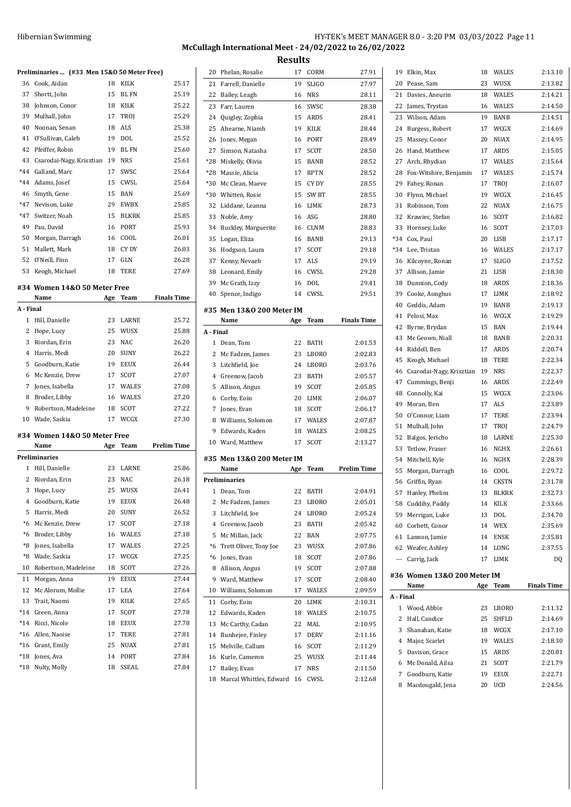## Hibernian Swimming **HY-TEK's MEET MANAGER 8.0 - 3:20 PM 03/03/2022** Page 11 **McCullagh International Meet - 24/02/2022 to 26/02/2022**

**Results**

|           | Preliminaries  (#33 Men 15&0 50 Meter Free) |     |             |                    |
|-----------|---------------------------------------------|-----|-------------|--------------------|
| 36        | Cook. Aidan                                 | 18  | KILK        | 25.17              |
| 37        | Shortt, John                                | 15  | <b>BLFN</b> | 25.19              |
| 38        | Johnson, Conor                              | 18  | KILK        | 25.22              |
| 39        | Mulhall, John                               | 17  | TROJ        | 25.29              |
| 40        | Noonan, Senan                               | 18  | <b>ALS</b>  | 25.38              |
| 41        | O'Sullivan, Caleb                           | 19  | DOL         | 25.52              |
| 42        | Pfeiffer, Robin                             | 19  | <b>BLFN</b> | 25.60              |
| 43        | Csarodai-Nagy, Krisztian 19                 |     | <b>NRS</b>  | 25.61              |
| $*44$     | Galland, Marc                               | 17  | SWSC        | 25.64              |
| $*44$     | Adams, Josef                                | 15  | CWSL        | 25.64              |
| 46        | Smyth, Gene                                 | 15  | <b>BAN</b>  | 25.69              |
| $*47$     | Nevison, Luke                               | 29  | EWBX        | 25.85              |
| $*47$     | Switzer, Noah                               | 15  | BLKRK       | 25.85              |
| 49        | Pau, David                                  | 16  | PORT        | 25.93              |
| 50        | Morgan, Darragh                             | 16  | COOL        | 26.01              |
| 51        | Mallett, Mark                               | 18  | CY DY       | 26.03              |
| 52        | O'Neill, Finn                               | 17  | GLN         | 26.28              |
| 53        | Keogh, Michael                              | 18  | <b>TERE</b> | 27.69              |
|           |                                             |     |             |                    |
|           | #34 Women 14&0 50 Meter Free                |     |             |                    |
|           | Name                                        | Age | Team        | <b>Finals Time</b> |
| A - Final |                                             |     |             |                    |
| 1         | Hill, Danielle                              | 23  | LARNE       | 25.72              |
| 2         | Hope, Lucy                                  | 25  | WUSX        | 25.88              |
| 3         | Riordan, Erin                               | 23  | <b>NAC</b>  | 26.20              |
| 4         | Harris, Medi                                | 20  | <b>SUNY</b> | 26.22              |
| 5         | Goodburn, Katie                             | 19  | EEUX        | 26.44              |
| 6         | Mc Kenzie, Drew                             | 17  | SCOT        | 27.07              |
| 7         | Jones, Isabella                             | 17  | WALES       | 27.08              |
| 8         | Broder, Libby                               | 16  | WALES       | 27.20              |
| 9         | Robertson, Madeleine                        | 18  | SCOT        | 27.22              |
| 10        | Wade, Saskia                                | 17  | WCGX        | 27.30              |
|           | #34 Women 14&0 50 Meter Free                |     |             |                    |
|           | Name                                        | Age | Team        | Prelim Time        |
|           | Preliminaries                               |     |             |                    |
| 1         | Hill, Danielle                              | 23  | LARNE       | 25.86              |
| 2         | Riordan, Erin                               | 23  | <b>NAC</b>  | 26.18              |
| 3         | Hope, Lucy                                  | 25  | WUSX        | 26.41              |
| 4         | Goodburn, Katie                             | 19  | EEUX        | 26.48              |
| 5         | Harris, Medi                                | 20  | SUNY        | 26.52              |
| *6        | Mc Kenzie, Drew                             | 17  | SCOT        | 27.18              |
| *6        | Broder, Libby                               | 16  | WALES       | 27.18              |
| *8        | Jones, Isabella                             | 17  | WALES       | 27.25              |
| *8        | Wade, Saskia                                | 17  | WCGX        | 27.25              |
| 10        | Robertson, Madeleine                        | 18  | SCOT        | 27.26              |
| 11        | Morgan, Anna                                | 19  | <b>EEUX</b> | 27.44              |
| 12        | Mc Alorum, Mollie                           | 17  | LEA         | 27.64              |
| 13        | Trait, Naomi                                | 19  | KILK        | 27.65              |
| $*14$     | Green, Anna                                 | 17  | SCOT        | 27.78              |
| $*14$     | Ricci, Nicole                               | 18  | EEUX        | 27.78              |
| *16       | Allen, Naoise                               | 17  | TERE        | 27.81              |
| *16       | Grant, Emily                                | 25  | NUAX        | 27.81              |
| *18       | Jones, Ava                                  | 14  | PORT        | 27.84              |
| *18       | Nulty, Molly                                | 18  | SSEAL       | 27.84              |

| 20        | Phelan, Rosalie                         | 17       | CORM         | 27.91              |
|-----------|-----------------------------------------|----------|--------------|--------------------|
| 21        | Farrell, Danielle                       | 19       | SLIGO        | 27.97              |
| 22        | Bailey, Leagh                           | 16       | <b>NRS</b>   | 28.11              |
| 23        | Farr, Lauren                            | 16       | SWSC         | 28.38              |
| 24        | Quigley, Zophia                         | 15       | ARDS         | 28.41              |
| 25        | Ahearne, Niamh                          | 19       | <b>KILK</b>  | 28.44              |
| 26        | Jones, Megan                            | 16       | PORT         | 28.49              |
| 27        | Simson, Natasha                         | 17       | SCOT         | 28.50              |
| *28       | Miskelly, Olivia                        | 15       | <b>BANB</b>  | 28.52              |
| $*28$     | Massie, Alicia                          | 17       | <b>RPTN</b>  | 28.52              |
| *30       | Mc Clean, Maeve                         | 15       | CY DY        | 28.55              |
| *30       | Whitten, Rosie                          | 15       | SW BT        | 28.55              |
| 32        | Liddane, Leanna                         | 16       | LIMK         | 28.73              |
| 33        | Noble, Amy                              | 16       | ASG          | 28.80              |
| 34        | Buckley, Marguerite                     | 16       | CLNM         | 28.83              |
| 35        | Logan, Eliza                            | 16       | BANB         | 29.13              |
| 36        | Hodgson, Laura                          | 17       | SCOT         | 29.18              |
| 37        | Kenny, Nevaeh                           | 17       | ALS          | 29.19              |
| 38        | Leonard, Emily                          | 16       | CWSL         | 29.28              |
| 39        | Mc Grath, Izzy                          | 16       | DOL          | 29.41              |
| 40        | Spence, Indigo                          | 14       | CWSL         | 29.51              |
|           |                                         |          |              |                    |
|           | #35 Men 13&0 200 Meter IM               |          |              |                    |
|           | Name                                    | Age      | Team         | <b>Finals Time</b> |
| A - Final |                                         |          |              |                    |
| 1         | Dean, Tom                               | 22       | BATH         | 2:01.53            |
| 2         | Mc Fadzen, James                        | 23       | LBORO        | 2:02.83            |
| 3         | Litchfield, Joe                         | 24       | LBORO        | 2:03.76            |
| 4         | Greenow, Jacob                          | 23       | BATH         | 2:05.57            |
| 5         | Allison, Angus                          | 19       | SCOT         | 2:05.85            |
|           |                                         |          |              |                    |
| 6         | Corby, Eoin                             | 20       | LIMK         | 2:06.07            |
| 7         | Jones, Evan                             | 18       | SCOT         | 2:06.17            |
| 8         | Williams, Solomon                       | 17       | WALES        | 2:07.87            |
| 9         | Edwards, Kaden                          | 18       | WALES        | 2:08.25            |
| 10        | Ward, Matthew                           | 17       | SCOT         | 2:13.27            |
|           | #35 Men 13&0 200 Meter IM               |          |              |                    |
|           | Name                                    | Age      | Team         | <b>Prelim Time</b> |
|           | <b>Preliminaries</b>                    |          |              |                    |
| 1         | Dean, Tom                               | 22       | BATH         | 2:04.91            |
| 2         | Mc Fadzen, James                        | 23       | LBORO        | 2:05.01            |
| 3         | Litchfield, Joe                         | 24       | LBORO        | 2:05.24            |
| 4         | Greenow, Jacob                          | 23       | BATH         | 2:05.42            |
| 5         | Mc Millan, Jack                         | 22       | BAN          | 2:07.75            |
| *6        | Trett Oliver, Tony Joe                  | 23       | WUSX         | 2:07.86            |
| *6        | Jones, Evan                             | 18       | SCOT         | 2:07.86            |
| 8         | Allison, Angus                          | 19       | SCOT         | 2:07.88            |
| 9         |                                         | 17       | SCOT         | 2:08.40            |
| 10        | Ward, Matthew<br>Williams, Solomon      | 17       | <b>WALES</b> |                    |
| 11        | Corby, Eoin                             | 20       | LIMK         | 2:09.59<br>2:10.31 |
| 12        |                                         |          |              |                    |
| 13        | Edwards, Kaden                          | 18<br>22 | WALES<br>MAL | 2:10.75            |
| 14        | Mc Carthy, Cadan<br>Bunhejee, Finley    | 17       | DERV         | 2:10.95<br>2:11.16 |
| 15        |                                         |          |              | 2:11.29            |
| 16        | Melville, Callum<br>Kurle, Cameron      | 16<br>25 | SCOT<br>WUSX | 2:11.44            |
|           |                                         |          |              |                    |
| 17<br>18  | Bailey, Evan<br>Marcal Whittles, Edward | 17<br>16 | NRS<br>CWSL  | 2:11.50<br>2:12.68 |

| 19        | Elkin, Max                      | 18       | WALES                     | 2:13.10            |
|-----------|---------------------------------|----------|---------------------------|--------------------|
| 20        | Pease, Sam                      | 23       | WUSX                      | 2:13.82            |
| 21        | Davies, Aneurin                 | 18       | WALES                     | 2:14.21            |
| 22        | James, Trystan                  | 16       | WALES                     | 2:14.50            |
| 23        | Wilson, Adam                    | 19       | BANB                      | 2:14.51            |
| 24        | Burgess, Robert                 | 17       | WCGX                      | 2:14.69            |
| 25        | Massey, Conor                   | 20       | NUAX                      | 2:14.95            |
| 26        | Hand, Matthew                   | 17       | ARDS                      | 2:15.05            |
| 27        | Arch, Rhydian                   | 17       | <b>WALES</b>              | 2:15.64            |
| 28        | Fox-Witshire, Benjamin          | 17       | WALES                     | 2:15.74            |
| 29        | Fahey, Ronan                    | 17       | TROJ                      | 2:16.07            |
| 30        | Flynn, Michael                  | 19       | WCGX                      | 2:16.45            |
| 31        | Robinson, Tom                   | 22       | NUAX                      | 2:16.75            |
| 32        | Krawiec, Stefan                 | 16       | SCOT                      | 2:16.82            |
| 33        | Hornsey, Luke                   | 16       | SCOT                      | 2:17.03            |
| *34       | Cox, Paul                       | 20       | LISB                      | 2:17.17            |
| $*34$     | Lee, Tristan                    | 16       | WALES                     | 2:17.17            |
| 36        | Kilcoyne, Ronan                 | 17       | SLIGO                     | 2:17.52            |
| 37        | Allison, Jamie                  | 21       | LISB                      | 2:18.30            |
| 38        | Dunnion, Cody                   | 18       | ARDS                      | 2:18.36            |
| 39        | Cooke, Aonghus                  | 17       | LIMK                      | 2:18.92            |
| 40        | Geddis, Adam                    | 19       | BANB                      | 2:19.13            |
| 41        | Pelosi, Max                     | 16       |                           |                    |
|           |                                 |          | WCGX                      | 2:19.29            |
| 42        | Byrne, Brydan                   | 15       | <b>BAN</b><br><b>BANB</b> | 2:19.44            |
| 43<br>44  | Mc Geown, Niall                 | 18<br>17 | ARDS                      | 2:20.31<br>2:20.74 |
|           | Riddell, Ben                    |          |                           |                    |
| 45        | Keogh, Michael                  | 18       | TERE                      | 2:22.34            |
| 46        | Csarodai-Nagy, Krisztian        | 19       | <b>NRS</b>                | 2:22.37            |
| 47        | Cummings, Benji                 | 16       | ARDS                      | 2:22.49            |
| 48<br>49  | Connolly, Kai                   | 15<br>17 | WCGX                      | 2:23.06            |
| 50        | Moran, Ben                      | 17       | ALS<br>TERE               | 2:23.89<br>2:23.94 |
| 51        | O'Connor, Liam<br>Mulhall, John | 17       | TROI                      | 2:24.79            |
| 52        | Balgos, Jericho                 | 18       | LARNE                     | 2:25.30            |
| 53        | Tetlow, Fraser                  | 16       | NGHX                      | 2:26.61            |
|           |                                 |          |                           | 2:28.39            |
| 54        | Mitchell, Kyle                  | 16       | NGHX                      |                    |
| 55        | Morgan, Darragh                 | 16<br>14 | COOL                      | 2:29.72            |
| 56        | Griffin, Ryan                   |          | CKSTN                     | 2:31.78            |
| 57        | Hanley, Phelim                  | 13       | BLKRK                     | 2:32.73            |
| 58        | Cuddihy, Paddy                  | 14       | KILK                      | 2:33.66            |
| 59        | Merrigan, Luke                  | 13       | DOL                       | 2:34.70            |
| 60        | Corbett, Conor                  | 14       | <b>WEX</b>                | 2:35.69            |
| 61        | Lannon, Jamie                   | 14       | ENSK                      | 2:35.81            |
| 62        | Weafer, Ashley                  | 14       | LONG                      | 2:37.55            |
| ---       | Carrig, Jack                    | 17       | LIMK                      | DQ                 |
|           | #36 Women 13&0 200 Meter IM     |          |                           |                    |
|           | Name                            | Age      | Team                      | <b>Finals Time</b> |
| A - Final |                                 |          |                           |                    |
| 1         | Wood, Abbie                     | 23       | LBORO                     | 2:11.32            |
| 2         | Hall, Candice                   | 25       | SHFLD                     | 2:14.69            |
| 3         | Shanahan, Katie                 | 18       | WCGX                      | 2:17.10            |
| 4         | Major, Scarlet                  | 19       | WALES                     | 2:18.30            |
| 5         | Davison, Grace                  | 15       | ARDS                      | 2:20.81            |
| 6         | Mc Donald, Ailsa                | 21       | SCOT                      | 2:21.79            |
| 7         | Goodburn, Katie                 | 19       | EEUX                      | 2:22.71            |
| 8         | Macdougald, Jena                | 20       | UCD                       | 2:24.56            |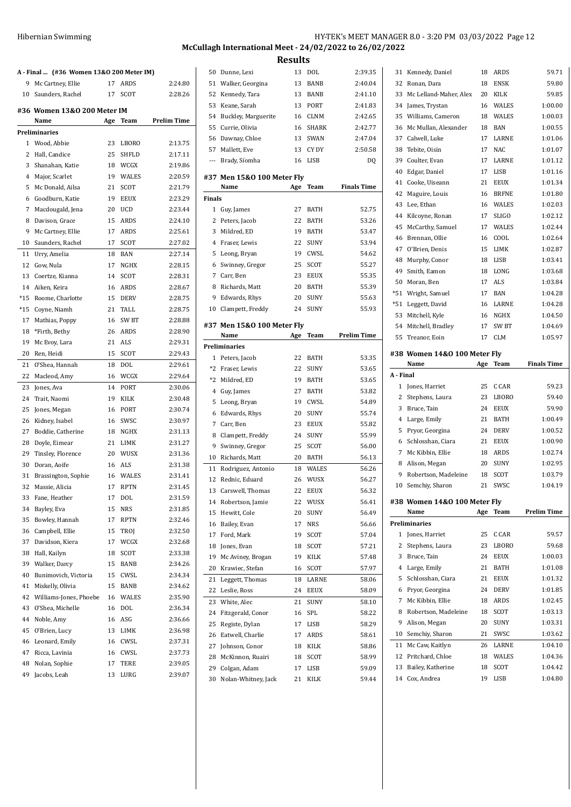| <b>Hibernian Swimming</b> | HY-TEK's MEET MANAGER 8.0 - 3:20 PM 03/03/2022 Page 12  |
|---------------------------|---------------------------------------------------------|
|                           | McCullagh International Meet - 24/02/2022 to 26/02/2022 |

| A - Final  (#36 Women 13&0 200 Meter IM) |                             |     |              |                    |  |  |
|------------------------------------------|-----------------------------|-----|--------------|--------------------|--|--|
| 9                                        | Mc Cartney, Ellie           | 17  | ARDS         | 2:24.80            |  |  |
|                                          | 10 Saunders, Rachel         | 17  | SCOT         | 2:28.26            |  |  |
|                                          |                             |     |              |                    |  |  |
|                                          | #36 Women 13&0 200 Meter IM |     |              | <b>Prelim Time</b> |  |  |
|                                          | Name                        | Age | Team         |                    |  |  |
|                                          | Preliminaries               |     |              |                    |  |  |
| 1                                        | Wood, Abbie                 | 23  | <b>LBORO</b> | 2:13.75            |  |  |
| 2                                        | Hall, Candice               | 25  | SHFLD        | 2:17.11            |  |  |
| 3                                        | Shanahan, Katie             | 18  | WCGX         | 2:19.86            |  |  |
| 4                                        | Major, Scarlet              | 19  | WALES        | 2:20.59            |  |  |
| 5                                        | Mc Donald, Ailsa            | 21  | SCOT         | 2:21.79            |  |  |
| 6                                        | Goodburn, Katie             | 19  | EEUX         | 2:23.29            |  |  |
| 7                                        | Macdougald, Jena            | 20  | UCD          | 2:23.44            |  |  |
| 8                                        | Davison, Grace              | 15  | ARDS         | 2:24.10            |  |  |
| 9                                        | Mc Cartney, Ellie           | 17  | ARDS         | 2:25.61            |  |  |
| 10                                       | Saunders, Rachel            | 17  | SCOT         | 2:27.02            |  |  |
| 11                                       | Urry, Amelia                | 18  | BAN          | 2:27.14            |  |  |
| 12                                       | Gow, Nula                   | 17  | NGHX         | 2:28.15            |  |  |
| 13                                       | Coertze, Kianna             | 14  | SCOT         | 2:28.31            |  |  |
| 14                                       | Aiken, Keira                | 16  | <b>ARDS</b>  | 2:28.67            |  |  |
| $*15$                                    | Roome, Charlotte            | 15  | <b>DERV</b>  | 2:28.75            |  |  |
| $*15$                                    | Coyne, Niamh                | 21  | TALL         | 2:28.75            |  |  |
| 17                                       | Mathias, Poppy              | 16  | SW BT        | 2:28.88            |  |  |
| 18                                       | *Firth, Bethy               | 26  | ARDS         | 2:28.90            |  |  |
| 19                                       | Mc Evoy, Lara               | 21  | ALS          | 2:29.31            |  |  |
| 20                                       | Ren, Heidi                  | 15  | SCOT         | 2:29.43            |  |  |
| 21                                       | O'Shea, Hannah              | 18  | DOL          | 2:29.61            |  |  |
| 22                                       | Macleod, Amy                | 16  | WCGX         | 2:29.64            |  |  |
| 23                                       | Jones, Ava                  | 14  | PORT         | 2:30.06            |  |  |
| 24                                       | Trait, Naomi                | 19  | KILK         | 2:30.48            |  |  |
| 25                                       | Jones, Megan                | 16  | PORT         | 2:30.74            |  |  |
| 26                                       | Kidney, Isabel              | 16  | SWSC         | 2:30.97            |  |  |
| 27                                       | Boddie, Catherine           | 18  | NGHX         | 2:31.13            |  |  |
| 28                                       | Doyle, Eimear               | 21  | LIMK         | 2:31.27            |  |  |
| 29                                       | Tinsley, Florence           | 20  | <b>WUSX</b>  | 2:31.36            |  |  |
| 30                                       | Doran, Aoife                | 16  | ALS          | 2:31.38            |  |  |
| 31                                       | Brassington, Sophie         | 16  | <b>WALES</b> | 2:31.41            |  |  |
| 32                                       | Massie, Alicia              | 17  | <b>RPTN</b>  | 2:31.45            |  |  |
|                                          | 33 Fane, Heather            | 17  | DOL          | 2:31.59            |  |  |
|                                          |                             |     |              |                    |  |  |
| 34                                       | Bayley, Eva                 | 15  | NRS          | 2:31.85            |  |  |
| 35                                       | Bowley, Hannah              | 17  | RPTN         | 2:32.46            |  |  |
| 36                                       | Campbell, Ellie             | 15  | TROJ         | 2:32.50            |  |  |
| 37                                       | Davidson, Kiera             | 17  | WCGX         | 2:32.68            |  |  |
| 38                                       | Hall, Kailyn                | 18  | SCOT         | 2:33.38            |  |  |
| 39                                       | Walker, Darcy               | 15  | BANB         | 2:34.26            |  |  |
| 40                                       | Bunimovich, Victoria        | 15  | CWSL         | 2:34.34            |  |  |
| 41                                       | Miskelly, Olivia            | 15  | BANB         | 2:34.62            |  |  |
| 42                                       | Williams-Jones, Phoebe      | 16  | WALES        | 2:35.90            |  |  |
| 43                                       | O'Shea, Michelle            | 16  | DOL          | 2:36.34            |  |  |
| 44                                       | Noble, Amy                  | 16  | ASG          | 2:36.66            |  |  |
| 45                                       | O'Brien, Lucy               | 13  | LIMK         | 2:36.98            |  |  |
| 46                                       | Leonard, Emily              | 16  | CWSL         | 2:37.31            |  |  |
| 47                                       | Ricca, Lavinia              | 16  | CWSL         | 2:37.73            |  |  |
| 48                                       | Nolan, Sophie               | 17  | TERE         | 2:39.05            |  |  |
| 49                                       | Jacobs, Leah                | 13  | LURG         | 2:39.07            |  |  |

| 50            | Dunne, Lexi                | 13  | DOL          | 2:39.35            |
|---------------|----------------------------|-----|--------------|--------------------|
| 51            | Walker, Georgina           | 13  | <b>BANB</b>  | 2:40.04            |
| 52            | Kennedy, Tara              | 13  | BANB         | 2:41.10            |
| 53            | Keane, Sarah               | 13  | PORT         | 2:41.83            |
| 54            | Buckley, Marguerite        | 16  | CLNM         | 2:42.65            |
| 55            | Currie, Olivia             | 16  | <b>SHARK</b> | 2:42.77            |
| 56            | Dawnay, Chloe              | 13  | SWAN         | 2:47.04            |
| 57            | Mallett, Eve               | 13  | CY DY        | 2:50.58            |
| ---           | Brady, Síomha              | 16  | LISB         | DQ                 |
|               |                            |     |              |                    |
|               | #37 Men 15&0 100 Meter Fly |     |              |                    |
|               | Name                       | Age | Team         | <b>Finals Time</b> |
| <b>Finals</b> |                            |     |              |                    |
| $\mathbf{1}$  | Guy, James                 | 27  | BATH         | 52.75              |
| 2             | Peters, Jacob              | 22  | BATH         | 53.26              |
| 3             | Mildred, ED                | 19  | <b>BATH</b>  | 53.47              |
| 4             | Fraser, Lewis              | 22  | <b>SUNY</b>  | 53.94              |
| 5             | Leong, Bryan               | 19  | CWSL         | 54.62              |
| 6             | Swinney, Gregor            | 25  | <b>SCOT</b>  | 55.27              |
| 7             | Carr, Ben                  | 23  | EEUX         | 55.35              |
| 8             | Richards, Matt             | 20  | <b>BATH</b>  | 55.39              |
| 9             | Edwards, Rhys              | 20  | SUNY         | 55.63              |
| 10            | Clampett, Freddy           | 24  | SUNY         | 55.93              |
|               | #37 Men 15&0 100 Meter Fly |     |              |                    |
|               | Name                       | Age | <b>Team</b>  | <b>Prelim Time</b> |
|               | <b>Preliminaries</b>       |     |              |                    |
| $\mathbf{1}$  | Peters, Jacob              | 22  | BATH         | 53.35              |
| $*2$          | Fraser, Lewis              | 22  | SUNY         | 53.65              |
| *2            | Mildred, ED                | 19  | BATH         | 53.65              |
| 4             | Guy, James                 | 27  | BATH         | 53.82              |
| 5             | Leong, Bryan               | 19  | CWSL         | 54.89              |
| 6             | Edwards, Rhys              | 20  | SUNY         | 55.74              |
| 7             | Carr, Ben                  | 23  | <b>EEUX</b>  | 55.82              |
| 8             | Clampett, Freddy           | 24  | SUNY         | 55.99              |
| 9             | Swinney, Gregor            | 25  | SCOT         | 56.00              |
| 10            | Richards, Matt             | 20  | <b>BATH</b>  | 56.13              |
| 11            | Rodriguez, Antonio         | 18  | WALES        | 56.26              |
| 12            | Rednic, Eduard             | 26  | WUSX         | 56.27              |
| 13            | Carswell, Thomas           | 22  | EEUX         | 56.32              |
| 14            | Robertson, Jamie           | 22  | WUSX         | 56.41              |
| 15            | Hewitt, Cole               | 20  | SUNY         | 56.49              |
| 16            | Bailey, Evan               | 17  | NRS          | 56.66              |
| 17            | Ford, Mark                 | 19  | SCOT         | 57.04              |
| 18            | Jones, Evan                | 18  | SCOT         | 57.21              |
| 19            | Mc Aviney, Brogan          | 19  | KILK         | 57.48              |
|               | Krawiec, Stefan            |     |              |                    |
| 20            |                            | 16  | SCOT         | 57.97              |
| 21            | Leggett, Thomas            | 18  | LARNE        | 58.06              |
| 22            | Leslie, Ross               | 24  | EEUX         | 58.09              |
| 23            | White, Alec                | 21  | SUNY         | 58.10              |
| 24            | Fitzgerald, Conor          | 16  | SPL          | 58.22              |
| 25            | Registe, Dylan             | 17  | LISB         | 58.29              |
| 26            | Eatwell, Charlie           | 17  | ARDS         | 58.61              |
| 27            | Johnson, Conor             | 18  | KILK         | 58.86              |
| 28            | McKinnon, Ruairi           | 18  | SCOT         | 58.99              |
| 29            | Colgan, Adam               | 17  | LISB         | 59.09              |
| 30            | Nolan-Whitney, Jack        | 21  | KILK         | 59.44              |

| 31             | Kennedy, Daniel              | 18  | ARDS         | 59.71              |
|----------------|------------------------------|-----|--------------|--------------------|
| 32             | Ronan, Dara                  | 18  | <b>ENSK</b>  | 59.80              |
| 33             | Mc Lelland-Maher, Alex       | 20  | KILK         | 59.85              |
| 34             | James, Trystan               | 16  | <b>WALES</b> | 1:00.00            |
| 35             | Williams, Cameron            | 18  | <b>WALES</b> | 1:00.03            |
| 36             | Mc Mullan, Alexander         | 18  | <b>BAN</b>   | 1:00.55            |
| 37             | Calwell, Luke                | 17  | LARNE        | 1:01.06            |
| 38             | Tebite, Oisin                | 17  | NAC          | 1:01.07            |
| 39             | Coulter, Evan                | 17  | LARNE        | 1:01.12            |
| 40             | Edgar, Daniel                | 17  | <b>LISB</b>  | 1:01.16            |
| 41             | Cooke, Uiseann               | 21  | EEUX         | 1:01.34            |
| 42             | Maguire, Louis               | 16  | <b>BRFNE</b> | 1:01.80            |
| 43             | Lee, Ethan                   | 16  | <b>WALES</b> | 1:02.03            |
| 44             | Kilcoyne, Ronan              | 17  | SLIGO        | 1:02.12            |
| 45             | McCarthy, Samuel             | 17  | <b>WALES</b> | 1:02.44            |
| 46             | Brennan, Ollie               | 16  | COOL         | 1:02.64            |
| 47             | O'Brien, Denis               | 15  | LIMK         | 1:02.87            |
| 48             | Murphy, Conor                | 18  | LISB         | 1:03.41            |
| 49             | Smith, Eamon                 | 18  | LONG         | 1:03.68            |
| 50             | Moran, Ben                   | 17  | ALS          | 1:03.84            |
| *51            | Wright, Samuel               | 17  | BAN          | 1:04.28            |
| *51            | Leggett, David               | 16  | LARNE        | 1:04.28            |
| 53             | Mitchell, Kyle               | 16  | <b>NGHX</b>  | 1:04.50            |
| 54             | Mitchell, Bradley            | 17  | SW BT        | 1:04.69            |
|                | Treanor, Eoin                |     | <b>CLM</b>   | 1:05.97            |
| 55             |                              | 17  |              |                    |
|                | #38 Women 14&0 100 Meter Fly |     |              |                    |
|                | Name                         | Age | <b>Team</b>  | <b>Finals Time</b> |
| A - Final      |                              |     |              |                    |
|                |                              |     |              |                    |
| 1              | Jones, Harriet               | 25  | C CAR        | 59.23              |
| 2              | Stephens, Laura              | 23  | LBORO        | 59.40              |
| 3              | Bruce, Tain                  | 24  | EEUX         | 59.90              |
| 4              | Large, Emily                 | 21  | <b>BATH</b>  | 1:00.49            |
| 5              | Pryor, Georgina              | 24  | DERV         | 1:00.52            |
| 6              | Schlosshan, Ciara            | 21  | EEUX         | 1:00.90            |
| 7              | Mc Kibbin, Ellie             | 18  | <b>ARDS</b>  | 1:02.74            |
| 8              | Alison, Megan                | 20  | SUNY         | 1:02.95            |
| 9              | Robertson, Madeleine         | 18  | SCOT         | 1:03.79            |
| 10             | Semchiy, Sharon              | 21  | SWSC         | 1:04.19            |
|                |                              |     |              |                    |
| #38            | Women 14&0 100 Meter Fly     |     |              |                    |
|                | Name                         | Age | Team         | <b>Prelim Time</b> |
|                | Preliminaries                |     |              |                    |
| 1              | Jones, Harriet               | 25  | C CAR        | 59.57              |
| $\overline{2}$ | Stephens, Laura              | 23  | <b>LBORO</b> | 59.68              |
| 3              | Bruce, Tain                  | 24  | <b>EEUX</b>  | 1:00.03            |
| 4              | Large, Emily                 | 21  | BATH         | 1:01.08            |
| 5              | Schlosshan, Ciara            | 21  | EEUX         | 1:01.32            |
| 6              | Pryor, Georgina              | 24  | <b>DERV</b>  | 1:01.85            |
| 7              | Mc Kibbin, Ellie             | 18  | ARDS         | 1:02.45            |
| 8              | Robertson, Madeleine         | 18  | SCOT         | 1:03.13            |
| 9              | Alison, Megan                | 20  | SUNY         | 1:03.31            |
| 10             | Semchiy, Sharon              | 21  | SWSC         | 1:03.62            |
| 11             | Mc Caw, Kaitlyn              | 26  | LARNE        | 1:04.10            |
| 12             | Pritchard, Chloe             | 18  | WALES        | 1:04.36            |
| 13             | Bailey, Katherine            | 18  | SCOT         | 1:04.42            |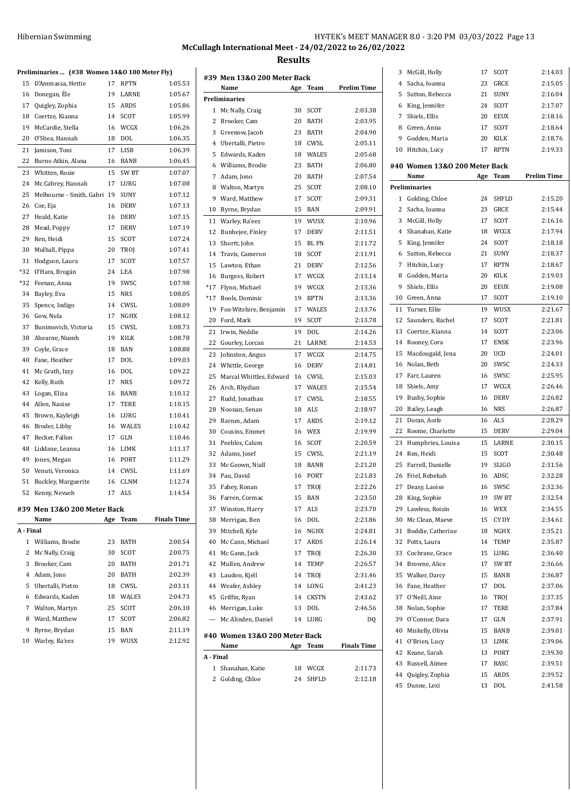## Hibernian Swimming **HY-TEK's MEET MANAGER 8.0 - 3:20 PM 03/03/2022** Page 13

## **McCullagh International Meet - 24/02/2022 to 26/02/2022 Results**

|              | Preliminaries  (#38 Women 14&0 100 Meter Fly) |     |             |                    |
|--------------|-----------------------------------------------|-----|-------------|--------------------|
| 15           | D'Ammassa, Hettie                             | 17  | RPTN        | 1:05.53            |
| 16           | Donegan, Éle                                  | 19  | LARNE       | 1:05.67            |
|              | 17 Quigley, Zophia                            | 15  | ARDS        | 1:05.86            |
| 18           | Coertze, Kianna                               | 14  | SCOT        | 1:05.99            |
| 19           | McCardie, Stella                              | 16  | WCGX        | 1:06.26            |
| 20           | O'Shea, Hannah                                | 18  | DOL         | 1:06.35            |
| 21           | Jamison, Toni                                 | 17  | <b>LISB</b> | 1:06.39            |
| 22           | Burns-Atkin, Alana                            | 16  | <b>BANB</b> | 1:06.45            |
| 23           | Whitten, Rosie                                | 15  | SW BT       | 1:07.07            |
| 24           | Mc Cabrey, Hannah                             | 17  | LURG        | 1:07.08            |
| 25           | Melbourne - Smith, Gabri 19                   |     | <b>SUNY</b> | 1:07.12            |
| 26           | Coe, Eja                                      | 16  | <b>DERV</b> | 1:07.13            |
| 27           | Heald, Katie                                  | 16  | <b>DERV</b> | 1:07.15            |
| 28           | Mead, Poppy                                   | 17  | <b>DERV</b> | 1:07.19            |
| 29           | Ren, Heidi                                    | 15  | SCOT        | 1:07.24            |
| 30           | Mulhall, Pippa                                | 20  | TROJ        | 1:07.41            |
| 31           | Hodgson, Laura                                | 17  | SCOT        | 1:07.57            |
| *32          | O'Hara, Brogán                                | 24  | LEA         | 1:07.98            |
| $*32$        | Feenan, Anna                                  | 19  | SWSC        | 1:07.98            |
|              | 34 Bayley, Eva                                |     | <b>NRS</b>  | 1:08.05            |
|              |                                               | 15  |             |                    |
| 35           | Spence, Indigo                                | 14  | CWSL        | 1:08.09            |
| 36           | Gow, Nula                                     |     | 17 NGHX     | 1:08.12            |
| 37           | Bunimovich, Victoria                          | 15  | CWSL        | 1:08.73            |
| 38           | Ahearne, Niamh                                | 19  | KILK        | 1:08.78            |
| 39           | Coyle, Grace                                  | 18  | BAN         | 1:08.88            |
| 40           | Fane, Heather                                 | 17  | <b>DOL</b>  | 1:09.03            |
| 41           | Mc Grath, Izzy                                | 16  | DOL         | 1:09.22            |
| 42           | Kelly, Ruth                                   | 17  | <b>NRS</b>  | 1:09.72            |
| 43           | Logan, Eliza                                  | 16  | BANB        | 1:10.12            |
| 44           | Allen, Naoise                                 | 17  | TERE        | 1:10.15            |
| 45           | Brown, Kayleigh                               | 16  | LURG        | 1:10.41            |
| 46           | Broder, Libby                                 | 16  | WALES       | 1:10.42            |
|              | 47 Becker, Fallon                             | 17  | GLN         | 1:10.46            |
| 48           | Liddane, Leanna                               | 16  | LIMK        | 1:11.17            |
| 49           | Jones, Megan                                  | 16  | PORT        | 1:11.29            |
| 50           | Venuti, Veronica                              |     | 14 CWSL     | 1:11.69            |
| 51           | Buckley, Marguerite                           | 16  | <b>CLNM</b> | 1:12.74            |
| 52           | Kenny, Nevaeh                                 | 17  | ALS         | 1:14.54            |
|              | #39 Men 13&0 200 Meter Back                   |     |             |                    |
|              | Name                                          | Age | Team        | <b>Finals Time</b> |
| A - Final    |                                               |     |             |                    |
| $\mathbf{1}$ | Williams, Brodie                              | 23  | <b>BATH</b> | 2:00.54            |
| 2            | Mc Nally, Craig                               | 30  | SCOT        | 2:00.75            |
| 3            | Brooker, Cam                                  | 20  | BATH        | 2:01.71            |
| 4            | Adam, Jono                                    | 20  | BATH        | 2:02.39            |
| 5            | Ubertalli, Pietro                             | 18  | CWSL        | 2:03.11            |
| 6            | Edwards, Kaden                                | 18  | WALES       | 2:04.73            |
| 7            | Walton, Martyn                                | 25  | <b>SCOT</b> | 2:06.10            |
| 8            | Ward, Matthew                                 | 17  | SCOT        | 2:06.82            |
| 9            | Byrne, Brydan                                 | 15  | BAN         | 2:11.19            |
| 10           | Warley, Ra'eez                                | 19  | WUSX        | 2:12.92            |
|              |                                               |     |             |                    |

|              | #39 Men 13&0 200 Meter Back   |     |              |                    |
|--------------|-------------------------------|-----|--------------|--------------------|
|              | Name                          | Age | Team         | <b>Prelim Time</b> |
|              | Preliminaries                 |     |              |                    |
| $\mathbf{1}$ | Mc Nally, Craig               | 30  | SCOT         | 2:03.38            |
| 2            | Brooker, Cam                  | 20  | BATH         | 2:03.95            |
| 3            | Greenow, Jacob                | 23  | <b>BATH</b>  | 2:04.90            |
|              | 4 Ubertalli, Pietro           | 18  | CWSL         | 2:05.11            |
| 5            | Edwards, Kaden                | 18  | <b>WALES</b> | 2:05.68            |
| 6            | Williams, Brodie              | 23  | BATH         | 2:06.80            |
| 7            | Adam, Jono                    | 20  | BATH         | 2:07.54            |
| 8            | Walton, Martyn                | 25  | <b>SCOT</b>  | 2:08.10            |
| 9            | Ward, Matthew                 | 17  | SCOT         | 2:09.31            |
| 10           | Byrne, Brydan                 | 15  | BAN          | 2:09.91            |
| 11           | Warley, Ra'eez                | 19  | WUSX         | 2:10.96            |
| 12           | Bunhejee, Finley              | 17  | <b>DERV</b>  | 2:11.51            |
| 13           | Shortt, John                  | 15  | <b>BLFN</b>  | 2:11.72            |
| 14           | Travis, Cameron               | 18  | SCOT         | 2:11.91            |
| 15           | Lawton, Ethan                 | 21  | <b>DERV</b>  | 2:12.56            |
| 16           | Burgess, Robert               | 17  | WCGX         | 2:13.14            |
| $*17$        | Flynn, Michael                | 19  | WCGX         | 2:13.36            |
| *17          | Bools, Dominic                | 19  | <b>RPTN</b>  | 2:13.36            |
| 19           | Fox-Witshire, Benjamin        | 17  | <b>WALES</b> | 2:13.76            |
| 20           | Ford, Mark                    | 19  | SCOT         | 2:13.78            |
| 21           | Irwin, Neddie                 | 19  | DOL          | 2:14.26            |
| 22           | Gourley, Lorcan               | 21  | LARNE        | 2:14.53            |
| 23           | Johnston, Angus               | 17  | WCGX         | 2:14.75            |
| 24           | Whittle, George               | 16  | <b>DERV</b>  | 2:14.81            |
| 25           | Marcal Whittles, Edward       | 16  | CWSL         | 2:15.03            |
| 26           | Arch, Rhydian                 | 17  | <b>WALES</b> | 2:15.54            |
| 27           | Rudd, Jonathan                | 17  | CWSL         | 2:18.55            |
| 28           | Noonan, Senan                 | 18  | ALS          | 2:18.97            |
| 29           | Barnes, Adam                  | 17  | ARDS         | 2:19.12            |
| 30           | Cousins, Emmet                | 16  | WEX          | 2:19.99            |
| 31           | Peebles, Calum                | 16  | SCOT         | 2:20.59            |
| 32           | Adams, Josef                  | 15  | CWSL         | 2:21.19            |
| 33           | Mc Geown, Niall               | 18  | <b>BANB</b>  | 2:21.20            |
| 34           | Pau, David                    | 16  | PORT         | 2:21.83            |
| 35           | Fahey, Ronan                  | 17  | TROJ         | 2:22.26            |
| 36           | Farren, Cormac                | 15  | BAN          | 2:23.50            |
| 37           | Winston, Harry                | 17  | ALS          | 2:23.70            |
| 38           | Merrigan, Ben                 | 16  | <b>DOL</b>   | 2:23.86            |
| 39           | Mitchell, Kyle                | 16  | NGHX         | 2:24.81            |
| 40           | Mc Cann, Michael              | 17  | ARDS         | 2:26.14            |
| 41           | Mc Gann, Jack                 | 17  | TROJ         | 2:26.30            |
| 42           | Mullen, Andrew                | 14  | TEMP         | 2:26.57            |
| 43           | Laudon, Kjell                 | 14  | TROJ         | 2:31.46            |
|              | 44 Weafer, Ashley             | 14  | LONG         | 2:41.23            |
| 45           | Griffin, Ryan                 | 14  | CKSTN        | 2:43.62            |
|              | 46 Merrigan, Luke             | 13  | DOL          | 2:46.56            |
|              | --- Mc Alinden, Daniel        | 14  | LURG         | DQ                 |
|              |                               |     |              |                    |
|              | #40 Women 13&0 200 Meter Back |     |              |                    |
|              | Name                          | Age | Team         | <b>Finals Time</b> |
| A - Final    |                               |     |              |                    |
| $\mathbf{1}$ | Shanahan, Katie               | 18  | WCGX         | 2:11.73            |
| 2            | Golding, Chloe                | 24  | <b>SHFLD</b> | 2:12.18            |

| 3              | McGill, Holly                 | 17  | SCOT        | 2:14.03            |
|----------------|-------------------------------|-----|-------------|--------------------|
| 4              | Sacha, Ioanna                 | 23  | GRCE        | 2:15.05            |
| 5              | Sutton, Rebecca               | 21  | SUNY        | 2:16.04            |
| 6              | King, Jennifer                | 24  | SCOT        | 2:17.07            |
| 7              | Shiels, Ellis                 | 20  | EEUX        | 2:18.16            |
| 8              | Green, Anna                   | 17  | SCOT        | 2:18.64            |
| 9              | Godden, Maria                 | 20  | KILK        | 2:18.76            |
| 10             | Hitchin, Lucy                 | 17  | RPTN        | 2:19.33            |
|                | #40 Women 13&0 200 Meter Back |     |             |                    |
|                | Name                          | Age | Team        | <b>Prelim Time</b> |
|                | Preliminaries                 |     |             |                    |
| 1              | Golding, Chloe                | 24  | SHFLD       | 2:15.20            |
| $\overline{2}$ | Sacha, Ioanna                 | 23  | GRCE        | 2:15.44            |
| 3              | McGill, Holly                 | 17  | SCOT        | 2:16.16            |
| 4              | Shanahan, Katie               | 18  | WCGX        | 2:17.94            |
| 5              | King, Jennifer                | 24  | SCOT        | 2:18.18            |
| 6              | Sutton, Rebecca               | 21  | SUNY        | 2:18.37            |
| 7              | Hitchin, Lucy                 | 17  | RPTN        | 2:18.67            |
| 8              | Godden, Maria                 | 20  | <b>KILK</b> | 2:19.03            |
| 9              | Shiels, Ellis                 | 20  | EEUX        | 2:19.08            |
| 10             | Green, Anna                   | 17  | SCOT        | 2:19.10            |
| 11             | Turner, Ellie                 | 19  | WUSX        | 2:21.67            |
| 12             | Saunders, Rachel              | 17  | <b>SCOT</b> | 2:21.81            |
| 13             | Coertze, Kianna               | 14  | SCOT        | 2:23.06            |
| 14             | Rooney, Cora                  | 17  | ENSK        | 2:23.96            |
| 15             | Macdougald, Jena              | 20  | UCD         | 2:24.01            |
| 16             | Nolan, Beth                   | 20  | SWSC        | 2:24.33            |
| 17             | Farr, Lauren                  | 16  | SWSC        | 2:25.95            |
|                |                               |     |             |                    |
| 18             | Shiels, Amy                   | 17  | WCGX        | 2:26.46            |
| 19             | Busby, Sophie                 | 16  | <b>DERV</b> | 2:26.82            |
| 20             | Bailey, Leagh                 | 16  | NRS         | 2:26.87            |
| 21             | Doran, Aoife                  | 16  | ALS         | 2:28.29            |
| 22             | Roome, Charlotte              | 15  | DERV        | 2:29.04            |
| 23             | Humphries, Louisa             | 15  | LARNE       | 2:30.15            |
| 24             | Ren, Heidi                    | 15  | SCOT        | 2:30.48            |
| 25             | Farrell, Danielle             | 19  | SLIGO       | 2:31.56            |
| 26             | Friel, Rebekah                | 16  | ADSC        | 2:32.28            |
| 27             | Deasy, Laoise                 | 16  | SWSC        | 2:32.36            |
| 28             | King, Sophie                  | 19  | SW BT       | 2:32.54            |
| 29             | Lawless, Roisin               | 16  | WEX         | 2:34.55            |
| 30             | Mc Clean, Maeve               | 15  | CY DY       | 2:34.61            |
| 31             | Boddie, Catherine             | 18  | NGHX        | 2:35.21            |
| 32             | Potts, Laura                  | 14  | TEMP        | 2:35.87            |
| 33             | Cochrane, Grace               | 15  | LURG        | 2:36.40            |
| 34             | Browne, Alice                 | 17  | SW BT       | 2:36.66            |
| 35             | Walker, Darcy                 | 15  | BANB        | 2:36.87            |
| 36             | Fane, Heather                 | 17  | DOL         | 2:37.06            |
| 37             | O'Neill, Aine                 | 16  | TROJ        | 2:37.35            |
| 38             | Nolan, Sophie                 | 17  | <b>TERE</b> | 2:37.84            |
| 39             | O'Connor, Dara                | 17  | GLN         | 2:37.91            |
| 40             | Miskelly, Olivia              | 15  | BANB        | 2:39.01            |
| 41             | O'Brien, Lucy                 | 13  | LIMK        | 2:39.06            |
| 42             | Keane, Sarah                  | 13  | PORT        | 2:39.30            |
| 43             | Russell, Aimee                | 17  | BASC        | 2:39.51            |
| 44             | Quigley, Zophia               | 15  | ARDS        | 2:39.52            |
| 45             | Dunne, Lexi                   | 13  | DOL         | 2:41.58            |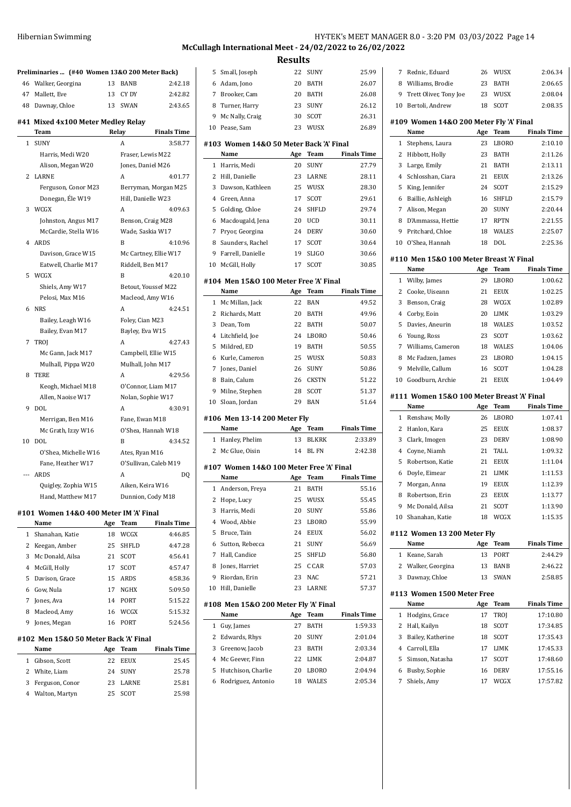| 46  | Preliminaries  (#40 Women 13&0 200 Meter Back)<br>Walker, Georgina | 13 | <b>BANB</b>           | 2:42.18              |
|-----|--------------------------------------------------------------------|----|-----------------------|----------------------|
| 47  |                                                                    | 13 | CY DY                 |                      |
|     | Mallett, Eve                                                       |    |                       | 2:42.82              |
| 48  | Dawnay, Chloe                                                      | 13 | <b>SWAN</b>           | 2:43.65              |
|     | #41 Mixed 4x100 Meter Medley Relay                                 |    |                       |                      |
|     | Team                                                               |    | Relay                 | <b>Finals Time</b>   |
| 1   | <b>SUNY</b>                                                        |    | A                     | 3:58.77              |
|     | Harris, Medi W20                                                   |    | Fraser, Lewis M22     |                      |
|     | Alison, Megan W20                                                  |    | Jones, Daniel M26     |                      |
| 2   | <b>LARNE</b>                                                       |    | A                     | 4:01.77              |
|     | Ferguson, Conor M23                                                |    |                       | Berryman, Morgan M25 |
|     | Donegan, Éle W19                                                   |    | Hill, Danielle W23    |                      |
| 3   | WCGX                                                               |    | A                     | 4:09.63              |
|     | Johnston, Angus M17                                                |    | Benson, Craig M28     |                      |
|     | McCardie, Stella W16                                               |    | Wade, Saskia W17      |                      |
| 4   | ARDS                                                               |    | R                     | 4:10.96              |
|     | Davison, Grace W15                                                 |    | Mc Cartney, Ellie W17 |                      |
|     | Eatwell, Charlie M17                                               |    | Riddell, Ben M17      |                      |
|     | 5 WCGX                                                             |    | B                     | 4:20.10              |
|     | Shiels, Amy W17                                                    |    | Betout, Youssef M22   |                      |
|     | Pelosi, Max M16                                                    |    | Macleod, Amy W16      |                      |
| 6   | <b>NRS</b>                                                         |    | A                     | 4:24.51              |
|     | Bailey, Leagh W16                                                  |    | Foley, Cian M23       |                      |
|     | Bailey, Evan M17                                                   |    | Bayley, Eva W15       |                      |
| 7   | <b>TROI</b>                                                        |    | A                     | 4:27.43              |
|     | Mc Gann, Jack M17                                                  |    | Campbell, Ellie W15   |                      |
|     | Mulhall, Pippa W20                                                 |    | Mulhall, John M17     |                      |
| 8   | <b>TERE</b>                                                        |    | A                     | 4:29.56              |
|     | Keogh, Michael M18                                                 |    | O'Connor, Liam M17    |                      |
|     | Allen, Naoise W17                                                  |    | Nolan, Sophie W17     |                      |
| 9   | DOL                                                                |    | A                     | 4:30.91              |
|     | Merrigan, Ben M16                                                  |    | Fane, Ewan M18        |                      |
|     | Mc Grath, Izzy W16                                                 |    | O'Shea, Hannah W18    |                      |
| 10  | DOL                                                                |    | $\overline{R}$        | 4:34.52              |
|     | O'Shea, Michelle W16                                               |    | Ates, Ryan M16        |                      |
|     | Fane, Heather W17                                                  |    | O'Sullivan, Caleb M19 |                      |
| --- | ARDS                                                               |    | A                     | DQ                   |
|     | Quigley, Zophia W15                                                |    | Aiken, Keira W16      |                      |
|     |                                                                    |    |                       |                      |

### Hibernian Swimming **HY-TEK's MEET MANAGER 8.0 - 3:20 PM 03/03/2022** Page 14 **McCullagh International Meet - 24/02/2022 to 26/02/2022**

**Results**

|                  |                                                  | Results |              |                    |
|------------------|--------------------------------------------------|---------|--------------|--------------------|
| 5                | Small, Joseph                                    | 22      | SUNY         | 25.99              |
| 6                | Adam, Jono                                       | 20      | <b>BATH</b>  | 26.07              |
| 7                | Brooker, Cam                                     | 20      | <b>BATH</b>  | 26.08              |
| 8                | Turner, Harry                                    | 23      | SUNY         | 26.12              |
| 9                | Mc Nally, Craig                                  | 30      | SCOT         | 26.31              |
| 10               | Pease, Sam                                       | 23      | WUSX         | 26.89              |
|                  |                                                  |         |              |                    |
|                  | #103  Women 14&0 50 Meter Back 'A' Final         |         |              |                    |
|                  | Name                                             | Age     | Team         | <b>Finals Time</b> |
| $\mathbf{1}$     | Harris, Medi                                     | 20      | SUNY         | 27.79              |
| 2                | Hill, Danielle                                   | 23      | LARNE        | 28.11              |
| 3                | Dawson, Kathleen                                 | 25      | WUSX         | 28.30              |
|                  | 4 Green, Anna                                    | 17      | <b>SCOT</b>  | 29.61              |
| 5                | Golding, Chloe                                   | 24      | SHFLD        | 29.74              |
| 6                | Macdougald, Jena                                 | 20      | UCD          | 30.11              |
| $\boldsymbol{7}$ | Pryor, Georgina                                  | 24      | <b>DERV</b>  | 30.60              |
| 8                | Saunders, Rachel                                 | 17      | SCOT         | 30.64              |
| 9                | Farrell, Danielle                                | 19      | SLIGO        | 30.66              |
| 10               | McGill, Holly                                    | 17      | SCOT         | 30.85              |
|                  | #104 Men 15&0 100 Meter Free 'A' Final           |         |              |                    |
|                  | Name                                             | Age     | Team         | <b>Finals Time</b> |
| 1                | Mc Millan, Jack                                  | 22      | <b>BAN</b>   | 49.52              |
| 2                | Richards, Matt                                   | 20      | <b>BATH</b>  | 49.96              |
| 3                | Dean, Tom                                        | 22      | <b>BATH</b>  | 50.07              |
| $\overline{4}$   | Litchfield, Joe                                  | 24      | <b>LBORO</b> | 50.46              |
| 5                | Mildred, ED                                      | 19      | <b>BATH</b>  | 50.55              |
| 6                | Kurle, Cameron                                   | 25      | WUSX         | 50.83              |
| 7                | Jones, Daniel                                    | 26      | SUNY         | 50.86              |
| 8                | Bain, Calum                                      | 26      | <b>CKSTN</b> | 51.22              |
| 9                | Milne, Stephen                                   | 28      | SCOT         | 51.37              |
| 10               | Sloan, Jordan                                    | 29      | <b>BAN</b>   | 51.64              |
|                  | #106 Men 13-14 200 Meter Fly                     |         |              |                    |
|                  | Name                                             | Age     | Team         | <b>Finals Time</b> |
| $\mathbf{1}$     | Hanley, Phelim                                   | 13      | <b>BLKRK</b> | 2:33.89            |
|                  | 2 Mc Glue, Oisin                                 | 14      | <b>BL FN</b> | 2:42.38            |
|                  |                                                  |         |              |                    |
|                  | #107 Women 14&0 100 Meter Free 'A' Final<br>Name |         | <b>Team</b>  | <b>Finals Time</b> |
|                  |                                                  | Age     | 21 BATH      |                    |
| 1<br>2           | Anderson, Freya<br>Hope, Lucy                    | 25      | WUSX         | 55.16<br>55.45     |
| 3                | Harris, Medi                                     | 20      | SUNY         | 55.86              |
| $\overline{4}$   | Wood, Abbie                                      | 23      | LBORO        | 55.99              |
| 5                | Bruce, Tain                                      | 24      | <b>EEUX</b>  | 56.02              |
|                  | 6 Sutton, Rebecca                                | 21      | SUNY         | 56.69              |
| 7                | Hall, Candice                                    | 25      | <b>SHFLD</b> | 56.80              |
| 8                | Jones, Harriet                                   | 25      | C CAR        | 57.03              |
| 9                | Riordan, Erin                                    | 23      | NAC          | 57.21              |
| 10               | Hill, Danielle                                   | 23      | LARNE        | 57.37              |
|                  |                                                  |         |              |                    |
|                  | #108 Men 15&0 200 Meter Fly 'A' Final            |         |              |                    |
|                  | Name                                             | Age     | Team         | <b>Finals Time</b> |
| $\mathbf{1}$     | Guy, James                                       | 27      | BATH         | 1:59.33            |
| 2                | Edwards, Rhys                                    | 20      | SUNY         | 2:01.04            |
| 3                | Greenow, Jacob                                   | 23      | BATH         | 2:03.34            |
|                  | 4 Mc Geever, Finn                                | 22      | LIMK         | 2:04.87            |
| 5                | Hutchison, Charlie                               | 20      | LBORO        | 2:04.94            |
|                  | 6 Rodriguez, Antonio                             |         | 18 WALES     | 2:05.34            |

 $\overline{a}$ 

 Rednic, Eduard 26 WUSX 2:06.34 Williams, Brodie 23 BATH 2:06.65 Trett Oliver, Tony Joe 23 WUSX 2:08.04 Bertoli, Andrew 18 SCOT 2:08.35 **#109 Women 14&O 200 Meter Fly 'A' Final Name Age Team Finals Time** Stephens, Laura 23 LBORO 2:10.10 Hibbott, Holly 23 BATH 2:11.26 Large, Emily 21 BATH 2:13.11 Schlosshan, Ciara 21 EEUX 2:13.26 King, Jennifer 24 SCOT 2:15.29 Baillie, Ashleigh 16 SHFLD 2:15.79 Alison, Megan 20 SUNY 2:20.44 D'Ammassa, Hettie 17 RPTN 2:21.55 Pritchard, Chloe 18 WALES 2:25.07 O'Shea, Hannah 18 DOL 2:25.36 **#110 Men 15&O 100 Meter Breast 'A' Final Name Age Team Finals Time** Wilby, James 29 LBORO 1:00.62 Cooke, Uiseann 21 EEUX 1:02.25 Benson, Craig 28 WCGX 1:02.89 Corby, Eoin 20 LIMK 1:03.29 Davies, Aneurin 18 WALES 1:03.52 Young, Ross 23 SCOT 1:03.62 7 Williams, Cameron 18 WALES 1:04.06 8 Mc Fadzen, James 23 LBORO 1:04.15 9 Melville, Callum 16 SCOT 1:04.28 Goodburn, Archie 21 EEUX 1:04.49 **#111 Women 15&O 100 Meter Breast 'A' Final Name Age Team Finals Time** Renshaw, Molly 26 LBORO 1:07.41 Hanlon, Kara 25 EEUX 1:08.37 Clark, Imogen 23 DERV 1:08.90 Coyne, Niamh 21 TALL 1:09.32 Robertson, Katie 21 EEUX 1:11.04 Doyle, Eimear 21 LIMK 1:11.53 Morgan, Anna 19 EEUX 1:12.39 Robertson, Erin 23 EEUX 1:13.77 9 Mc Donald, Ailsa 21 SCOT 1:13.90 Shanahan, Katie 18 WCGX 1:15.35 **#112 Women 13 200 Meter Fly Name Age Team Finals Time** Keane, Sarah 13 PORT 2:44.29 Walker, Georgina 13 BANB 2:46.22 Dawnay, Chloe 13 SWAN 2:58.85 **#113 Women 1500 Meter Free Name Age Team Finals Time** Hodgins, Grace 17 TROJ 17:10.80 Hall, Kailyn 18 SCOT 17:34.85 3 Bailey, Katherine 18 SCOT 17:35.43 Carroll, Ella 17 LIMK 17:45.33 Simson, Natasha 17 SCOT 17:48.60 Busby, Sophie 16 DERV 17:55.16 Shiels, Amy 17 WCGX 17:57.82

|                | 111W                                          |           |                   |                       |
|----------------|-----------------------------------------------|-----------|-------------------|-----------------------|
|                | Bailey, Leagh W16                             |           | Foley, Cian M23   |                       |
|                | Bailey, Evan M17                              |           | Bayley, Eva W15   |                       |
| 7              | TROJ                                          |           | A                 | 4:27.43               |
|                | Mc Gann, Jack M17                             |           |                   | Campbell, Ellie W15   |
|                | Mulhall, Pippa W20                            |           | Mulhall, John M17 |                       |
| 8              | <b>TERE</b>                                   |           | A                 | 4:29.56               |
|                | Keogh, Michael M18                            |           |                   | O'Connor, Liam M17    |
|                | Allen, Naoise W17                             |           |                   | Nolan, Sophie W17     |
| 9              | <b>DOL</b>                                    |           | A                 | 4:30.91               |
|                | Merrigan, Ben M16                             |           | Fane, Ewan M18    |                       |
|                | Mc Grath, Izzy W16                            |           |                   | O'Shea, Hannah W18    |
| 10             | DOL                                           |           | B                 | 4:34.52               |
|                | O'Shea, Michelle W16                          |           | Ates, Ryan M16    |                       |
|                | Fane, Heather W17                             |           |                   | O'Sullivan, Caleb M19 |
| ---            | <b>ARDS</b>                                   |           | A                 | DQ                    |
|                | Quigley, Zophia W15                           |           | Aiken, Keira W16  |                       |
|                | Hand, Matthew M17                             |           |                   | Dunnion, Cody M18     |
|                | #101 Women 14&0 400 Meter IM 'A' Final        |           |                   |                       |
|                |                                               |           |                   |                       |
|                | Name                                          | Age       | Team              | <b>Finals Time</b>    |
| 1              | Shanahan, Katie                               | 18        | WCGX              | 4:46.85               |
| 2              | Keegan, Amber                                 | 25        | SHFLD             | 4:47.28               |
| 3              | Mc Donald, Ailsa                              | 21        | SCOT              | 4:56.41               |
| 4              | McGill, Holly                                 | 17        | SCOT              | 4:57.47               |
| 5              | Davison, Grace                                | 15        | ARDS              | 4:58.36               |
| 6              | Gow, Nula                                     | 17        | NGHX              | 5:09.50               |
| 7              | Jones, Ava                                    | 14        | PORT              | 5:15.22               |
| 8              | Macleod, Amy                                  | 16        | WCGX              | 5:15.32               |
| 9              | Jones, Megan                                  | 16        | PORT              | 5:24.56               |
|                |                                               |           |                   |                       |
|                | #102 Men 15&0 50 Meter Back 'A' Final<br>Name |           |                   |                       |
| 1              |                                               | Age<br>22 | Team<br>EEUX      | <b>Finals Time</b>    |
| 2              | Gibson, Scott<br>White, Liam                  | 24        | SUNY              | 25.45<br>25.78        |
| 3              | Ferguson, Conor                               | 23        | LARNE             | 25.81                 |
| $\overline{4}$ | Walton, Martyn                                | 25        | <b>SCOT</b>       | 25.98                 |
|                |                                               |           |                   |                       |
|                |                                               |           |                   |                       |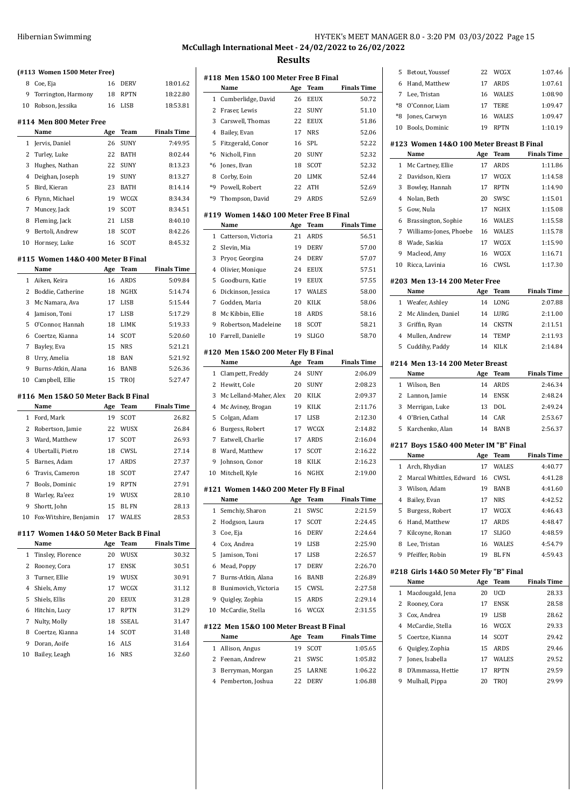# **McCullagh International Meet - 24/02/2022 to 26/02/2022 Results**  $\begin{array}{c} \hline \end{array}$

 $\overline{\phantom{0}}$ 

|                                                  | (#113 Women 1500 Meter Free)          |          |                   |                    |  |  |  |  |
|--------------------------------------------------|---------------------------------------|----------|-------------------|--------------------|--|--|--|--|
| 8                                                | Coe, Eja                              | 16       | DERV              | 18:01.62           |  |  |  |  |
| 9                                                | Torrington, Harmony                   | 18       | RPTN              | 18:22.80           |  |  |  |  |
| 10                                               | Robson, Jessika                       | 16       | LISB              | 18:53.81           |  |  |  |  |
|                                                  |                                       |          |                   |                    |  |  |  |  |
|                                                  | #114 Men 800 Meter Free               |          |                   |                    |  |  |  |  |
|                                                  | Name                                  | Age      | Team              | <b>Finals Time</b> |  |  |  |  |
| 1                                                | Jervis, Daniel                        | 26       | SUNY              | 7:49.95            |  |  |  |  |
| 2                                                | Turley, Luke                          | 22       | BATH              | 8:02.44            |  |  |  |  |
| 3                                                | Hughes, Nathan                        | 22       | SUNY              | 8:13.23            |  |  |  |  |
| 4                                                | Deighan, Joseph                       | 19       | SUNY              | 8:13.27            |  |  |  |  |
| 5                                                | Bird, Kieran                          | 23       | BATH              | 8:14.14            |  |  |  |  |
| 6                                                | Flynn, Michael                        | 19       | WCGX              | 8:34.34            |  |  |  |  |
| 7                                                | Muncey, Jack                          | 19       | SCOT              | 8:34.51            |  |  |  |  |
| 8                                                | Fleming, Jack                         | 21       | LISB              | 8:40.10            |  |  |  |  |
| 9                                                | Bertoli, Andrew                       | 18       | SCOT              | 8:42.26            |  |  |  |  |
| 10                                               | Hornsey, Luke                         | 16       | SCOT              | 8:45.32            |  |  |  |  |
|                                                  | #115 Women 14&0 400 Meter B Final     |          |                   |                    |  |  |  |  |
| Name<br><b>Finals Time</b><br>Age<br><b>Team</b> |                                       |          |                   |                    |  |  |  |  |
| 1                                                | Aiken, Keira                          | 16       | ARDS              | 5:09.84            |  |  |  |  |
| 2                                                | Boddie, Catherine                     | 18       | NGHX              | 5:14.74            |  |  |  |  |
| 3                                                | Mc Namara, Ava                        | 17       | LISB              | 5:15.44            |  |  |  |  |
| 4                                                | Jamison, Toni                         | 17       | LISB              | 5:17.29            |  |  |  |  |
| 5                                                | O'Connor, Hannah                      | 18       | LIMK              | 5:19.33            |  |  |  |  |
| 6                                                | Coertze, Kianna                       | 14       | SCOT              | 5:20.60            |  |  |  |  |
| 7                                                | Bayley, Eva                           | 15       | NRS               | 5:21.21            |  |  |  |  |
| 8                                                | Urry, Amelia                          | 18       | BAN               | 5:21.92            |  |  |  |  |
| 9                                                | Burns-Atkin, Alana                    | 16       | BANB              | 5:26.36            |  |  |  |  |
|                                                  |                                       |          |                   |                    |  |  |  |  |
|                                                  |                                       |          |                   |                    |  |  |  |  |
| 10                                               | Campbell, Ellie                       | 15       | TROJ              | 5:27.47            |  |  |  |  |
|                                                  | #116 Men 15&0 50 Meter Back B Final   |          |                   |                    |  |  |  |  |
|                                                  | Name                                  | Age      | Team              | <b>Finals Time</b> |  |  |  |  |
| $\mathbf{1}$                                     | Ford, Mark                            | 19       | SCOT              | 26.82              |  |  |  |  |
| 2                                                | Robertson, Jamie                      | 22       | WUSX              | 26.84              |  |  |  |  |
| 3                                                | Ward, Matthew                         | 17       | SCOT              | 26.93              |  |  |  |  |
| 4                                                | Ubertalli, Pietro                     | 18       | CWSL              | 27.14              |  |  |  |  |
| 5                                                | Barnes, Adam                          | 17       | <b>ARDS</b>       | 27.37              |  |  |  |  |
| 6                                                | Travis, Cameron                       | 18       | SCOT              | 27.47              |  |  |  |  |
| 7                                                | Bools, Dominic                        | 19       | <b>RPTN</b>       | 27.91              |  |  |  |  |
| 8                                                | Warley, Ra'eez                        | 19       | WUSX              | 28.10              |  |  |  |  |
| 9                                                | Shortt, John                          | 15       | BL FN             | 28.13              |  |  |  |  |
| 10                                               | Fox-Witshire, Benjamin                | 17       | WALES             | 28.53              |  |  |  |  |
|                                                  |                                       |          |                   |                    |  |  |  |  |
|                                                  | #117 Women 14&0 50 Meter Back B Final |          |                   |                    |  |  |  |  |
|                                                  | Name                                  | Age      | Team              | <b>Finals Time</b> |  |  |  |  |
| 1                                                | Tinsley, Florence                     | 20       | WUSX              | 30.32              |  |  |  |  |
| 2                                                | Rooney, Cora                          | 17       | ENSK              | 30.51              |  |  |  |  |
| 3                                                | Turner, Ellie                         | 19       | WUSX              | 30.91              |  |  |  |  |
| 4                                                | Shiels, Amy                           | 17       | WCGX              | 31.12              |  |  |  |  |
| 5                                                | Shiels, Ellis                         | 20       | <b>EEUX</b>       | 31.28              |  |  |  |  |
| 6                                                | Hitchin, Lucy                         | 17       | <b>RPTN</b>       | 31.29              |  |  |  |  |
| 7                                                | Nulty, Molly                          | 18       | SSEAL             | 31.47              |  |  |  |  |
| 8                                                | Coertze, Kianna                       | 14       | SCOT              | 31.48              |  |  |  |  |
| 9<br>10                                          | Doran, Aoife<br>Bailey, Leagh         | 16<br>16 | <b>ALS</b><br>NRS | 31.64<br>32.60     |  |  |  |  |

|                | #118 Men 15&0 100 Meter Free B Final           |          |              |                    |
|----------------|------------------------------------------------|----------|--------------|--------------------|
|                | Name                                           | Age      | <b>Team</b>  | <b>Finals Time</b> |
| 1              | Cumberlidge, David                             | 26       | <b>EEUX</b>  | 50.72              |
| 2              | Fraser, Lewis                                  | 22       | SUNY         | 51.10              |
| 3              | Carswell, Thomas                               | 22       | <b>EEUX</b>  | 51.86              |
| 4              | Bailey, Evan                                   | 17       | <b>NRS</b>   | 52.06              |
| 5              | Fitzgerald, Conor                              | 16       | SPL          | 52.22              |
| *6             | Nicholl, Finn                                  | 20       | <b>SUNY</b>  | 52.32              |
| $*6$           | Jones, Evan                                    | 18       | SCOT         | 52.32              |
| 8              | Corby, Eoin                                    | 20       | LIMK         | 52.44              |
| *9             | Powell, Robert                                 | 22       | <b>ATH</b>   | 52.69              |
| *9             | Thompson, David                                | 29       | <b>ARDS</b>  | 52.69              |
|                |                                                |          |              |                    |
|                | #119 Women 14&0 100 Meter Free B Final         |          |              |                    |
|                | Name                                           | Age      | <b>Team</b>  | <b>Finals Time</b> |
| 1              | Catterson, Victoria                            | 21       | <b>ARDS</b>  | 56.51              |
| 2              | Slevin, Mia                                    | 19       | <b>DERV</b>  | 57.00              |
| 3              | Pryor, Georgina                                | 24       | <b>DERV</b>  | 57.07              |
| $\overline{4}$ | Olivier, Monique                               | 24       | <b>EEUX</b>  | 57.51              |
| 5              | Goodburn, Katie                                | 19       | <b>EEUX</b>  | 57.55              |
| 6              | Dickinson, Jessica                             | 17       | <b>WALES</b> | 58.00              |
| 7              | Godden, Maria                                  | 20       | <b>KILK</b>  | 58.06              |
| 8              | Mc Kibbin, Ellie                               | 18       | ARDS         | 58.16              |
| 9              | Robertson, Madeleine                           | 18       | SCOT         | 58.21              |
| 10             | Farrell, Danielle                              | 19       | <b>SLIGO</b> | 58.70              |
|                | #120 Men 15&0 200 Meter Fly B Final            |          |              |                    |
|                | Name                                           | Age      | Team         | <b>Finals Time</b> |
|                |                                                |          |              |                    |
| $\mathbf{1}$   |                                                | 24       |              |                    |
|                | Clampett, Freddy                               |          | SUNY         | 2:06.09            |
| 2              | Hewitt, Cole                                   | 20       | SUNY         | 2:08.23            |
| 3              | Mc Lelland-Maher, Alex                         | 20       | KILK         | 2:09.37            |
| 4              | Mc Aviney, Brogan                              | 19       | KILK         | 2:11.76            |
| 5              | Colgan, Adam                                   | 17       | LISB         | 2:12.30            |
| 6              | Burgess, Robert                                | 17       | WCGX         | 2:14.82            |
| 7              | Eatwell, Charlie                               | 17       | ARDS         | 2:16.04            |
| 8              | Ward, Matthew                                  | 17       | SCOT         | 2:16.22            |
| 9              | Johnson, Conor                                 | 18       | KILK         | 2:16.23            |
| 10             | Mitchell, Kyle                                 | 16       | NGHX         | 2:19.00            |
|                | #121 Women 14&0 200 Meter Fly B Final          |          |              |                    |
|                | Name                                           | Age      | Team         | <b>Finals Time</b> |
| 1              | Semchiy, Sharon                                | 21       | SWSC         | 2:21.59            |
| 2              | Hodgson, Laura                                 | 17       | SCOT         | 2:24.45            |
| 3              | Coe, Eja                                       | 16       | DERV         | 2:24.64            |
| 4              | Cox, Andrea                                    | 19       | LISB         | 2:25.90            |
| 5              | Jamison, Toni                                  | 17       | LISB         | 2:26.57            |
| 6              | Mead, Poppy                                    | 17       | DERV         | 2:26.70            |
| 7              | Burns-Atkin, Alana                             | 16       | BANB         | 2:26.89            |
| 8              | Bunimovich, Victoria                           | 15       | CWSL         | 2:27.58            |
| 9              | Quigley, Zophia                                | 15       | ARDS         | 2:29.14            |
| 10             | McCardie, Stella                               | 16       | WCGX         | 2:31.55            |
|                |                                                |          |              |                    |
|                | #122 Men 15&0 100 Meter Breast B Final<br>Name |          |              |                    |
|                |                                                | Age      | Team         | <b>Finals Time</b> |
| 1<br>2         | Allison, Angus<br>Feenan, Andrew               | 19<br>21 | SCOT<br>SWSC | 1:05.65<br>1:05.82 |

Pemberton, Joshua 22 DERV 1:06.88

HY-TEK's MEET MANAGER 8.0 - 3:20 PM 03/03/2022 Page 15

Betout, Youssef 22 WCGX 1:07.46

| 6                                                                                     | Hand, Matthew                                 | 17  | ARDS         | 1:07.61            |  |  |  |
|---------------------------------------------------------------------------------------|-----------------------------------------------|-----|--------------|--------------------|--|--|--|
| 7                                                                                     | Lee, Tristan                                  | 16  | WALES        | 1:08.90            |  |  |  |
| *8                                                                                    | O'Connor, Liam                                | 17  | <b>TERE</b>  | 1:09.47            |  |  |  |
| *8                                                                                    | Jones, Carwyn                                 | 16  | WALES        | 1:09.47            |  |  |  |
| 10                                                                                    | Bools, Dominic                                | 19  | <b>RPTN</b>  | 1:10.19            |  |  |  |
|                                                                                       |                                               |     |              |                    |  |  |  |
| #123 Women 14&0 100 Meter Breast B Final<br><b>Finals Time</b><br>Name<br>Age<br>Team |                                               |     |              |                    |  |  |  |
| 1                                                                                     | Mc Cartney, Ellie                             | 17  | <b>ARDS</b>  | 1:11.86            |  |  |  |
| 2                                                                                     | Davidson, Kiera                               | 17  | WCGX         | 1:14.58            |  |  |  |
| 3                                                                                     | Bowley, Hannah                                | 17  | <b>RPTN</b>  | 1:14.90            |  |  |  |
| 4                                                                                     | Nolan, Beth                                   | 20  | SWSC         | 1:15.01            |  |  |  |
| 5                                                                                     | Gow, Nula                                     | 17  | NGHX         | 1:15.08            |  |  |  |
| 6                                                                                     |                                               | 16  | WALES        | 1:15.58            |  |  |  |
| 7                                                                                     | Brassington, Sophie<br>Williams-Jones, Phoebe | 16  | WALES        | 1:15.78            |  |  |  |
|                                                                                       |                                               |     | WCGX         |                    |  |  |  |
| 8                                                                                     | Wade, Saskia                                  | 17  |              | 1:15.90            |  |  |  |
| 9                                                                                     | Macleod, Amy                                  | 16  | WCGX         | 1:16.71            |  |  |  |
| 10                                                                                    | Ricca, Lavinia                                | 16  | CWSL         | 1:17.30            |  |  |  |
|                                                                                       | #203 Men 13-14 200 Meter Free                 |     |              |                    |  |  |  |
|                                                                                       | Name                                          | Age | Team         | <b>Finals Time</b> |  |  |  |
| $\mathbf{1}$                                                                          | Weafer, Ashley                                | 14  | LONG         | 2:07.88            |  |  |  |
| 2                                                                                     | Mc Alinden, Daniel                            | 14  | LURG         | 2:11.00            |  |  |  |
| 3                                                                                     | Griffin, Ryan                                 | 14  | <b>CKSTN</b> | 2:11.51            |  |  |  |
| 4                                                                                     | Mullen, Andrew                                | 14  | TEMP         | 2:11.93            |  |  |  |
| 5                                                                                     | Cuddihy, Paddy                                | 14  | KILK         | 2:14.84            |  |  |  |
|                                                                                       | #214 Men 13-14 200 Meter Breast               |     |              |                    |  |  |  |
|                                                                                       | Name                                          | Age | Team         | Finals Time        |  |  |  |
|                                                                                       |                                               |     |              |                    |  |  |  |
|                                                                                       |                                               |     |              |                    |  |  |  |
| $\mathbf{1}$                                                                          | Wilson, Ben                                   | 14  | ARDS         | 2:46.34            |  |  |  |
| 2                                                                                     | Lannon, Jamie                                 | 14  | <b>ENSK</b>  | 2:48.24            |  |  |  |
| 3                                                                                     | Merrigan, Luke                                | 13  | DOL          | 2:49.24            |  |  |  |
| 4                                                                                     | O'Brien, Cathal                               | 14  | CAR          | 2:53.67            |  |  |  |
| 5                                                                                     | Karchenko, Alan                               | 14  | BANB         | 2:56.37            |  |  |  |
|                                                                                       | #217 Boys 15&0 400 Meter IM "B" Final         |     |              |                    |  |  |  |
|                                                                                       | Name                                          | Age | Team         | <b>Finals Time</b> |  |  |  |
| 1                                                                                     | Arch, Rhydian                                 | 17  | WALES        | 4:40.77            |  |  |  |
| 2                                                                                     | Marcal Whittles, Edward                       | 16  | CWSL         | 4:41.28            |  |  |  |
| 3                                                                                     | Wilson, Adam                                  | 19  | <b>BANB</b>  | 4:41.60            |  |  |  |
| 4                                                                                     | Bailey, Evan                                  | 17  | <b>NRS</b>   | 4:42.52            |  |  |  |
| 5                                                                                     | Burgess, Robert                               | 17  | WCGX         | 4:46.43            |  |  |  |
| 6                                                                                     | Hand, Matthew                                 | 17  | ARDS         | 4:48.47            |  |  |  |
| 7                                                                                     | Kilcoyne, Ronan                               | 17  | <b>SLIGO</b> | 4:48.59            |  |  |  |
| 8                                                                                     | Lee, Tristan                                  | 16  | WALES        | 4:54.79            |  |  |  |
| 9                                                                                     | Pfeiffer, Robin                               | 19  | BL FN        | 4:59.43            |  |  |  |
|                                                                                       | #218 Girls 14&0 50 Meter Fly "B" Final        |     |              |                    |  |  |  |
|                                                                                       | Name                                          | Age | Team         | <b>Finals Time</b> |  |  |  |
| 1                                                                                     | Macdougald, Jena                              | 20  | UCD          | 28.33              |  |  |  |
| 2                                                                                     | Rooney, Cora                                  | 17  | <b>ENSK</b>  | 28.58              |  |  |  |
| 3                                                                                     | Cox, Andrea                                   | 19  | LISB         | 28.62              |  |  |  |
| 4                                                                                     | McCardie, Stella                              | 16  | WCGX         | 29.33              |  |  |  |
| 5                                                                                     | Coertze, Kianna                               | 14  | SCOT         | 29.42              |  |  |  |
| 6                                                                                     | Quigley, Zophia                               | 15  | ARDS         | 29.46              |  |  |  |
| 7                                                                                     | Jones, Isabella                               | 17  | WALES        | 29.52              |  |  |  |
| 8                                                                                     | D'Ammassa, Hettie                             | 17  | <b>RPTN</b>  | 29.59              |  |  |  |
| 9                                                                                     | Mulhall, Pippa                                | 20  | TROJ         | 29.99              |  |  |  |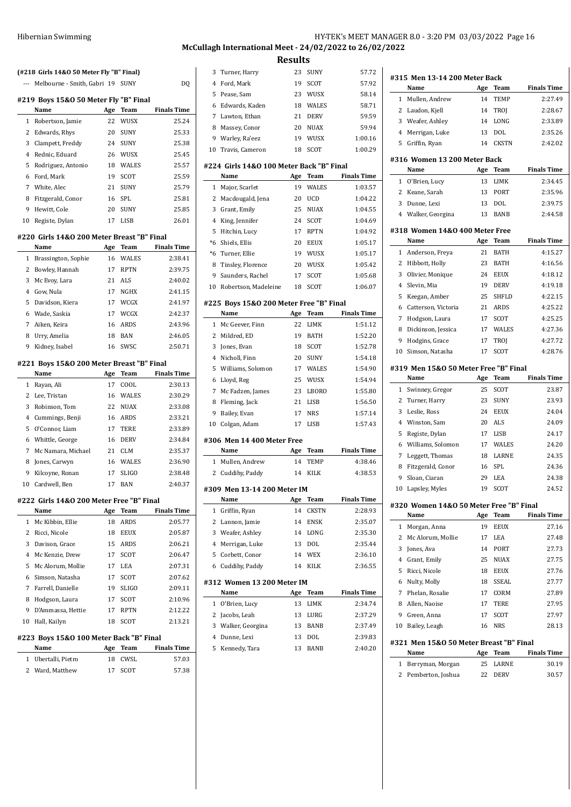## HY-TEK's MEET MANAGER 8.0 - 3:20 PM 03/03/2022 Page 16 **McCullagh International Meet - 24/02/2022 to 26/02/2022**

|                | (#218 Girls 14&0 50 Meter Fly "B" Final)   |          |              |                    | 3              |
|----------------|--------------------------------------------|----------|--------------|--------------------|----------------|
|                | Melbourne - Smith, Gabri 19 SUNY           |          |              | DQ                 | 4              |
|                |                                            |          |              |                    | 5              |
|                | #219 Boys 15&0 50 Meter Fly "B" Final      |          |              |                    | 6              |
|                | Name                                       | Age      | Team         | <b>Finals Time</b> | 7              |
| $\mathbf{1}$   | Robertson, Jamie                           | 22       | WUSX         | 25.24              | 8              |
| $\overline{c}$ | Edwards, Rhys                              | 20       | SUNY         | 25.33              | 9              |
| 3              | Clampett, Freddy                           | 24       | SUNY         | 25.38              | 10             |
| $\overline{4}$ | Rednic, Eduard                             | 26       | WUSX         | 25.45              |                |
| 5              | Rodriguez, Antonio                         | 18       | WALES        | 25.57              | #224           |
| 6              | Ford, Mark                                 | 19       | SCOT         | 25.59              |                |
| 7              | White, Alec                                | 21       | <b>SUNY</b>  | 25.79              | 1              |
| 8              | Fitzgerald, Conor                          | 16       | SPL.         | 25.81              | 2              |
| 9              | Hewitt, Cole                               | 20       | SUNY         | 25.85              | 3              |
| 10             | Registe, Dylan                             | 17       | LISB         | 26.01              | $\overline{4}$ |
|                | #220 Girls 14&0 200 Meter Breast "B" Final |          |              |                    | 5              |
|                | Name                                       | Age      | Team         | <b>Finals Time</b> | $*6$           |
| $\mathbf{1}$   | Brassington, Sophie                        | 16       | <b>WALES</b> | 2:38.41            | $*6$           |
| $\overline{c}$ | Bowley, Hannah                             | 17       | <b>RPTN</b>  | 2:39.75            | 8              |
| 3              | Mc Evoy, Lara                              | 21       | ALS          | 2:40.02            | 9              |
| 4              | Gow, Nula                                  | 17       | NGHX         | 2:41.15            | 10             |
| 5              | Davidson, Kiera                            | 17       | WCGX         | 2:41.97            | #225           |
| 6              | Wade, Saskia                               | 17       | WCGX         | 2:42.37            |                |
| 7              | Aiken, Keira                               | 16       | ARDS         | 2:43.96            | 1              |
| 8              | Urry, Amelia                               | 18       | BAN          | 2:46.05            | 2              |
| 9              | Kidney, Isabel                             | 16       | SWSC         | 2:50.71            | 3              |
|                |                                            |          |              |                    | 4              |
|                | #221 Boys 15&0 200 Meter Breast "B" Final  |          |              |                    |                |
|                | Name                                       | Age      | Team         | <b>Finals Time</b> | 5              |
| $\mathbf 1$    | Rayan, Ali                                 | 17       | COOL         | 2:30.13            | 6<br>7         |
| $\overline{2}$ | Lee, Tristan                               | 16       | WALES        | 2:30.29            |                |
| 3              | Robinson, Tom                              | 22       | NUAX         | 2:33.08            | 8              |
| $\overline{4}$ | Cummings, Benji                            | 16       | ARDS         | 2:33.21            | 9              |
| 5              | O'Connor, Liam                             | 17       | TERE         | 2:33.89            | 10             |
| 6              | Whittle, George                            | 16       | <b>DERV</b>  | 2:34.84            | #306           |
| 7              | Mc Namara, Michael                         | 21       | <b>CLM</b>   | 2:35.37            |                |
| 8              | Jones, Carwyn                              | 16       | WALES        | 2:36.90            | 1              |
| 9              | Kilcoyne, Ronan                            | 17       | SLIGO        | 2:38.48            | 2              |
| 10             | Cardwell, Ben                              | 17       | <b>BAN</b>   | 2:40.37            |                |
|                | #222 Girls 14&0 200 Meter Free "B" Final   |          |              |                    | #309           |
|                | Name                                       | Age      | Team         | <b>Finals Time</b> | 1              |
| 1              | Mc Kibbin, Ellie                           | 18       | ARDS         | 2:05.77            | 2              |
| 2              |                                            |          |              |                    | 3              |
| 3              | Ricci, Nicole                              | 18<br>15 | EEUX         | 2:05.87            | 4              |
|                | Davison, Grace                             |          | ARDS         | 2:06.21            |                |
| 4              | Mc Kenzie, Drew                            | 17       | SCOT         | 2:06.47            | 5              |
| 5              | Mc Alorum, Mollie                          | 17       | LEA          | 2:07.31            | 6              |
| 6              | Simson, Natasha                            | 17       | SCOT         | 2:07.62            | #312           |
| 7              | Farrell, Danielle                          | 19       | SLIGO        | 2:09.11            |                |
| 8              | Hodgson, Laura                             | 17       | SCOT         | 2:10.96            | 1              |
| 9              | D'Ammassa, Hettie                          | 17       | RPTN         | 2:12.22            | 2              |
| 10             | Hall, Kailyn                               | 18       | SCOT         | 2:13.21            | 3              |
|                | #223 Boys 15&0 100 Meter Back "B" Final    |          |              |                    | 4              |
|                | Name                                       | Age      | Team         | <b>Finals Time</b> | 5              |
| 1              | Ubertalli, Pietro                          | 18       | CWSL         | 57.03              |                |
| 2              | Ward, Matthew                              | 17       | SCOT         | 57.38              |                |

|                            |                                                 | nesuits |              |                    |  |  |
|----------------------------|-------------------------------------------------|---------|--------------|--------------------|--|--|
| 3                          | Turner, Harry                                   | 23      | SUNY         | 57.72              |  |  |
| 4                          | Ford, Mark                                      | 19      | SCOT         | 57.92              |  |  |
| 5                          | Pease, Sam                                      | 23      | WUSX         | 58.14              |  |  |
| 6                          | Edwards, Kaden                                  | 18      | <b>WALES</b> | 58.71              |  |  |
| 7                          | Lawton, Ethan                                   | 21      | <b>DERV</b>  | 59.59              |  |  |
| 8                          | Massey, Conor                                   | 20      | <b>NUAX</b>  | 59.94              |  |  |
| 9                          | Warley, Ra'eez                                  | 19      | WUSX         | 1:00.16            |  |  |
| 10                         | Travis, Cameron                                 | 18      | SCOT         | 1:00.29            |  |  |
|                            |                                                 |         |              |                    |  |  |
|                            | #224 Girls 14&0 100 Meter Back "B" Final        |         |              |                    |  |  |
|                            | Name                                            | Age     | Team         | <b>Finals Time</b> |  |  |
| 1                          | Major, Scarlet                                  | 19      | <b>WALES</b> | 1:03.57            |  |  |
| 2                          | Macdougald, Jena                                | 20      | UCD          | 1:04.22            |  |  |
| 3                          | Grant, Emily                                    | 25      | NUAX         | 1:04.55            |  |  |
| 4                          | King, Jennifer                                  | 24      | SCOT         | 1:04.69            |  |  |
| 5                          | Hitchin, Lucy                                   | 17      | <b>RPTN</b>  | 1:04.92            |  |  |
| $*6$                       | Shiels, Ellis                                   | 20      | EEUX         | 1:05.17            |  |  |
| $*6$                       | Turner, Ellie                                   | 19      | WUSX         | 1:05.17            |  |  |
| 8                          | Tinsley, Florence                               | 20      | WUSX         | 1:05.42            |  |  |
| 9                          | Saunders, Rachel                                | 17      | SCOT         | 1:05.68            |  |  |
| 10                         | Robertson, Madeleine                            | 18      | SCOT         | 1:06.07            |  |  |
|                            |                                                 |         |              |                    |  |  |
|                            | #225 Boys 15&0 200 Meter Free "B" Final<br>Name | Age     | Team         | <b>Finals Time</b> |  |  |
|                            |                                                 |         |              |                    |  |  |
| 1                          | Mc Geever, Finn                                 | 22      | LIMK         | 1:51.12            |  |  |
| 2                          | Mildred, ED                                     | 19      | BATH         | 1:52.20            |  |  |
| 3                          | Jones, Evan                                     | 18      | SCOT         | 1:52.78            |  |  |
| 4                          | Nicholl, Finn                                   | 20      | SUNY         | 1:54.18            |  |  |
| 5                          | Williams, Solomon                               | 17      | <b>WALES</b> | 1:54.90            |  |  |
| 6                          | Lloyd, Reg                                      | 25      | WUSX         | 1:54.94            |  |  |
| 7                          | Mc Fadzen, James                                | 23      | LBORO        | 1:55.80            |  |  |
| 8                          | Fleming, Jack                                   | 21      | LISB         | 1:56.50            |  |  |
| 9                          | Bailey, Evan                                    | 17      | NRS          | 1:57.14            |  |  |
| 10                         | Colgan, Adam                                    | 17      | LISB         | 1:57.43            |  |  |
|                            | #306 Men 14 400 Meter Free                      |         |              |                    |  |  |
|                            | Name                                            | Age     | Team         | <b>Finals Time</b> |  |  |
| 1                          | Mullen, Andrew                                  | 14      | TEMP         | 4:38.46            |  |  |
| 2                          | Cuddihy, Paddy                                  | 14      | <b>KILK</b>  | 4:38.53            |  |  |
|                            |                                                 |         |              |                    |  |  |
|                            | #309 Men 13-14 200 Meter IM                     |         |              |                    |  |  |
|                            | Name                                            | Age     | Team         | <b>Finals Time</b> |  |  |
| 1                          | Griffin, Ryan                                   | 14      | <b>CKSTN</b> | 2:28.93            |  |  |
| 2                          | Lannon, Jamie                                   | 14      | ENSK         | 2:35.07            |  |  |
| 3                          | Weafer, Ashley                                  | 14      | LONG         | 2:35.30            |  |  |
| $\overline{4}$             | Merrigan, Luke                                  | 13      | DOL          | 2:35.44            |  |  |
| 5                          | Corbett, Conor                                  | 14      | WEX          | 2:36.10            |  |  |
| 6                          | Cuddihy, Paddy                                  | 14      | KILK         | 2:36.55            |  |  |
| #312 Women 13 200 Meter IM |                                                 |         |              |                    |  |  |
|                            | Name                                            | Age     | Team         | <b>Finals Time</b> |  |  |
| 1                          | O'Brien, Lucy                                   | 13      | LIMK         | 2:34.74            |  |  |
| 2                          | Jacobs, Leah                                    | 13      | LURG         | 2:37.29            |  |  |
| 3                          | Walker, Georgina                                | 13      | BANB         | 2:37.49            |  |  |
| $\overline{4}$             | Dunne, Lexi                                     | 13      | DOL          | 2:39.83            |  |  |
| 5                          | Kennedy, Tara                                   | 13      | BANB         | 2:40.20            |  |  |
|                            |                                                 |         |              |                    |  |  |
|                            |                                                 |         |              |                    |  |  |
|                            |                                                 |         |              |                    |  |  |
|                            |                                                 |         |              |                    |  |  |
|                            |                                                 |         |              |                    |  |  |

|                | #315 Men 13-14 200 Meter Back<br>Name   |           | <b>Team</b>  | <b>Finals Time</b>          |
|----------------|-----------------------------------------|-----------|--------------|-----------------------------|
| 1              |                                         | Age<br>14 |              | 2:27.49                     |
|                | Mullen, Andrew                          |           | TEMP         |                             |
| 2              | Laudon, Kjell                           | 14        | TROJ         | 2:28.67<br>2:33.89          |
| 3              | Weafer, Ashley                          | 14        | LONG         | 2:35.26                     |
| $\overline{4}$ | Merrigan, Luke                          | 13        | <b>DOL</b>   |                             |
| 5              | Griffin, Ryan                           | 14        | <b>CKSTN</b> | 2:42.02                     |
|                | #316 Women 13 200 Meter Back<br>Name    | Age       | Team         | <b>Finals Time</b>          |
| $\mathbf 1$    |                                         | 13        |              | 2:34.45                     |
|                | O'Brien, Lucy                           |           | LIMK         |                             |
| 2              | Keane, Sarah                            | 13        | <b>PORT</b>  | 2:35.96                     |
| 3              | Dunne, Lexi                             | 13        | <b>DOL</b>   | 2:39.75                     |
|                | 4 Walker, Georgina                      | 13        | <b>BANB</b>  | 2:44.58                     |
|                | #318 Women 14&0 400 Meter Free<br>Name  |           | Team         | <b>Finals Time</b>          |
| 1              |                                         | Age       | <b>BATH</b>  | 4:15.27                     |
|                | Anderson, Freya                         | 21        |              |                             |
| 2              | Hibbott, Holly                          | 23        | <b>BATH</b>  | 4:16.56                     |
| 3              | Olivier, Monique                        | 24        | <b>EEUX</b>  | 4:18.12                     |
| $\overline{4}$ | Slevin, Mia                             | 19        | <b>DERV</b>  | 4:19.18                     |
| 5              | Keegan, Amber                           | 25        | SHFLD        | 4:22.15                     |
| 6              | Catterson, Victoria                     | 21        | <b>ARDS</b>  | 4:25.22                     |
| 7              | Hodgson, Laura                          | 17        | <b>SCOT</b>  | 4:25.25                     |
| 8              | Dickinson, Jessica                      | 17        | WALES        | 4:27.36                     |
| 9              | Hodgins, Grace                          | 17        | TROJ         | 4:27.72                     |
| 10             | Simson, Natasha                         | 17        | <b>SCOT</b>  | 4:28.76                     |
|                | #319 Men 15&0 50 Meter Free "B" Final   |           |              |                             |
|                | Name                                    | Age       | Team         | <b>Finals Time</b>          |
| 1              | Swinney, Gregor                         | 25        | <b>SCOT</b>  | 23.87                       |
| $\overline{2}$ | Turner, Harry                           | 23        | <b>SUNY</b>  | 23.93                       |
| 3              | Leslie, Ross                            | 24        | <b>EEUX</b>  | 24.04                       |
| $\overline{4}$ | Winston, Sam                            | 20        | <b>ALS</b>   | 24.09                       |
| 5              | Registe, Dylan                          | 17        | <b>LISB</b>  | 24.17                       |
| 6              | Williams, Solomon                       | 17        | WALES        | 24.20                       |
| 7              | Leggett, Thomas                         | 18        | LARNE        | 24.35                       |
| 8              | Fitzgerald, Conor                       | 16        | SPL          | 24.36                       |
| 9              | Sloan, Ciaran                           | 29        | <b>LEA</b>   | 24.38                       |
| 10             | Lapsley, Myles                          | 19        | <b>SCOT</b>  | 24.52                       |
|                | #320 Women 14&0 50 Meter Free "B" Final |           |              |                             |
|                | Name                                    | Age       | Team         | <b>Finals Time</b>          |
| 1              | Morgan, Anna                            | 19        | <b>EEUX</b>  | 27.16                       |
| 2              | Mc Alorum, Mollie                       | 17        | LEA          | 27.48                       |
| 3              | Jones, Ava                              | 14        | PORT         | 27.73                       |
| 4              | Grant, Emily                            | 25        | NUAX         | 27.75                       |
| 5              | Ricci, Nicole                           | 18        | EEUX         | 27.76                       |
| 6              | Nulty, Molly                            | 18        | SSEAL        | 27.77                       |
| 7              | Phelan, Rosalie                         | 17        | CORM         | 27.89                       |
| 8              | Allen, Naoise                           | 17        | <b>TERE</b>  | 27.95                       |
| 9              | Green, Anna                             | 17        | SCOT         | 27.97                       |
| 10             | Bailey, Leagh                           | 16        | <b>NRS</b>   | 28.13                       |
|                | #321 Men 15&0 50 Meter Breast "B" Final |           |              |                             |
|                |                                         |           |              |                             |
|                | Name                                    | Age       | Team         |                             |
| 1              | Berryman, Morgan                        | 25        | LARNE        | <b>Finals Time</b><br>30.19 |
| 2              | Pemberton, Joshua                       | 22        | DERV         | 30.57                       |